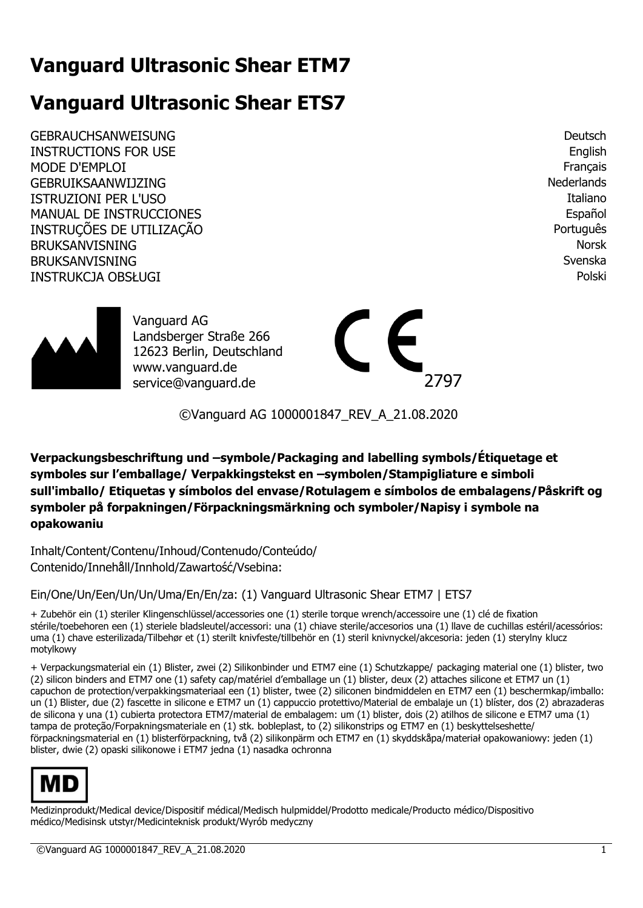# **Vanguard Ultrasonic Shear ETM7**

# **Vanguard Ultrasonic Shear ETS7**

GEBRAUCHSANWEISUNG DEUTSCHEINER EINER EINER EINER EINER EINER EINER EINER EINER DEUTSCh INSTRUCTIONS FOR USE English MODE D'EMPLOI Français GEBRUIKSAANWIJZING NEDERLANDS ON THE SERVICE OF THE SERVICE OF THE SERVICE OF THE SERVICE OF THE SERVICE OF THE SERVICE OF THE SERVICE OF THE SERVICE OF THE SERVICE OF THE SERVICE OF THE SERVICE OF THE SERVICE OF THE SERVI ISTRUZIONI PER L'USO della contrattua della contrattua della contrattua della contrattua della contrattua dell MANUAL DE INSTRUCCIONES **Español** INSTRUÇÕES DE UTILIZAÇÃO PORTUGUÊS EN ENTRAÎNA E A CONSTRUÇÕES DE UTILIZAÇÃO BRUKSANVISNING Norsk anderes anderes anderes anderes and the second service of the service of the service of the service of the service of the service of the service of the service of the service of the service of the serv BRUKSANVISNING Svenska var stofnade stofnade og stofnade stofnade stofnade stofnade stofnade stofnade stofnade INSTRUKCJA OBSŁUGI Polski



Vanguard AG Landsberger Straße 266 12623 Berlin, Deutschland www.vanguard.de service@vanguard.de 2797



©Vanguard AG 1000001847\_REV\_A\_21.08.2020

**Verpackungsbeschriftung und –symbole/Packaging and labelling symbols/Étiquetage et symboles sur l'emballage/ Verpakkingstekst en –symbolen/Stampigliature e simboli sull'imballo/ Etiquetas y símbolos del envase/Rotulagem e símbolos de embalagens/Påskrift og symboler på forpakningen/Förpackningsmärkning och symboler/Napisy i symbole na opakowaniu** 

Inhalt/Content/Contenu/Inhoud/Contenudo/Conteúdo/ Contenido/Innehåll/Innhold/Zawartość/Vsebina:

Ein/One/Un/Een/Un/Un/Uma/En/En/za: (1) Vanguard Ultrasonic Shear ETM7 | ETS7

+ Zubehör ein (1) steriler Klingenschlüssel/accessories one (1) sterile torque wrench/accessoire une (1) clé de fixation stérile/toebehoren een (1) steriele bladsleutel/accessori: una (1) chiave sterile/accesorios una (1) llave de cuchillas estéril/acessórios: uma (1) chave esterilizada/Tilbehør et (1) sterilt knivfeste/tillbehör en (1) steril knivnyckel/akcesoria: jeden (1) sterylny klucz motylkowy

+ Verpackungsmaterial ein (1) Blister, zwei (2) Silikonbinder und ETM7 eine (1) Schutzkappe/ packaging material one (1) blister, two (2) silicon binders and ETM7 one (1) safety cap/matériel d'emballage un (1) blister, deux (2) attaches silicone et ETM7 un (1) capuchon de protection/verpakkingsmateriaal een (1) blister, twee (2) siliconen bindmiddelen en ETM7 een (1) beschermkap/imballo: un (1) Blister, due (2) fascette in silicone e ETM7 un (1) cappuccio protettivo/Material de embalaje un (1) blíster, dos (2) abrazaderas de silicona y una (1) cubierta protectora ETM7/material de embalagem: um (1) blister, dois (2) atilhos de silicone e ETM7 uma (1) tampa de proteção/Forpakningsmateriale en (1) stk. bobleplast, to (2) silikonstrips og ETM7 en (1) beskyttelseshette/ förpackningsmaterial en (1) blisterförpackning, två (2) silikonpärm och ETM7 en (1) skyddskåpa/materiał opakowaniowy: jeden (1) blister, dwie (2) opaski silikonowe i ETM7 jedna (1) nasadka ochronna



Medizinprodukt/Medical device/Dispositif médical/Medisch hulpmiddel/Prodotto medicale/Producto médico/Dispositivo médico/Medisinsk utstyr/Medicinteknisk produkt/Wyrób medyczny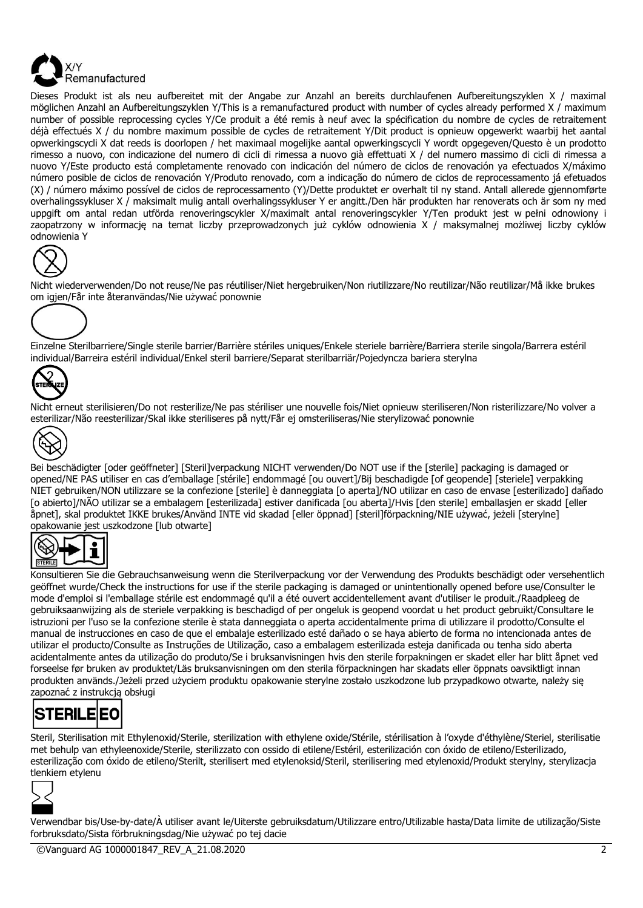

Dieses Produkt ist als neu aufbereitet mit der Angabe zur Anzahl an bereits durchlaufenen Aufbereitungszyklen X / maximal möglichen Anzahl an Aufbereitungszyklen Y/This is a remanufactured product with number of cycles already performed X / maximum number of possible reprocessing cycles Y/Ce produit a été remis à neuf avec la spécification du nombre de cycles de retraitement déjà effectués X / du nombre maximum possible de cycles de retraitement Y/Dit product is opnieuw opgewerkt waarbij het aantal opwerkingscycli X dat reeds is doorlopen / het maximaal mogelijke aantal opwerkingscycli Y wordt opgegeven/Questo è un prodotto rimesso a nuovo, con indicazione del numero di cicli di rimessa a nuovo già effettuati X / del numero massimo di cicli di rimessa a nuovo Y/Este producto está completamente renovado con indicación del número de ciclos de renovación ya efectuados X/máximo número posible de ciclos de renovación Y/Produto renovado, com a indicação do número de ciclos de reprocessamento já efetuados (X) / número máximo possível de ciclos de reprocessamento (Y)/Dette produktet er overhalt til ny stand. Antall allerede gjennomførte overhalingssykluser X / maksimalt mulig antall overhalingssykluser Y er angitt./Den här produkten har renoverats och är som ny med uppgift om antal redan utförda renoveringscykler X/maximalt antal renoveringscykler Y/Ten produkt jest w pełni odnowiony i zaopatrzony w informację na temat liczby przeprowadzonych już cyklów odnowienia X / maksymalnej możliwej liczby cyklów odnowienia Y



Nicht wiederverwenden/Do not reuse/Ne pas réutiliser/Niet hergebruiken/Non riutilizzare/No reutilizar/Não reutilizar/Må ikke brukes om igjen/Får inte återanvändas/Nie używać ponownie



Einzelne Sterilbarriere/Single sterile barrier/Barrière stériles uniques/Enkele steriele barrière/Barriera sterile singola/Barrera estéril individual/Barreira estéril individual/Enkel steril barriere/Separat sterilbarriär/Pojedyncza bariera sterylna



Nicht erneut sterilisieren/Do not resterilize/Ne pas stériliser une nouvelle fois/Niet opnieuw steriliseren/Non risterilizzare/No volver a esterilizar/Não reesterilizar/Skal ikke steriliseres på nytt/Får ej omsteriliseras/Nie sterylizować ponownie



Bei beschädigter [oder geöffneter] [Steril]verpackung NICHT verwenden/Do NOT use if the [sterile] packaging is damaged or opened/NE PAS utiliser en cas d'emballage [stérile] endommagé [ou ouvert]/Bij beschadigde [of geopende] [steriele] verpakking NIET gebruiken/NON utilizzare se la confezione [sterile] è danneggiata [o aperta]/NO utilizar en caso de envase [esterilizado] dañado [o abierto]/NÃO utilizar se a embalagem [esterilizada] estiver danificada [ou aberta]/Hvis [den sterile] emballasjen er skadd [eller åpnet], skal produktet IKKE brukes/Använd INTE vid skadad [eller öppnad] [steril]förpackning/NIE używać, jeżeli [sterylne] opakowanie jest uszkodzone [lub otwarte]



Konsultieren Sie die Gebrauchsanweisung wenn die Sterilverpackung vor der Verwendung des Produkts beschädigt oder versehentlich geöffnet wurde/Check the instructions for use if the sterile packaging is damaged or unintentionally opened before use/Consulter le mode d'emploi si l'emballage stérile est endommagé qu'il a été ouvert accidentellement avant d'utiliser le produit./Raadpleeg de gebruiksaanwijzing als de steriele verpakking is beschadigd of per ongeluk is geopend voordat u het product gebruikt/Consultare le istruzioni per l'uso se la confezione sterile è stata danneggiata o aperta accidentalmente prima di utilizzare il prodotto/Consulte el manual de instrucciones en caso de que el embalaje esterilizado esté dañado o se haya abierto de forma no intencionada antes de utilizar el producto/Consulte as Instruções de Utilização, caso a embalagem esterilizada esteja danificada ou tenha sido aberta acidentalmente antes da utilização do produto/Se i bruksanvisningen hvis den sterile forpakningen er skadet eller har blitt åpnet ved forseelse før bruken av produktet/Läs bruksanvisningen om den sterila förpackningen har skadats eller öppnats oavsiktligt innan produkten används./Jeżeli przed użyciem produktu opakowanie sterylne zostało uszkodzone lub przypadkowo otwarte, należy się zapoznać z instrukcja obsługi



Steril, Sterilisation mit Ethylenoxid/Sterile, sterilization with ethylene oxide/Stérile, stérilisation à l'oxyde d'éthylène/Steriel, sterilisatie met behulp van ethyleenoxide/Sterile, sterilizzato con ossido di etilene/Estéril, esterilización con óxido de etileno/Esterilizado, esterilização com óxido de etileno/Sterilt, sterilisert med etylenoksid/Steril, sterilisering med etylenoxid/Produkt sterylny, sterylizacja tlenkiem etylenu



Verwendbar bis/Use-by-date/À utiliser avant le/Uiterste gebruiksdatum/Utilizzare entro/Utilizable hasta/Data limite de utilização/Siste forbruksdato/Sista förbrukningsdag/Nie używać po tej dacie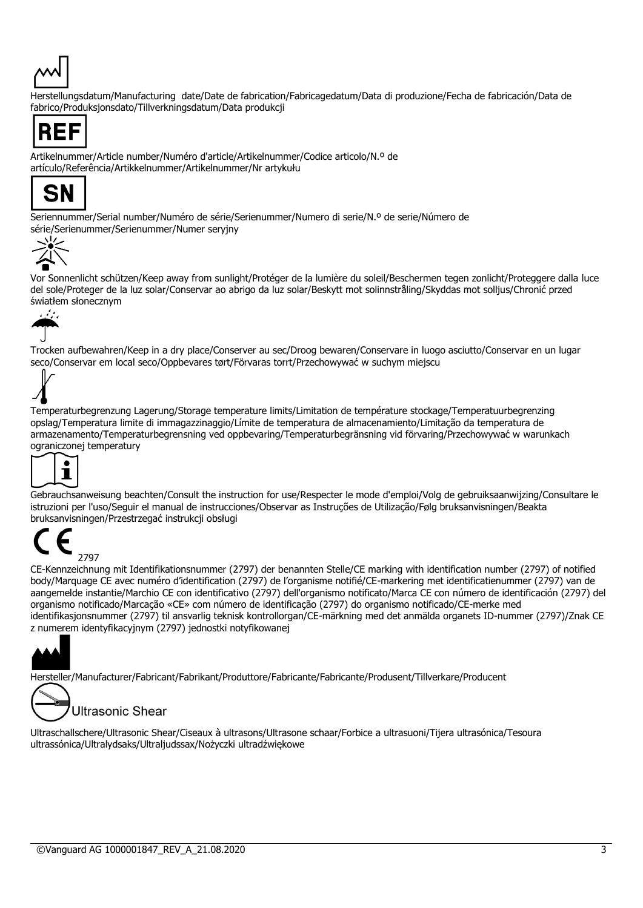

Herstellungsdatum/Manufacturing date/Date de fabrication/Fabricagedatum/Data di produzione/Fecha de fabricación/Data de fabrico/Produksjonsdato/Tillverkningsdatum/Data produkcji



Artikelnummer/Article number/Numéro d'article/Artikelnummer/Codice articolo/N.º de artículo/Referência/Artikkelnummer/Artikelnummer/Nr artykułu



Seriennummer/Serial number/Numéro de série/Serienummer/Numero di serie/N.º de serie/Número de série/Serienummer/Serienummer/Numer seryjny



Vor Sonnenlicht schützen/Keep away from sunlight/Protéger de la lumière du soleil/Beschermen tegen zonlicht/Proteggere dalla luce del sole/Proteger de la luz solar/Conservar ao abrigo da luz solar/Beskytt mot solinnstråling/Skyddas mot solljus/Chronić przed światłem słonecznym



Trocken aufbewahren/Keep in a dry place/Conserver au sec/Droog bewaren/Conservare in luogo asciutto/Conservar en un lugar seco/Conservar em local seco/Oppbevares tørt/Förvaras torrt/Przechowywać w suchym miejscu



Temperaturbegrenzung Lagerung/Storage temperature limits/Limitation de température stockage/Temperatuurbegrenzing opslag/Temperatura limite di immagazzinaggio/Límite de temperatura de almacenamiento/Limitação da temperatura de armazenamento/Temperaturbegrensning ved oppbevaring/Temperaturbegränsning vid förvaring/Przechowywać w warunkach ograniczonej temperatury



Gebrauchsanweisung beachten/Consult the instruction for use/Respecter le mode d'emploi/Volg de gebruiksaanwijzing/Consultare le istruzioni per l'uso/Seguir el manual de instrucciones/Observar as Instruções de Utilização/Følg bruksanvisningen/Beakta bruksanvisningen/Przestrzegać instrukcji obsługi



CE-Kennzeichnung mit Identifikationsnummer (2797) der benannten Stelle/CE marking with identification number (2797) of notified body/Marquage CE avec numéro d'identification (2797) de l'organisme notifié/CE-markering met identificatienummer (2797) van de aangemelde instantie/Marchio CE con identificativo (2797) dell'organismo notificato/Marca CE con número de identificación (2797) del organismo notificado/Marcação «CE» com número de identificação (2797) do organismo notificado/CE-merke med identifikasjonsnummer (2797) til ansvarlig teknisk kontrollorgan/CE-märkning med det anmälda organets ID-nummer (2797)/Znak CE z numerem identyfikacyjnym (2797) jednostki notyfikowanej



Hersteller/Manufacturer/Fabricant/Fabrikant/Produttore/Fabricante/Fabricante/Produsent/Tillverkare/Producent



**Ultrasonic Shear** 

Ultraschallschere/Ultrasonic Shear/Ciseaux à ultrasons/Ultrasone schaar/Forbice a ultrasuoni/Tijera ultrasónica/Tesoura ultrassónica/Ultralydsaks/Ultraljudssax/Nożyczki ultradźwiękowe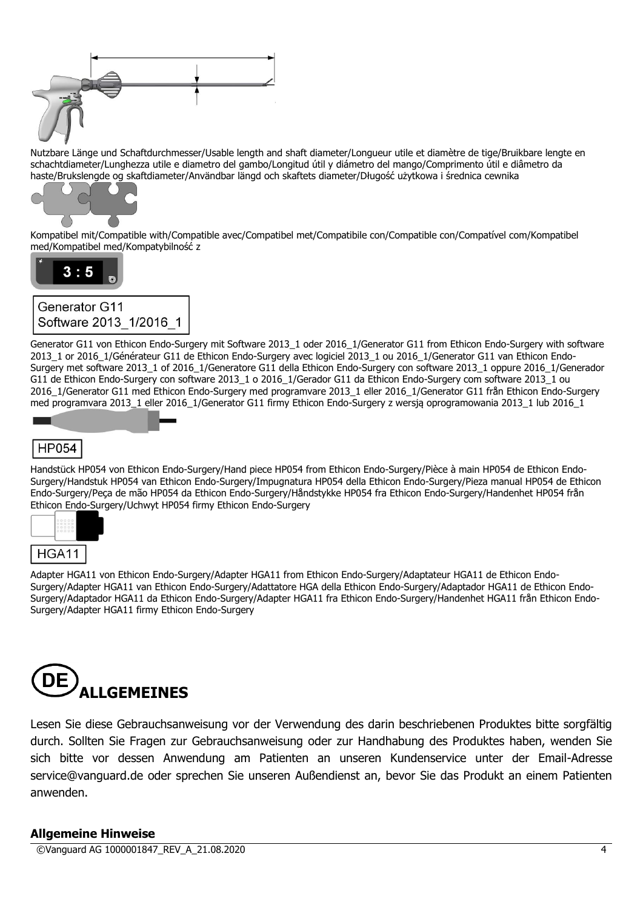

Nutzbare Länge und Schaftdurchmesser/Usable length and shaft diameter/Longueur utile et diamètre de tige/Bruikbare lengte en schachtdiameter/Lunghezza utile e diametro del gambo/Longitud útil y diámetro del mango/Comprimento útil e diâmetro da haste/Brukslengde og skaftdiameter/Användbar längd och skaftets diameter/Długość użytkowa i średnica cewnika



Kompatibel mit/Compatible with/Compatible avec/Compatibel met/Compatibile con/Compatible con/Compatível com/Kompatibel med/Kompatibel med/Kompatybilność z





Generator G11 von Ethicon Endo-Surgery mit Software 2013\_1 oder 2016\_1/Generator G11 from Ethicon Endo-Surgery with software 2013\_1 or 2016\_1/Générateur G11 de Ethicon Endo-Surgery avec logiciel 2013\_1 ou 2016\_1/Generator G11 van Ethicon Endo-Surgery met software 2013\_1 of 2016\_1/Generatore G11 della Ethicon Endo-Surgery con software 2013\_1 oppure 2016\_1/Generador G11 de Ethicon Endo-Surgery con software 2013\_1 o 2016\_1/Gerador G11 da Ethicon Endo-Surgery com software 2013\_1 ou 2016\_1/Generator G11 med Ethicon Endo-Surgery med programvare 2013\_1 eller 2016\_1/Generator G11 från Ethicon Endo-Surgery med programvara 2013\_1 eller 2016\_1/Generator G11 firmy Ethicon Endo-Surgery z wersją oprogramowania 2013\_1 lub 2016\_1

# **HP054**

Handstück HP054 von Ethicon Endo-Surgery/Hand piece HP054 from Ethicon Endo-Surgery/Pièce à main HP054 de Ethicon Endo-Surgery/Handstuk HP054 van Ethicon Endo-Surgery/Impugnatura HP054 della Ethicon Endo-Surgery/Pieza manual HP054 de Ethicon Endo-Surgery/Peça de mão HP054 da Ethicon Endo-Surgery/Håndstykke HP054 fra Ethicon Endo-Surgery/Handenhet HP054 från Ethicon Endo-Surgery/Uchwyt HP054 firmy Ethicon Endo-Surgery



Adapter HGA11 von Ethicon Endo-Surgery/Adapter HGA11 from Ethicon Endo-Surgery/Adaptateur HGA11 de Ethicon Endo-Surgery/Adapter HGA11 van Ethicon Endo-Surgery/Adattatore HGA della Ethicon Endo-Surgery/Adaptador HGA11 de Ethicon Endo-Surgery/Adaptador HGA11 da Ethicon Endo-Surgery/Adapter HGA11 fra Ethicon Endo-Surgery/Handenhet HGA11 från Ethicon Endo-Surgery/Adapter HGA11 firmy Ethicon Endo-Surgery

# **ALLGEMEINES**

Lesen Sie diese Gebrauchsanweisung vor der Verwendung des darin beschriebenen Produktes bitte sorgfältig durch. Sollten Sie Fragen zur Gebrauchsanweisung oder zur Handhabung des Produktes haben, wenden Sie sich bitte vor dessen Anwendung am Patienten an unseren Kundenservice unter der Email-Adresse service@vanguard.de oder sprechen Sie unseren Außendienst an, bevor Sie das Produkt an einem Patienten anwenden.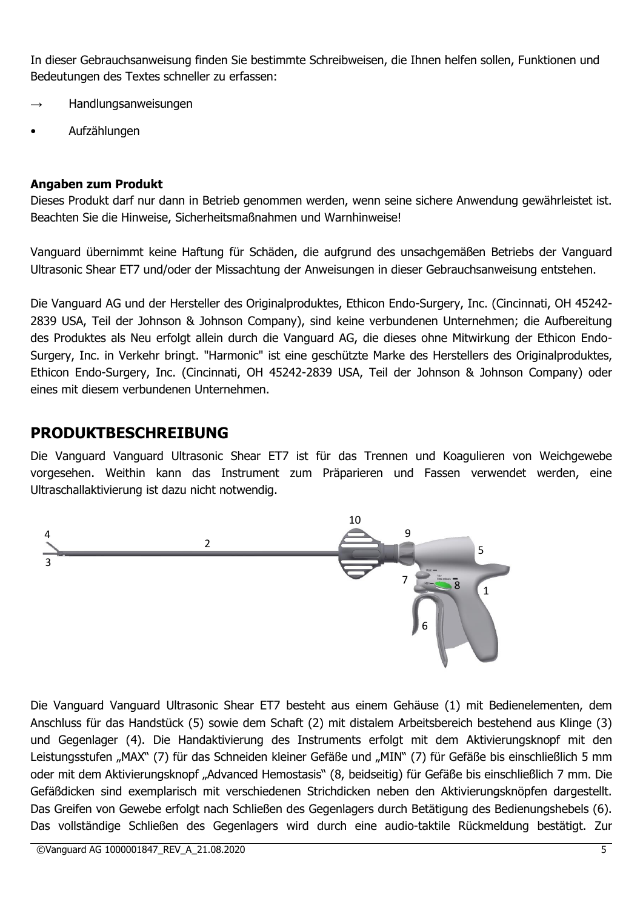In dieser Gebrauchsanweisung finden Sie bestimmte Schreibweisen, die Ihnen helfen sollen, Funktionen und Bedeutungen des Textes schneller zu erfassen:

- Handlungsanweisungen
- Aufzählungen

# **Angaben zum Produkt**

Dieses Produkt darf nur dann in Betrieb genommen werden, wenn seine sichere Anwendung gewährleistet ist. Beachten Sie die Hinweise, Sicherheitsmaßnahmen und Warnhinweise!

Vanguard übernimmt keine Haftung für Schäden, die aufgrund des unsachgemäßen Betriebs der Vanguard Ultrasonic Shear ET7 und/oder der Missachtung der Anweisungen in dieser Gebrauchsanweisung entstehen.

Die Vanguard AG und der Hersteller des Originalproduktes, Ethicon Endo-Surgery, Inc. (Cincinnati, OH 45242- 2839 USA, Teil der Johnson & Johnson Company), sind keine verbundenen Unternehmen; die Aufbereitung des Produktes als Neu erfolgt allein durch die Vanguard AG, die dieses ohne Mitwirkung der Ethicon Endo-Surgery, Inc. in Verkehr bringt. "Harmonic" ist eine geschützte Marke des Herstellers des Originalproduktes, Ethicon Endo-Surgery, Inc. (Cincinnati, OH 45242-2839 USA, Teil der Johnson & Johnson Company) oder eines mit diesem verbundenen Unternehmen.

# **PRODUKTBESCHREIBUNG**

Die Vanguard Vanguard Ultrasonic Shear ET7 ist für das Trennen und Koagulieren von Weichgewebe vorgesehen. Weithin kann das Instrument zum Präparieren und Fassen verwendet werden, eine Ultraschallaktivierung ist dazu nicht notwendig.



Die Vanguard Vanguard Ultrasonic Shear ET7 besteht aus einem Gehäuse (1) mit Bedienelementen, dem Anschluss für das Handstück (5) sowie dem Schaft (2) mit distalem Arbeitsbereich bestehend aus Klinge (3) und Gegenlager (4). Die Handaktivierung des Instruments erfolgt mit dem Aktivierungsknopf mit den Leistungsstufen "MAX" (7) für das Schneiden kleiner Gefäße und "MIN" (7) für Gefäße bis einschließlich 5 mm oder mit dem Aktivierungsknopf "Advanced Hemostasis" (8, beidseitig) für Gefäße bis einschließlich 7 mm. Die Gefäßdicken sind exemplarisch mit verschiedenen Strichdicken neben den Aktivierungsknöpfen dargestellt. Das Greifen von Gewebe erfolgt nach Schließen des Gegenlagers durch Betätigung des Bedienungshebels (6). Das vollständige Schließen des Gegenlagers wird durch eine audio-taktile Rückmeldung bestätigt. Zur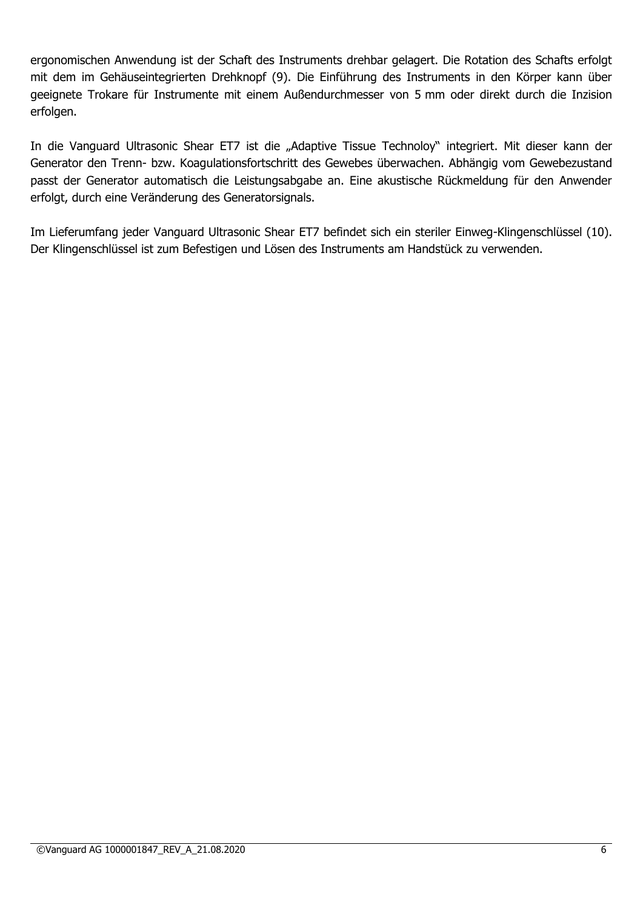ergonomischen Anwendung ist der Schaft des Instruments drehbar gelagert. Die Rotation des Schafts erfolgt mit dem im Gehäuseintegrierten Drehknopf (9). Die Einführung des Instruments in den Körper kann über geeignete Trokare für Instrumente mit einem Außendurchmesser von 5 mm oder direkt durch die Inzision erfolgen.

In die Vanguard Ultrasonic Shear ET7 ist die "Adaptive Tissue Technoloy" integriert. Mit dieser kann der Generator den Trenn- bzw. Koagulationsfortschritt des Gewebes überwachen. Abhängig vom Gewebezustand passt der Generator automatisch die Leistungsabgabe an. Eine akustische Rückmeldung für den Anwender erfolgt, durch eine Veränderung des Generatorsignals.

Im Lieferumfang jeder Vanguard Ultrasonic Shear ET7 befindet sich ein steriler Einweg-Klingenschlüssel (10). Der Klingenschlüssel ist zum Befestigen und Lösen des Instruments am Handstück zu verwenden.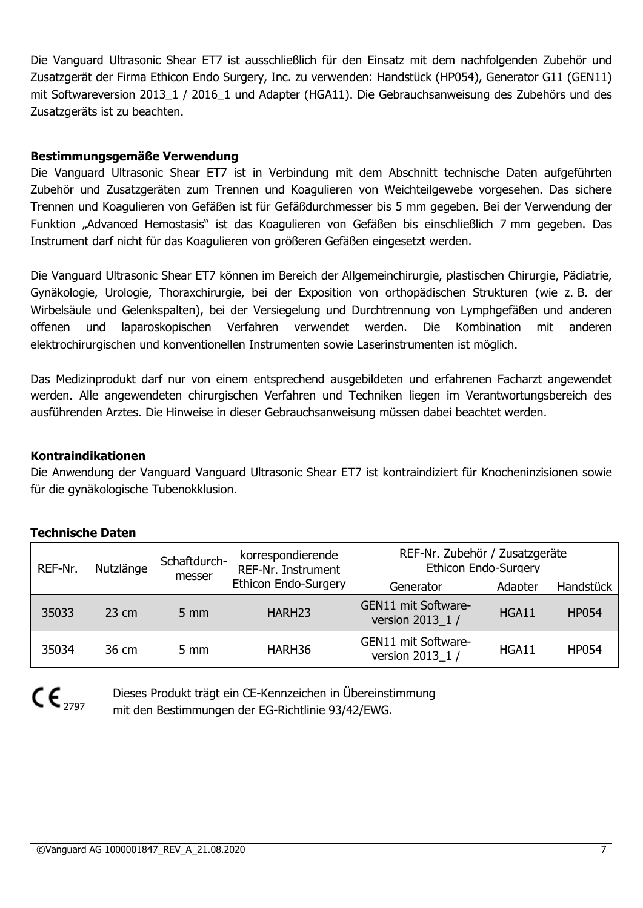Die Vanguard Ultrasonic Shear ET7 ist ausschließlich für den Einsatz mit dem nachfolgenden Zubehör und Zusatzgerät der Firma Ethicon Endo Surgery, Inc. zu verwenden: Handstück (HP054), Generator G11 (GEN11) mit Softwareversion 2013\_1 / 2016\_1 und Adapter (HGA11). Die Gebrauchsanweisung des Zubehörs und des Zusatzgeräts ist zu beachten.

# **Bestimmungsgemäße Verwendung**

Die Vanguard Ultrasonic Shear ET7 ist in Verbindung mit dem Abschnitt technische Daten aufgeführten Zubehör und Zusatzgeräten zum Trennen und Koagulieren von Weichteilgewebe vorgesehen. Das sichere Trennen und Koagulieren von Gefäßen ist für Gefäßdurchmesser bis 5 mm gegeben. Bei der Verwendung der Funktion "Advanced Hemostasis" ist das Koagulieren von Gefäßen bis einschließlich 7 mm gegeben. Das Instrument darf nicht für das Koagulieren von größeren Gefäßen eingesetzt werden.

Die Vanguard Ultrasonic Shear ET7 können im Bereich der Allgemeinchirurgie, plastischen Chirurgie, Pädiatrie, Gynäkologie, Urologie, Thoraxchirurgie, bei der Exposition von orthopädischen Strukturen (wie z. B. der Wirbelsäule und Gelenkspalten), bei der Versiegelung und Durchtrennung von Lymphgefäßen und anderen offenen und laparoskopischen Verfahren verwendet werden. Die Kombination mit anderen elektrochirurgischen und konventionellen Instrumenten sowie Laserinstrumenten ist möglich.

Das Medizinprodukt darf nur von einem entsprechend ausgebildeten und erfahrenen Facharzt angewendet werden. Alle angewendeten chirurgischen Verfahren und Techniken liegen im Verantwortungsbereich des ausführenden Arztes. Die Hinweise in dieser Gebrauchsanweisung müssen dabei beachtet werden.

#### **Kontraindikationen**

Die Anwendung der Vanguard Vanguard Ultrasonic Shear ET7 ist kontraindiziert für Knocheninzisionen sowie für die gynäkologische Tubenokklusion.

# **Technische Daten**

| REF-Nr. | Nutzlänge<br>messer | Schaftdurch-     | korrespondierende<br>REF-Nr. Instrument | REF-Nr. Zubehör / Zusatzgeräte<br><b>Ethicon Endo-Surgery</b> |                      |              |
|---------|---------------------|------------------|-----------------------------------------|---------------------------------------------------------------|----------------------|--------------|
|         |                     |                  | Ethicon Endo-Surgery                    | Generator                                                     | Handstück<br>Adapter |              |
| 35033   | $23 \text{ cm}$     | $5 \, \text{mm}$ | HARH <sub>23</sub>                      | GEN11 mit Software-<br>version 2013 1 /                       | HGA11                | <b>HP054</b> |
| 35034   | 36 cm               | $5 \text{ mm}$   | HARH36                                  | GEN11 mit Software-<br>version 2013 1 /                       | HGA11                | <b>HP054</b> |



Dieses Produkt trägt ein CE-Kennzeichen in Übereinstimmung mit den Bestimmungen der EG-Richtlinie 93/42/EWG.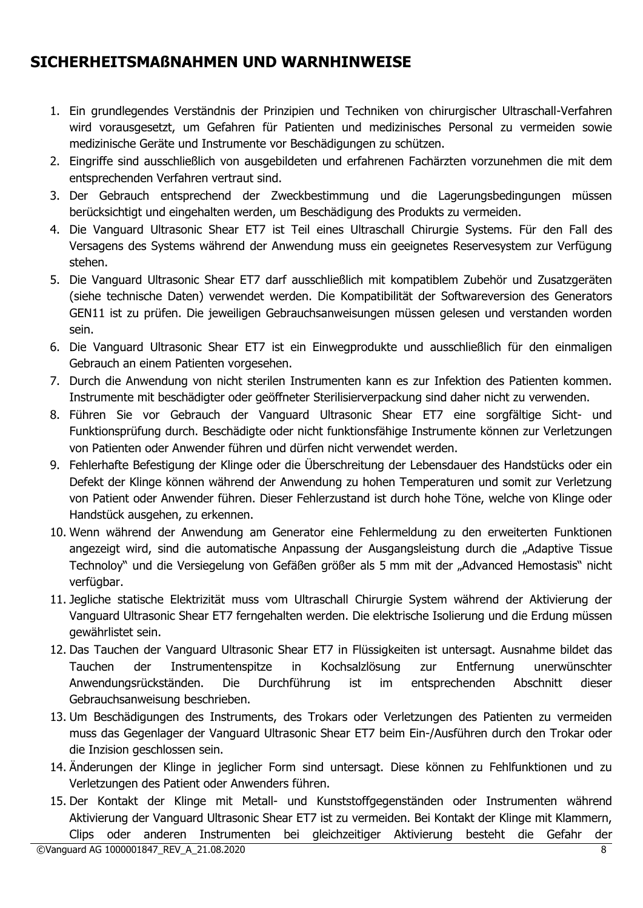# **SICHERHEITSMAßNAHMEN UND WARNHINWEISE**

- 1. Ein grundlegendes Verständnis der Prinzipien und Techniken von chirurgischer Ultraschall-Verfahren wird vorausgesetzt, um Gefahren für Patienten und medizinisches Personal zu vermeiden sowie medizinische Geräte und Instrumente vor Beschädigungen zu schützen.
- 2. Eingriffe sind ausschließlich von ausgebildeten und erfahrenen Fachärzten vorzunehmen die mit dem entsprechenden Verfahren vertraut sind.
- 3. Der Gebrauch entsprechend der Zweckbestimmung und die Lagerungsbedingungen müssen berücksichtigt und eingehalten werden, um Beschädigung des Produkts zu vermeiden.
- 4. Die Vanguard Ultrasonic Shear ET7 ist Teil eines Ultraschall Chirurgie Systems. Für den Fall des Versagens des Systems während der Anwendung muss ein geeignetes Reservesystem zur Verfügung stehen.
- 5. Die Vanguard Ultrasonic Shear ET7 darf ausschließlich mit kompatiblem Zubehör und Zusatzgeräten (siehe technische Daten) verwendet werden. Die Kompatibilität der Softwareversion des Generators GEN11 ist zu prüfen. Die jeweiligen Gebrauchsanweisungen müssen gelesen und verstanden worden sein.
- 6. Die Vanguard Ultrasonic Shear ET7 ist ein Einwegprodukte und ausschließlich für den einmaligen Gebrauch an einem Patienten vorgesehen.
- 7. Durch die Anwendung von nicht sterilen Instrumenten kann es zur Infektion des Patienten kommen. Instrumente mit beschädigter oder geöffneter Sterilisierverpackung sind daher nicht zu verwenden.
- 8. Führen Sie vor Gebrauch der Vanguard Ultrasonic Shear ET7 eine sorgfältige Sicht- und Funktionsprüfung durch. Beschädigte oder nicht funktionsfähige Instrumente können zur Verletzungen von Patienten oder Anwender führen und dürfen nicht verwendet werden.
- 9. Fehlerhafte Befestigung der Klinge oder die Überschreitung der Lebensdauer des Handstücks oder ein Defekt der Klinge können während der Anwendung zu hohen Temperaturen und somit zur Verletzung von Patient oder Anwender führen. Dieser Fehlerzustand ist durch hohe Töne, welche von Klinge oder Handstück ausgehen, zu erkennen.
- 10. Wenn während der Anwendung am Generator eine Fehlermeldung zu den erweiterten Funktionen angezeigt wird, sind die automatische Anpassung der Ausgangsleistung durch die "Adaptive Tissue Technoloy" und die Versiegelung von Gefäßen größer als 5 mm mit der "Advanced Hemostasis" nicht verfügbar.
- 11. Jegliche statische Elektrizität muss vom Ultraschall Chirurgie System während der Aktivierung der Vanguard Ultrasonic Shear ET7 ferngehalten werden. Die elektrische Isolierung und die Erdung müssen gewährlistet sein.
- 12. Das Tauchen der Vanguard Ultrasonic Shear ET7 in Flüssigkeiten ist untersagt. Ausnahme bildet das Tauchen der Instrumentenspitze in Kochsalzlösung zur Entfernung unerwünschter Anwendungsrückständen. Die Durchführung ist im entsprechenden Abschnitt dieser Gebrauchsanweisung beschrieben.
- 13. Um Beschädigungen des Instruments, des Trokars oder Verletzungen des Patienten zu vermeiden muss das Gegenlager der Vanguard Ultrasonic Shear ET7 beim Ein-/Ausführen durch den Trokar oder die Inzision geschlossen sein.
- 14. Änderungen der Klinge in jeglicher Form sind untersagt. Diese können zu Fehlfunktionen und zu Verletzungen des Patient oder Anwenders führen.
- 15. Der Kontakt der Klinge mit Metall- und Kunststoffgegenständen oder Instrumenten während Aktivierung der Vanguard Ultrasonic Shear ET7 ist zu vermeiden. Bei Kontakt der Klinge mit Klammern, Clips oder anderen Instrumenten bei gleichzeitiger Aktivierung besteht die Gefahr der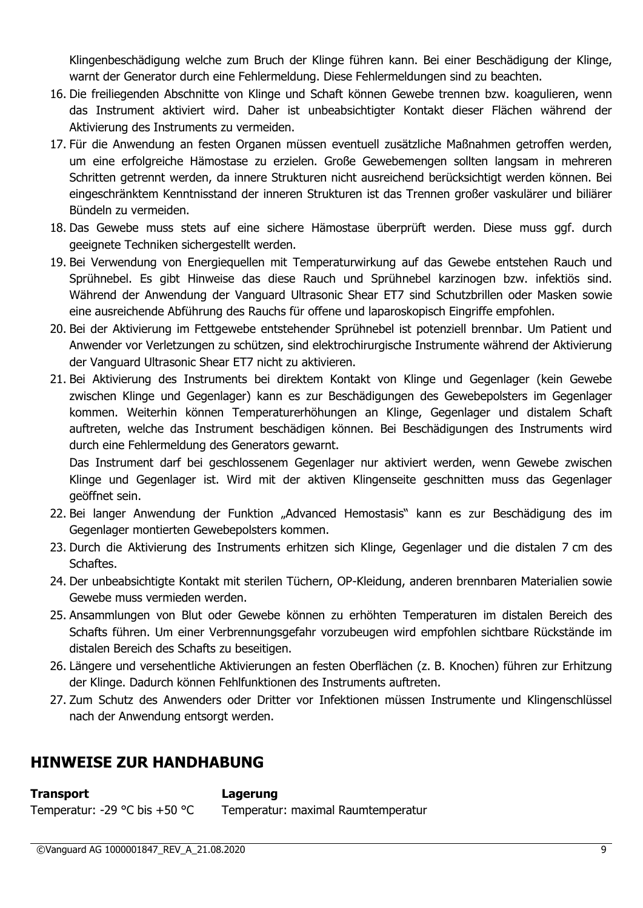Klingenbeschädigung welche zum Bruch der Klinge führen kann. Bei einer Beschädigung der Klinge, warnt der Generator durch eine Fehlermeldung. Diese Fehlermeldungen sind zu beachten.

- 16. Die freiliegenden Abschnitte von Klinge und Schaft können Gewebe trennen bzw. koagulieren, wenn das Instrument aktiviert wird. Daher ist unbeabsichtigter Kontakt dieser Flächen während der Aktivierung des Instruments zu vermeiden.
- 17. Für die Anwendung an festen Organen müssen eventuell zusätzliche Maßnahmen getroffen werden, um eine erfolgreiche Hämostase zu erzielen. Große Gewebemengen sollten langsam in mehreren Schritten getrennt werden, da innere Strukturen nicht ausreichend berücksichtigt werden können. Bei eingeschränktem Kenntnisstand der inneren Strukturen ist das Trennen großer vaskulärer und biliärer Bündeln zu vermeiden.
- 18. Das Gewebe muss stets auf eine sichere Hämostase überprüft werden. Diese muss ggf. durch geeignete Techniken sichergestellt werden.
- 19. Bei Verwendung von Energiequellen mit Temperaturwirkung auf das Gewebe entstehen Rauch und Sprühnebel. Es gibt Hinweise das diese Rauch und Sprühnebel karzinogen bzw. infektiös sind. Während der Anwendung der Vanguard Ultrasonic Shear ET7 sind Schutzbrillen oder Masken sowie eine ausreichende Abführung des Rauchs für offene und laparoskopisch Eingriffe empfohlen.
- 20. Bei der Aktivierung im Fettgewebe entstehender Sprühnebel ist potenziell brennbar. Um Patient und Anwender vor Verletzungen zu schützen, sind elektrochirurgische Instrumente während der Aktivierung der Vanguard Ultrasonic Shear ET7 nicht zu aktivieren.
- 21. Bei Aktivierung des Instruments bei direktem Kontakt von Klinge und Gegenlager (kein Gewebe zwischen Klinge und Gegenlager) kann es zur Beschädigungen des Gewebepolsters im Gegenlager kommen. Weiterhin können Temperaturerhöhungen an Klinge, Gegenlager und distalem Schaft auftreten, welche das Instrument beschädigen können. Bei Beschädigungen des Instruments wird durch eine Fehlermeldung des Generators gewarnt.

Das Instrument darf bei geschlossenem Gegenlager nur aktiviert werden, wenn Gewebe zwischen Klinge und Gegenlager ist. Wird mit der aktiven Klingenseite geschnitten muss das Gegenlager geöffnet sein.

- 22. Bei langer Anwendung der Funktion "Advanced Hemostasis" kann es zur Beschädigung des im Gegenlager montierten Gewebepolsters kommen.
- 23. Durch die Aktivierung des Instruments erhitzen sich Klinge, Gegenlager und die distalen 7 cm des Schaftes.
- 24. Der unbeabsichtigte Kontakt mit sterilen Tüchern, OP-Kleidung, anderen brennbaren Materialien sowie Gewebe muss vermieden werden.
- 25. Ansammlungen von Blut oder Gewebe können zu erhöhten Temperaturen im distalen Bereich des Schafts führen. Um einer Verbrennungsgefahr vorzubeugen wird empfohlen sichtbare Rückstände im distalen Bereich des Schafts zu beseitigen.
- 26. Längere und versehentliche Aktivierungen an festen Oberflächen (z. B. Knochen) führen zur Erhitzung der Klinge. Dadurch können Fehlfunktionen des Instruments auftreten.
- 27. Zum Schutz des Anwenders oder Dritter vor Infektionen müssen Instrumente und Klingenschlüssel nach der Anwendung entsorgt werden.

# **HINWEISE ZUR HANDHABUNG**

**Transport Lagerung**

Temperatur: -29 °C bis +50 °C Temperatur: maximal Raumtemperatur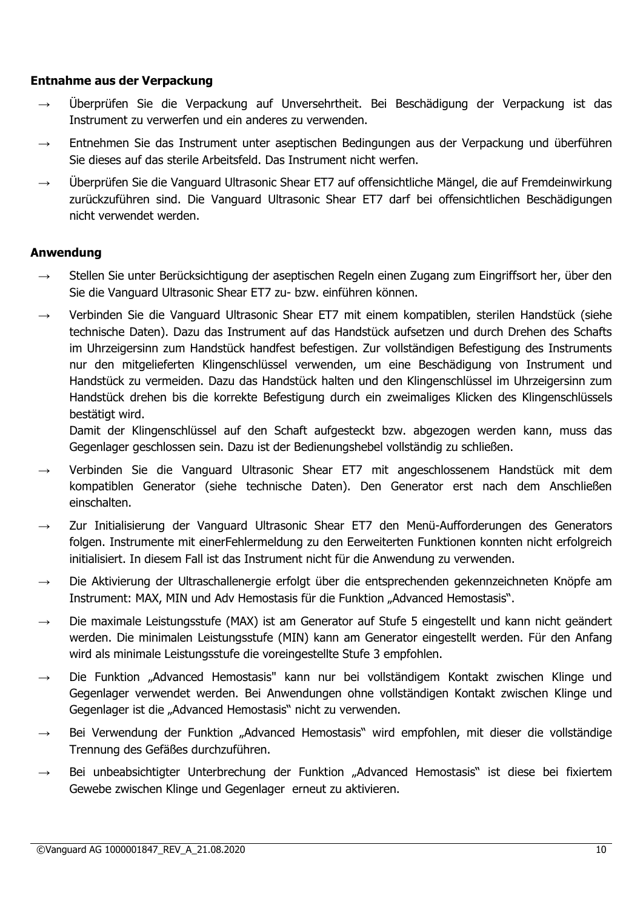#### **Entnahme aus der Verpackung**

- → Überprüfen Sie die Verpackung auf Unversehrtheit. Bei Beschädigung der Verpackung ist das Instrument zu verwerfen und ein anderes zu verwenden.
- $\rightarrow$  Entnehmen Sie das Instrument unter aseptischen Bedingungen aus der Verpackung und überführen Sie dieses auf das sterile Arbeitsfeld. Das Instrument nicht werfen.
- $\rightarrow$  Überprüfen Sie die Vanguard Ultrasonic Shear ET7 auf offensichtliche Mängel, die auf Fremdeinwirkung zurückzuführen sind. Die Vanguard Ultrasonic Shear ET7 darf bei offensichtlichen Beschädigungen nicht verwendet werden.

# **Anwendung**

- → Stellen Sie unter Berücksichtigung der aseptischen Regeln einen Zugang zum Eingriffsort her, über den Sie die Vanguard Ultrasonic Shear ET7 zu- bzw. einführen können.
- → Verbinden Sie die Vanguard Ultrasonic Shear ET7 mit einem kompatiblen, sterilen Handstück (siehe technische Daten). Dazu das Instrument auf das Handstück aufsetzen und durch Drehen des Schafts im Uhrzeigersinn zum Handstück handfest befestigen. Zur vollständigen Befestigung des Instruments nur den mitgelieferten Klingenschlüssel verwenden, um eine Beschädigung von Instrument und Handstück zu vermeiden. Dazu das Handstück halten und den Klingenschlüssel im Uhrzeigersinn zum Handstück drehen bis die korrekte Befestigung durch ein zweimaliges Klicken des Klingenschlüssels bestätigt wird.

Damit der Klingenschlüssel auf den Schaft aufgesteckt bzw. abgezogen werden kann, muss das Gegenlager geschlossen sein. Dazu ist der Bedienungshebel vollständig zu schließen.

- Verbinden Sie die Vanguard Ultrasonic Shear ET7 mit angeschlossenem Handstück mit dem kompatiblen Generator (siehe technische Daten). Den Generator erst nach dem Anschließen einschalten.
- $\rightarrow$  Zur Initialisierung der Vanguard Ultrasonic Shear ET7 den Menü-Aufforderungen des Generators folgen. Instrumente mit einerFehlermeldung zu den Eerweiterten Funktionen konnten nicht erfolgreich initialisiert. In diesem Fall ist das Instrument nicht für die Anwendung zu verwenden.
- → Die Aktivierung der Ultraschallenergie erfolgt über die entsprechenden gekennzeichneten Knöpfe am Instrument: MAX, MIN und Adv Hemostasis für die Funktion "Advanced Hemostasis".
- $\rightarrow$  Die maximale Leistungsstufe (MAX) ist am Generator auf Stufe 5 eingestellt und kann nicht geändert werden. Die minimalen Leistungsstufe (MIN) kann am Generator eingestellt werden. Für den Anfang wird als minimale Leistungsstufe die voreingestellte Stufe 3 empfohlen.
- → Die Funktion "Advanced Hemostasis" kann nur bei vollständigem Kontakt zwischen Klinge und Gegenlager verwendet werden. Bei Anwendungen ohne vollständigen Kontakt zwischen Klinge und Gegenlager ist die "Advanced Hemostasis" nicht zu verwenden.
- $\rightarrow$  Bei Verwendung der Funktion "Advanced Hemostasis" wird empfohlen, mit dieser die vollständige Trennung des Gefäßes durchzuführen.
- $\rightarrow$  Bei unbeabsichtigter Unterbrechung der Funktion "Advanced Hemostasis" ist diese bei fixiertem Gewebe zwischen Klinge und Gegenlager erneut zu aktivieren.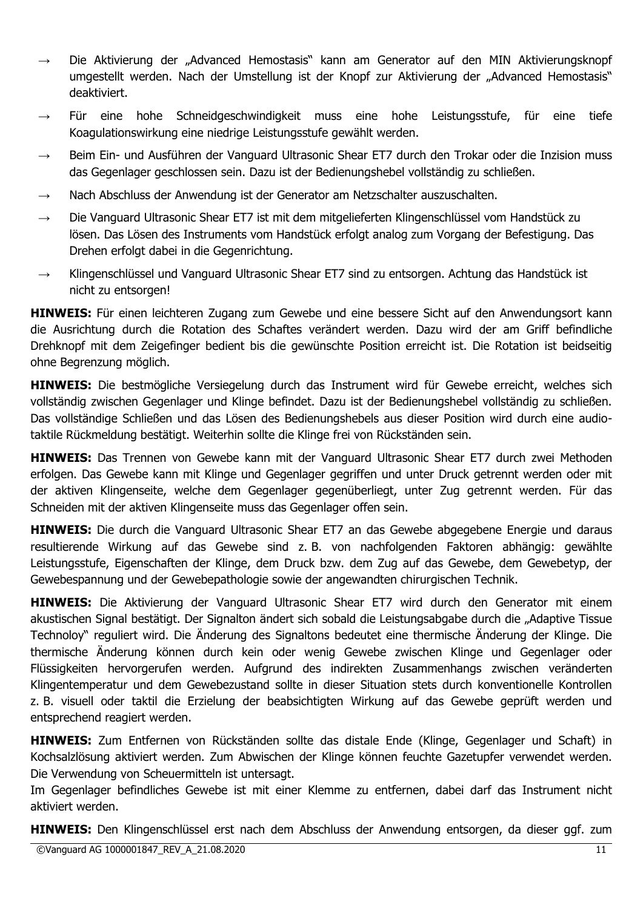- → Die Aktivierung der "Advanced Hemostasis" kann am Generator auf den MIN Aktivierungsknopf umgestellt werden. Nach der Umstellung ist der Knopf zur Aktivierung der "Advanced Hemostasis" deaktiviert.
- Für eine hohe Schneidgeschwindigkeit muss eine hohe Leistungsstufe, für eine tiefe Koagulationswirkung eine niedrige Leistungsstufe gewählt werden.
- Beim Ein- und Ausführen der Vanguard Ultrasonic Shear ET7 durch den Trokar oder die Inzision muss das Gegenlager geschlossen sein. Dazu ist der Bedienungshebel vollständig zu schließen.
- $\rightarrow$  Nach Abschluss der Anwendung ist der Generator am Netzschalter auszuschalten.
- → Die Vanguard Ultrasonic Shear ET7 ist mit dem mitgelieferten Klingenschlüssel vom Handstück zu lösen. Das Lösen des Instruments vom Handstück erfolgt analog zum Vorgang der Befestigung. Das Drehen erfolgt dabei in die Gegenrichtung.
- → Klingenschlüssel und Vanguard Ultrasonic Shear ET7 sind zu entsorgen. Achtung das Handstück ist nicht zu entsorgen!

**HINWEIS:** Für einen leichteren Zugang zum Gewebe und eine bessere Sicht auf den Anwendungsort kann die Ausrichtung durch die Rotation des Schaftes verändert werden. Dazu wird der am Griff befindliche Drehknopf mit dem Zeigefinger bedient bis die gewünschte Position erreicht ist. Die Rotation ist beidseitig ohne Begrenzung möglich.

**HINWEIS:** Die bestmögliche Versiegelung durch das Instrument wird für Gewebe erreicht, welches sich vollständig zwischen Gegenlager und Klinge befindet. Dazu ist der Bedienungshebel vollständig zu schließen. Das vollständige Schließen und das Lösen des Bedienungshebels aus dieser Position wird durch eine audiotaktile Rückmeldung bestätigt. Weiterhin sollte die Klinge frei von Rückständen sein.

**HINWEIS:** Das Trennen von Gewebe kann mit der Vanguard Ultrasonic Shear ET7 durch zwei Methoden erfolgen. Das Gewebe kann mit Klinge und Gegenlager gegriffen und unter Druck getrennt werden oder mit der aktiven Klingenseite, welche dem Gegenlager gegenüberliegt, unter Zug getrennt werden. Für das Schneiden mit der aktiven Klingenseite muss das Gegenlager offen sein.

**HINWEIS:** Die durch die Vanguard Ultrasonic Shear ET7 an das Gewebe abgegebene Energie und daraus resultierende Wirkung auf das Gewebe sind z. B. von nachfolgenden Faktoren abhängig: gewählte Leistungsstufe, Eigenschaften der Klinge, dem Druck bzw. dem Zug auf das Gewebe, dem Gewebetyp, der Gewebespannung und der Gewebepathologie sowie der angewandten chirurgischen Technik.

**HINWEIS:** Die Aktivierung der Vanguard Ultrasonic Shear ET7 wird durch den Generator mit einem akustischen Signal bestätigt. Der Signalton ändert sich sobald die Leistungsabgabe durch die "Adaptive Tissue Technoloy" reguliert wird. Die Änderung des Signaltons bedeutet eine thermische Änderung der Klinge. Die thermische Änderung können durch kein oder wenig Gewebe zwischen Klinge und Gegenlager oder Flüssigkeiten hervorgerufen werden. Aufgrund des indirekten Zusammenhangs zwischen veränderten Klingentemperatur und dem Gewebezustand sollte in dieser Situation stets durch konventionelle Kontrollen z. B. visuell oder taktil die Erzielung der beabsichtigten Wirkung auf das Gewebe geprüft werden und entsprechend reagiert werden.

**HINWEIS:** Zum Entfernen von Rückständen sollte das distale Ende (Klinge, Gegenlager und Schaft) in Kochsalzlösung aktiviert werden. Zum Abwischen der Klinge können feuchte Gazetupfer verwendet werden. Die Verwendung von Scheuermitteln ist untersagt.

Im Gegenlager befindliches Gewebe ist mit einer Klemme zu entfernen, dabei darf das Instrument nicht aktiviert werden.

**HINWEIS:** Den Klingenschlüssel erst nach dem Abschluss der Anwendung entsorgen, da dieser ggf. zum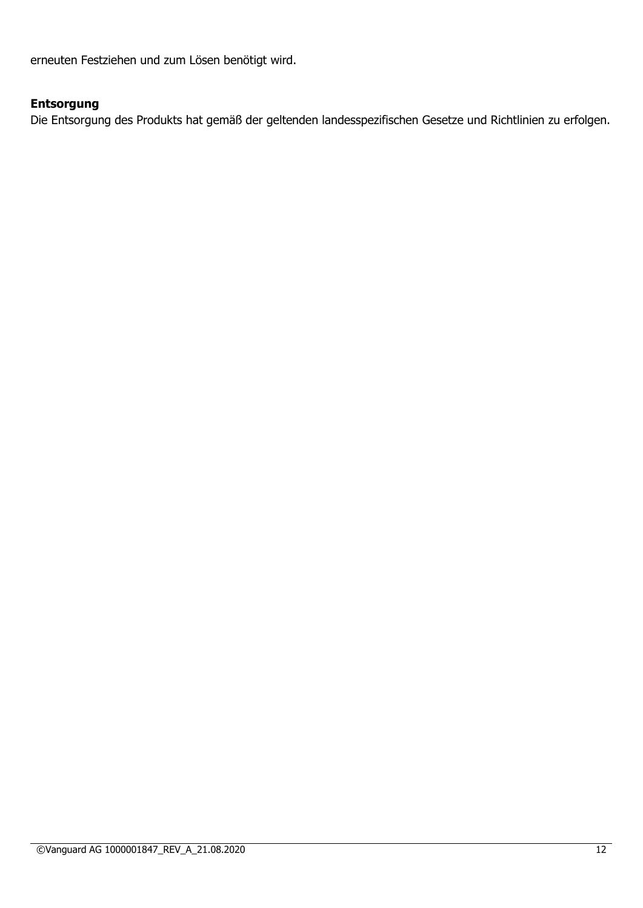erneuten Festziehen und zum Lösen benötigt wird.

# **Entsorgung**

Die Entsorgung des Produkts hat gemäß der geltenden landesspezifischen Gesetze und Richtlinien zu erfolgen.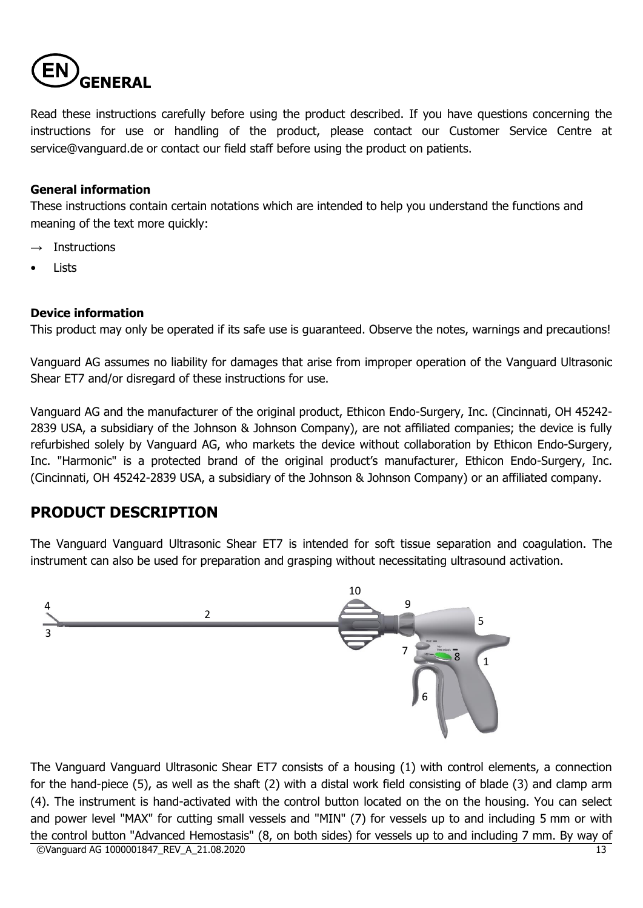

Read these instructions carefully before using the product described. If you have questions concerning the instructions for use or handling of the product, please contact our Customer Service Centre at service@vanguard.de or contact our field staff before using the product on patients.

#### **General information**

These instructions contain certain notations which are intended to help you understand the functions and meaning of the text more quickly:

- $\rightarrow$  Instructions
- Lists

#### **Device information**

This product may only be operated if its safe use is guaranteed. Observe the notes, warnings and precautions!

Vanguard AG assumes no liability for damages that arise from improper operation of the Vanguard Ultrasonic Shear ET7 and/or disregard of these instructions for use.

Vanguard AG and the manufacturer of the original product, Ethicon Endo-Surgery, Inc. (Cincinnati, OH 45242- 2839 USA, a subsidiary of the Johnson & Johnson Company), are not affiliated companies; the device is fully refurbished solely by Vanguard AG, who markets the device without collaboration by Ethicon Endo-Surgery, Inc. "Harmonic" is a protected brand of the original product's manufacturer, Ethicon Endo-Surgery, Inc. (Cincinnati, OH 45242-2839 USA, a subsidiary of the Johnson & Johnson Company) or an affiliated company.

# **PRODUCT DESCRIPTION**

The Vanguard Vanguard Ultrasonic Shear ET7 is intended for soft tissue separation and coagulation. The instrument can also be used for preparation and grasping without necessitating ultrasound activation.



©Vanguard AG 1000001847 REV A 21.08.2020 13 The Vanguard Vanguard Ultrasonic Shear ET7 consists of a housing (1) with control elements, a connection for the hand-piece (5), as well as the shaft (2) with a distal work field consisting of blade (3) and clamp arm (4). The instrument is hand-activated with the control button located on the on the housing. You can select and power level "MAX" for cutting small vessels and "MIN" (7) for vessels up to and including 5 mm or with the control button "Advanced Hemostasis" (8, on both sides) for vessels up to and including 7 mm. By way of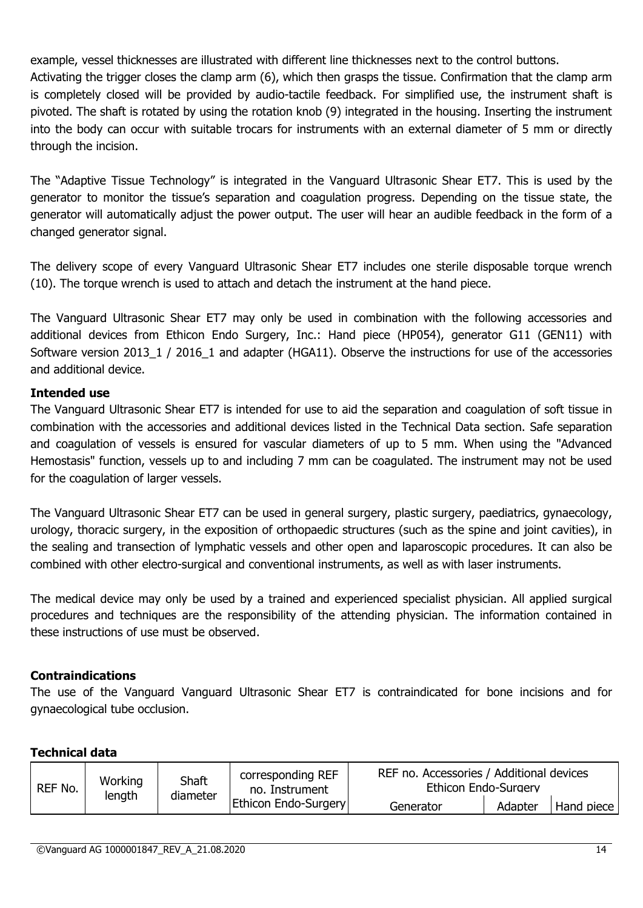example, vessel thicknesses are illustrated with different line thicknesses next to the control buttons. Activating the trigger closes the clamp arm (6), which then grasps the tissue. Confirmation that the clamp arm is completely closed will be provided by audio-tactile feedback. For simplified use, the instrument shaft is pivoted. The shaft is rotated by using the rotation knob (9) integrated in the housing. Inserting the instrument into the body can occur with suitable trocars for instruments with an external diameter of 5 mm or directly

The "Adaptive Tissue Technology" is integrated in the Vanguard Ultrasonic Shear ET7. This is used by the generator to monitor the tissue's separation and coagulation progress. Depending on the tissue state, the generator will automatically adjust the power output. The user will hear an audible feedback in the form of a changed generator signal.

The delivery scope of every Vanguard Ultrasonic Shear ET7 includes one sterile disposable torque wrench (10). The torque wrench is used to attach and detach the instrument at the hand piece.

The Vanguard Ultrasonic Shear ET7 may only be used in combination with the following accessories and additional devices from Ethicon Endo Surgery, Inc.: Hand piece (HP054), generator G11 (GEN11) with Software version 2013\_1 / 2016\_1 and adapter (HGA11). Observe the instructions for use of the accessories and additional device.

# **Intended use**

through the incision.

The Vanguard Ultrasonic Shear ET7 is intended for use to aid the separation and coagulation of soft tissue in combination with the accessories and additional devices listed in the Technical Data section. Safe separation and coagulation of vessels is ensured for vascular diameters of up to 5 mm. When using the "Advanced Hemostasis" function, vessels up to and including 7 mm can be coagulated. The instrument may not be used for the coagulation of larger vessels.

The Vanguard Ultrasonic Shear ET7 can be used in general surgery, plastic surgery, paediatrics, gynaecology, urology, thoracic surgery, in the exposition of orthopaedic structures (such as the spine and joint cavities), in the sealing and transection of lymphatic vessels and other open and laparoscopic procedures. It can also be combined with other electro-surgical and conventional instruments, as well as with laser instruments.

The medical device may only be used by a trained and experienced specialist physician. All applied surgical procedures and techniques are the responsibility of the attending physician. The information contained in these instructions of use must be observed.

# **Contraindications**

The use of the Vanguard Vanguard Ultrasonic Shear ET7 is contraindicated for bone incisions and for gynaecological tube occlusion.

# **Technical data**

| REF No. | Working<br>length | Shaft<br>diameter | REF no. Accessories / Additional devices<br>corresponding REF<br>Ethicon Endo-Surgery<br>no. Instrument |           |         |
|---------|-------------------|-------------------|---------------------------------------------------------------------------------------------------------|-----------|---------|
|         |                   |                   | <b>Ethicon Endo-Surgery</b>                                                                             | Generator | Adapter |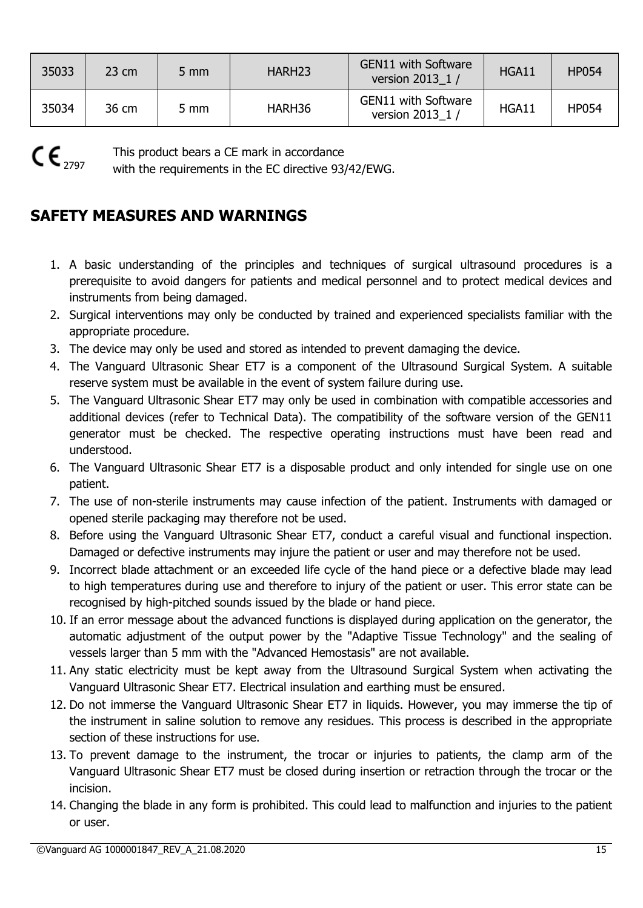| 35033 | $23 \text{ cm}$ | $5 \, \text{mm}$ | HARH <sub>23</sub> | <b>GEN11 with Software</b><br>version 2013 1 / | HGA11 | <b>HP054</b> |
|-------|-----------------|------------------|--------------------|------------------------------------------------|-------|--------------|
| 35034 | 36 cm           | 5 mm             | HARH36             | <b>GEN11 with Software</b><br>version 2013 1 / | HGA11 | <b>HP054</b> |

 $CE_{2797}$ 

This product bears a CE mark in accordance

with the requirements in the EC directive 93/42/EWG.

# **SAFETY MEASURES AND WARNINGS**

- 1. A basic understanding of the principles and techniques of surgical ultrasound procedures is a prerequisite to avoid dangers for patients and medical personnel and to protect medical devices and instruments from being damaged.
- 2. Surgical interventions may only be conducted by trained and experienced specialists familiar with the appropriate procedure.
- 3. The device may only be used and stored as intended to prevent damaging the device.
- 4. The Vanguard Ultrasonic Shear ET7 is a component of the Ultrasound Surgical System. A suitable reserve system must be available in the event of system failure during use.
- 5. The Vanguard Ultrasonic Shear ET7 may only be used in combination with compatible accessories and additional devices (refer to Technical Data). The compatibility of the software version of the GEN11 generator must be checked. The respective operating instructions must have been read and understood.
- 6. The Vanguard Ultrasonic Shear ET7 is a disposable product and only intended for single use on one patient.
- 7. The use of non-sterile instruments may cause infection of the patient. Instruments with damaged or opened sterile packaging may therefore not be used.
- 8. Before using the Vanguard Ultrasonic Shear ET7, conduct a careful visual and functional inspection. Damaged or defective instruments may injure the patient or user and may therefore not be used.
- 9. Incorrect blade attachment or an exceeded life cycle of the hand piece or a defective blade may lead to high temperatures during use and therefore to injury of the patient or user. This error state can be recognised by high-pitched sounds issued by the blade or hand piece.
- 10. If an error message about the advanced functions is displayed during application on the generator, the automatic adjustment of the output power by the "Adaptive Tissue Technology" and the sealing of vessels larger than 5 mm with the "Advanced Hemostasis" are not available.
- 11. Any static electricity must be kept away from the Ultrasound Surgical System when activating the Vanguard Ultrasonic Shear ET7. Electrical insulation and earthing must be ensured.
- 12. Do not immerse the Vanguard Ultrasonic Shear ET7 in liquids. However, you may immerse the tip of the instrument in saline solution to remove any residues. This process is described in the appropriate section of these instructions for use.
- 13. To prevent damage to the instrument, the trocar or injuries to patients, the clamp arm of the Vanguard Ultrasonic Shear ET7 must be closed during insertion or retraction through the trocar or the incision.
- 14. Changing the blade in any form is prohibited. This could lead to malfunction and injuries to the patient or user.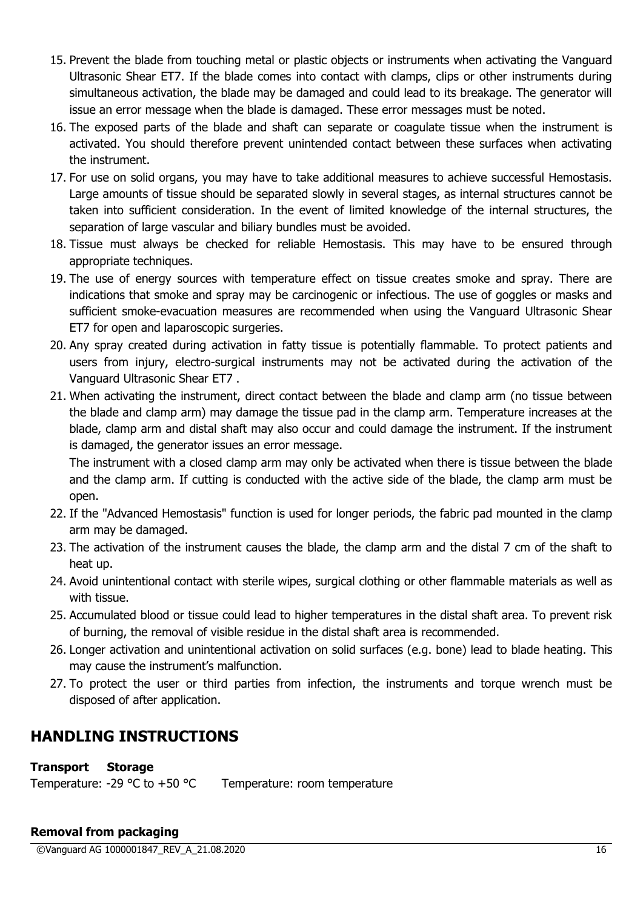- 15. Prevent the blade from touching metal or plastic objects or instruments when activating the Vanguard Ultrasonic Shear ET7. If the blade comes into contact with clamps, clips or other instruments during simultaneous activation, the blade may be damaged and could lead to its breakage. The generator will issue an error message when the blade is damaged. These error messages must be noted.
- 16. The exposed parts of the blade and shaft can separate or coagulate tissue when the instrument is activated. You should therefore prevent unintended contact between these surfaces when activating the instrument.
- 17. For use on solid organs, you may have to take additional measures to achieve successful Hemostasis. Large amounts of tissue should be separated slowly in several stages, as internal structures cannot be taken into sufficient consideration. In the event of limited knowledge of the internal structures, the separation of large vascular and biliary bundles must be avoided.
- 18. Tissue must always be checked for reliable Hemostasis. This may have to be ensured through appropriate techniques.
- 19. The use of energy sources with temperature effect on tissue creates smoke and spray. There are indications that smoke and spray may be carcinogenic or infectious. The use of goggles or masks and sufficient smoke-evacuation measures are recommended when using the Vanguard Ultrasonic Shear ET7 for open and laparoscopic surgeries.
- 20. Any spray created during activation in fatty tissue is potentially flammable. To protect patients and users from injury, electro-surgical instruments may not be activated during the activation of the Vanguard Ultrasonic Shear ET7 .
- 21. When activating the instrument, direct contact between the blade and clamp arm (no tissue between the blade and clamp arm) may damage the tissue pad in the clamp arm. Temperature increases at the blade, clamp arm and distal shaft may also occur and could damage the instrument. If the instrument is damaged, the generator issues an error message.

The instrument with a closed clamp arm may only be activated when there is tissue between the blade and the clamp arm. If cutting is conducted with the active side of the blade, the clamp arm must be open.

- 22. If the "Advanced Hemostasis" function is used for longer periods, the fabric pad mounted in the clamp arm may be damaged.
- 23. The activation of the instrument causes the blade, the clamp arm and the distal 7 cm of the shaft to heat up.
- 24. Avoid unintentional contact with sterile wipes, surgical clothing or other flammable materials as well as with tissue.
- 25. Accumulated blood or tissue could lead to higher temperatures in the distal shaft area. To prevent risk of burning, the removal of visible residue in the distal shaft area is recommended.
- 26. Longer activation and unintentional activation on solid surfaces (e.g. bone) lead to blade heating. This may cause the instrument's malfunction.
- 27. To protect the user or third parties from infection, the instruments and torque wrench must be disposed of after application.

# **HANDLING INSTRUCTIONS**

# **Transport Storage**

Temperature: -29  $^{\circ}$ C to +50  $^{\circ}$ C Temperature: room temperature

# **Removal from packaging**

©Vanguard AG 1000001847\_REV\_A\_21.08.2020 16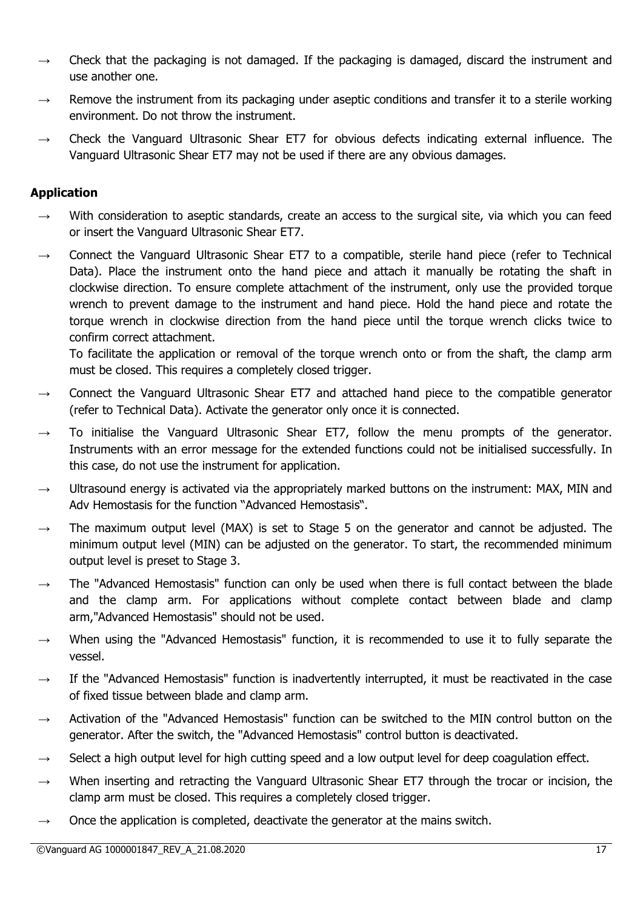- $\rightarrow$  Check that the packaging is not damaged. If the packaging is damaged, discard the instrument and use another one.
- $\rightarrow$  Remove the instrument from its packaging under aseptic conditions and transfer it to a sterile working environment. Do not throw the instrument.
- $\rightarrow$  Check the Vanguard Ultrasonic Shear ET7 for obvious defects indicating external influence. The Vanguard Ultrasonic Shear ET7 may not be used if there are any obvious damages.

# **Application**

- $\rightarrow$  With consideration to aseptic standards, create an access to the surgical site, via which you can feed or insert the Vanguard Ultrasonic Shear ET7.
- $\rightarrow$  Connect the Vanguard Ultrasonic Shear ET7 to a compatible, sterile hand piece (refer to Technical Data). Place the instrument onto the hand piece and attach it manually be rotating the shaft in clockwise direction. To ensure complete attachment of the instrument, only use the provided torque wrench to prevent damage to the instrument and hand piece. Hold the hand piece and rotate the torque wrench in clockwise direction from the hand piece until the torque wrench clicks twice to confirm correct attachment.

To facilitate the application or removal of the torque wrench onto or from the shaft, the clamp arm must be closed. This requires a completely closed trigger.

- $\rightarrow$  Connect the Vanguard Ultrasonic Shear ET7 and attached hand piece to the compatible generator (refer to Technical Data). Activate the generator only once it is connected.
- $\rightarrow$  To initialise the Vanguard Ultrasonic Shear ET7, follow the menu prompts of the generator. Instruments with an error message for the extended functions could not be initialised successfully. In this case, do not use the instrument for application.
- $\rightarrow$  Ultrasound energy is activated via the appropriately marked buttons on the instrument: MAX, MIN and Adv Hemostasis for the function "Advanced Hemostasis".
- $\rightarrow$  The maximum output level (MAX) is set to Stage 5 on the generator and cannot be adjusted. The minimum output level (MIN) can be adjusted on the generator. To start, the recommended minimum output level is preset to Stage 3.
- $\rightarrow$  The "Advanced Hemostasis" function can only be used when there is full contact between the blade and the clamp arm. For applications without complete contact between blade and clamp arm,"Advanced Hemostasis" should not be used.
- When using the "Advanced Hemostasis" function, it is recommended to use it to fully separate the vessel.
- $\rightarrow$  If the "Advanced Hemostasis" function is inadvertently interrupted, it must be reactivated in the case of fixed tissue between blade and clamp arm.
- $\rightarrow$  Activation of the "Advanced Hemostasis" function can be switched to the MIN control button on the generator. After the switch, the "Advanced Hemostasis" control button is deactivated.
- $\rightarrow$  Select a high output level for high cutting speed and a low output level for deep coagulation effect.
- $\rightarrow$  When inserting and retracting the Vanguard Ultrasonic Shear ET7 through the trocar or incision, the clamp arm must be closed. This requires a completely closed trigger.
- $\rightarrow$  Once the application is completed, deactivate the generator at the mains switch.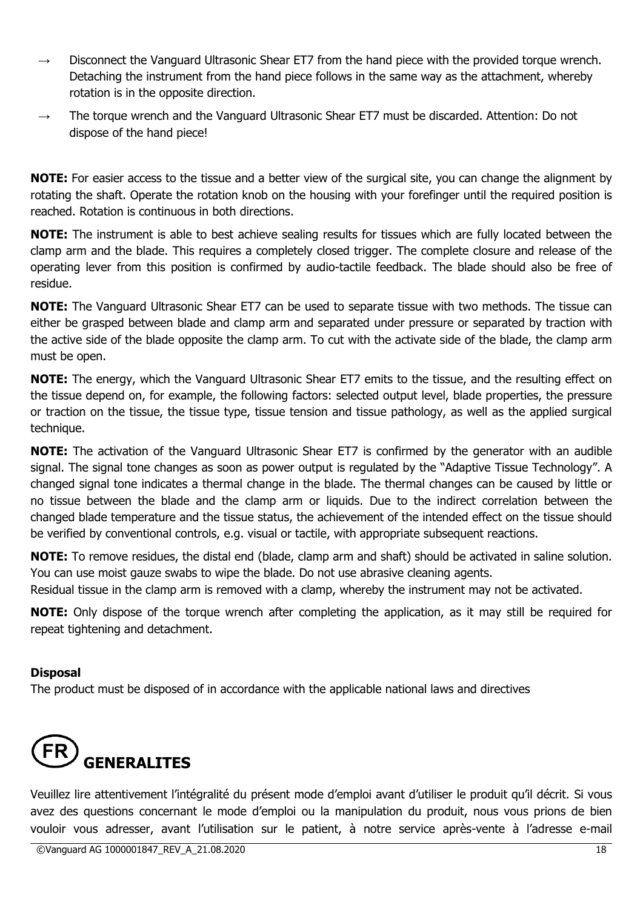- $\rightarrow$  Disconnect the Vanguard Ultrasonic Shear ET7 from the hand piece with the provided torque wrench. Detaching the instrument from the hand piece follows in the same way as the attachment, whereby rotation is in the opposite direction.
- The torque wrench and the Vanguard Ultrasonic Shear ET7 must be discarded. Attention: Do not dispose of the hand piece!

**NOTE:** For easier access to the tissue and a better view of the surgical site, you can change the alignment by rotating the shaft. Operate the rotation knob on the housing with your forefinger until the required position is reached. Rotation is continuous in both directions.

**NOTE:** The instrument is able to best achieve sealing results for tissues which are fully located between the clamp arm and the blade. This requires a completely closed trigger. The complete closure and release of the operating lever from this position is confirmed by audio-tactile feedback. The blade should also be free of residue.

**NOTE:** The Vanguard Ultrasonic Shear ET7 can be used to separate tissue with two methods. The tissue can either be grasped between blade and clamp arm and separated under pressure or separated by traction with the active side of the blade opposite the clamp arm. To cut with the activate side of the blade, the clamp arm must be open.

**NOTE:** The energy, which the Vanguard Ultrasonic Shear ET7 emits to the tissue, and the resulting effect on the tissue depend on, for example, the following factors: selected output level, blade properties, the pressure or traction on the tissue, the tissue type, tissue tension and tissue pathology, as well as the applied surgical technique.

**NOTE:** The activation of the Vanguard Ultrasonic Shear ET7 is confirmed by the generator with an audible signal. The signal tone changes as soon as power output is regulated by the "Adaptive Tissue Technology". A changed signal tone indicates a thermal change in the blade. The thermal changes can be caused by little or no tissue between the blade and the clamp arm or liquids. Due to the indirect correlation between the changed blade temperature and the tissue status, the achievement of the intended effect on the tissue should be verified by conventional controls, e.g. visual or tactile, with appropriate subsequent reactions.

**NOTE:** To remove residues, the distal end (blade, clamp arm and shaft) should be activated in saline solution. You can use moist gauze swabs to wipe the blade. Do not use abrasive cleaning agents.

Residual tissue in the clamp arm is removed with a clamp, whereby the instrument may not be activated.

**NOTE:** Only dispose of the torque wrench after completing the application, as it may still be required for repeat tightening and detachment.

# **Disposal**

The product must be disposed of in accordance with the applicable national laws and directives



Veuillez lire attentivement l'intégralité du présent mode d'emploi avant d'utiliser le produit qu'il décrit. Si vous avez des questions concernant le mode d'emploi ou la manipulation du produit, nous vous prions de bien vouloir vous adresser, avant l'utilisation sur le patient, à notre service après-vente à l'adresse e-mail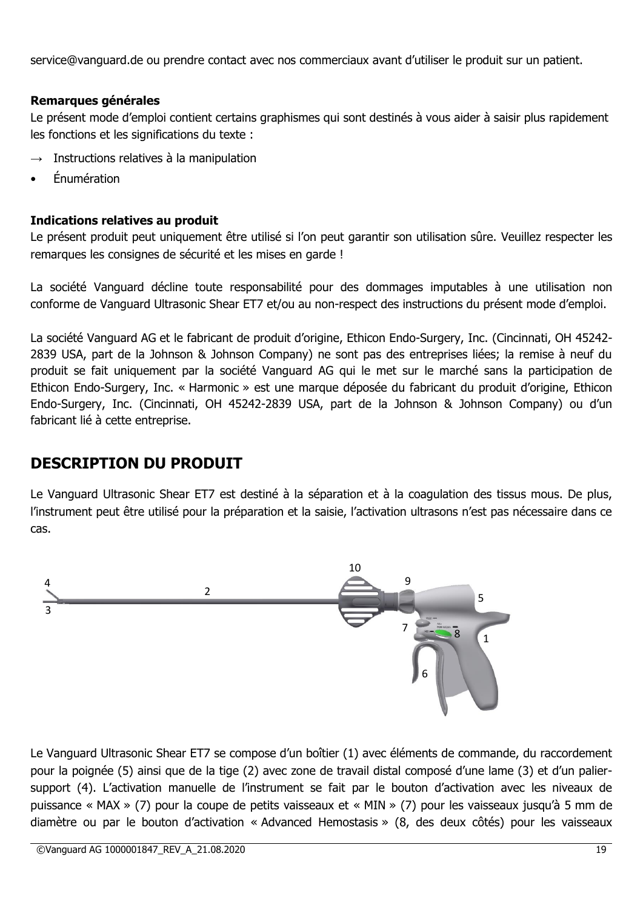service@vanguard.de ou prendre contact avec nos commerciaux avant d'utiliser le produit sur un patient.

# **Remarques générales**

Le présent mode d'emploi contient certains graphismes qui sont destinés à vous aider à saisir plus rapidement les fonctions et les significations du texte :

- Instructions relatives à la manipulation
- Énumération

# **Indications relatives au produit**

Le présent produit peut uniquement être utilisé si l'on peut garantir son utilisation sûre. Veuillez respecter les remarques les consignes de sécurité et les mises en garde !

La société Vanguard décline toute responsabilité pour des dommages imputables à une utilisation non conforme de Vanguard Ultrasonic Shear ET7 et/ou au non-respect des instructions du présent mode d'emploi.

La société Vanguard AG et le fabricant de produit d'origine, Ethicon Endo-Surgery, Inc. (Cincinnati, OH 45242- 2839 USA, part de la Johnson & Johnson Company) ne sont pas des entreprises liées; la remise à neuf du produit se fait uniquement par la société Vanguard AG qui le met sur le marché sans la participation de Ethicon Endo-Surgery, Inc. « Harmonic » est une marque déposée du fabricant du produit d'origine, Ethicon Endo-Surgery, Inc. (Cincinnati, OH 45242-2839 USA, part de la Johnson & Johnson Company) ou d'un fabricant lié à cette entreprise.

# **DESCRIPTION DU PRODUIT**

Le Vanguard Ultrasonic Shear ET7 est destiné à la séparation et à la coagulation des tissus mous. De plus, l'instrument peut être utilisé pour la préparation et la saisie, l'activation ultrasons n'est pas nécessaire dans ce cas.



Le Vanguard Ultrasonic Shear ET7 se compose d'un boîtier (1) avec éléments de commande, du raccordement pour la poignée (5) ainsi que de la tige (2) avec zone de travail distal composé d'une lame (3) et d'un paliersupport (4). L'activation manuelle de l'instrument se fait par le bouton d'activation avec les niveaux de puissance « MAX » (7) pour la coupe de petits vaisseaux et « MIN » (7) pour les vaisseaux jusqu'à 5 mm de diamètre ou par le bouton d'activation « Advanced Hemostasis » (8, des deux côtés) pour les vaisseaux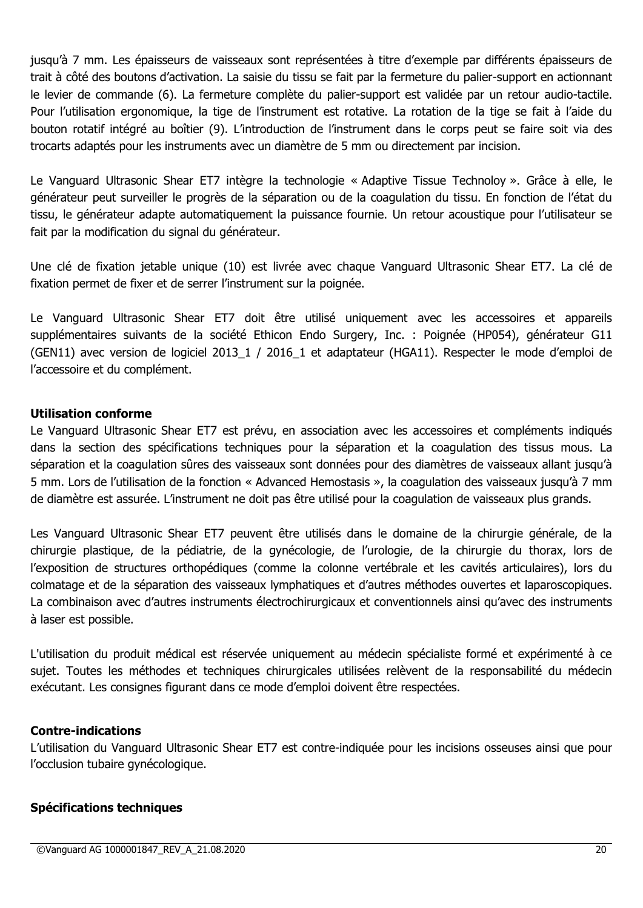jusqu'à 7 mm. Les épaisseurs de vaisseaux sont représentées à titre d'exemple par différents épaisseurs de trait à côté des boutons d'activation. La saisie du tissu se fait par la fermeture du palier-support en actionnant le levier de commande (6). La fermeture complète du palier-support est validée par un retour audio-tactile. Pour l'utilisation ergonomique, la tige de l'instrument est rotative. La rotation de la tige se fait à l'aide du bouton rotatif intégré au boîtier (9). L'introduction de l'instrument dans le corps peut se faire soit via des trocarts adaptés pour les instruments avec un diamètre de 5 mm ou directement par incision.

Le Vanguard Ultrasonic Shear ET7 intègre la technologie « Adaptive Tissue Technoloy ». Grâce à elle, le générateur peut surveiller le progrès de la séparation ou de la coagulation du tissu. En fonction de l'état du tissu, le générateur adapte automatiquement la puissance fournie. Un retour acoustique pour l'utilisateur se fait par la modification du signal du générateur.

Une clé de fixation jetable unique (10) est livrée avec chaque Vanguard Ultrasonic Shear ET7. La clé de fixation permet de fixer et de serrer l'instrument sur la poignée.

Le Vanguard Ultrasonic Shear ET7 doit être utilisé uniquement avec les accessoires et appareils supplémentaires suivants de la société Ethicon Endo Surgery, Inc. : Poignée (HP054), générateur G11 (GEN11) avec version de logiciel 2013\_1 / 2016\_1 et adaptateur (HGA11). Respecter le mode d'emploi de l'accessoire et du complément.

# **Utilisation conforme**

Le Vanguard Ultrasonic Shear ET7 est prévu, en association avec les accessoires et compléments indiqués dans la section des spécifications techniques pour la séparation et la coagulation des tissus mous. La séparation et la coagulation sûres des vaisseaux sont données pour des diamètres de vaisseaux allant jusqu'à 5 mm. Lors de l'utilisation de la fonction « Advanced Hemostasis », la coagulation des vaisseaux jusqu'à 7 mm de diamètre est assurée. L'instrument ne doit pas être utilisé pour la coagulation de vaisseaux plus grands.

Les Vanguard Ultrasonic Shear ET7 peuvent être utilisés dans le domaine de la chirurgie générale, de la chirurgie plastique, de la pédiatrie, de la gynécologie, de l'urologie, de la chirurgie du thorax, lors de l'exposition de structures orthopédiques (comme la colonne vertébrale et les cavités articulaires), lors du colmatage et de la séparation des vaisseaux lymphatiques et d'autres méthodes ouvertes et laparoscopiques. La combinaison avec d'autres instruments électrochirurgicaux et conventionnels ainsi qu'avec des instruments à laser est possible.

L'utilisation du produit médical est réservée uniquement au médecin spécialiste formé et expérimenté à ce sujet. Toutes les méthodes et techniques chirurgicales utilisées relèvent de la responsabilité du médecin exécutant. Les consignes figurant dans ce mode d'emploi doivent être respectées.

#### **Contre-indications**

L'utilisation du Vanguard Ultrasonic Shear ET7 est contre-indiquée pour les incisions osseuses ainsi que pour l'occlusion tubaire gynécologique.

#### **Spécifications techniques**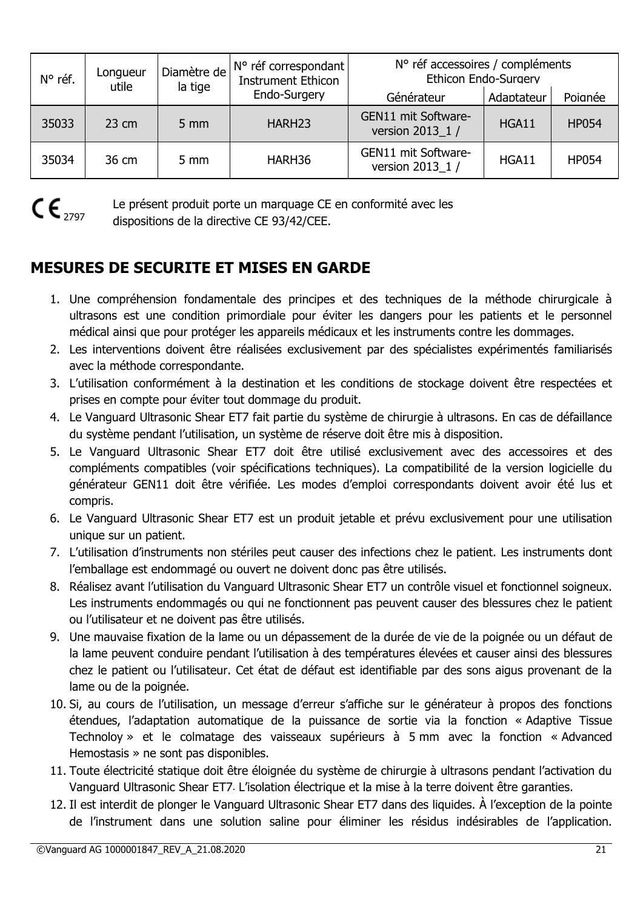| N° réf. | Longueur<br>la tige<br>utile | Diamètre de      | N° réf correspondant<br><b>Instrument Ethicon</b><br>Endo-Surgery | N° réf accessoires / compléments<br>Ethicon Endo-Surgery |            |              |
|---------|------------------------------|------------------|-------------------------------------------------------------------|----------------------------------------------------------|------------|--------------|
|         |                              |                  |                                                                   | Générateur                                               | Adaptateur | Poianée      |
| 35033   | $23 \text{ cm}$              | $5 \, \text{mm}$ | HARH <sub>23</sub>                                                | GEN11 mit Software-<br>version 2013_1 /                  | HGA11      | <b>HP054</b> |
| 35034   | 36 cm                        | $5 \text{ mm}$   | HARH36                                                            | GEN11 mit Software-<br>version 2013 1 /                  | HGA11      | <b>HP054</b> |



Le présent produit porte un marquage CE en conformité avec les dispositions de la directive CE 93/42/CEE.

# **MESURES DE SECURITE ET MISES EN GARDE**

- 1. Une compréhension fondamentale des principes et des techniques de la méthode chirurgicale à ultrasons est une condition primordiale pour éviter les dangers pour les patients et le personnel médical ainsi que pour protéger les appareils médicaux et les instruments contre les dommages.
- 2. Les interventions doivent être réalisées exclusivement par des spécialistes expérimentés familiarisés avec la méthode correspondante.
- 3. L'utilisation conformément à la destination et les conditions de stockage doivent être respectées et prises en compte pour éviter tout dommage du produit.
- 4. Le Vanguard Ultrasonic Shear ET7 fait partie du système de chirurgie à ultrasons. En cas de défaillance du système pendant l'utilisation, un système de réserve doit être mis à disposition.
- 5. Le Vanguard Ultrasonic Shear ET7 doit être utilisé exclusivement avec des accessoires et des compléments compatibles (voir spécifications techniques). La compatibilité de la version logicielle du générateur GEN11 doit être vérifiée. Les modes d'emploi correspondants doivent avoir été lus et compris.
- 6. Le Vanguard Ultrasonic Shear ET7 est un produit jetable et prévu exclusivement pour une utilisation unique sur un patient.
- 7. L'utilisation d'instruments non stériles peut causer des infections chez le patient. Les instruments dont l'emballage est endommagé ou ouvert ne doivent donc pas être utilisés.
- 8. Réalisez avant l'utilisation du Vanguard Ultrasonic Shear ET7 un contrôle visuel et fonctionnel soigneux. Les instruments endommagés ou qui ne fonctionnent pas peuvent causer des blessures chez le patient ou l'utilisateur et ne doivent pas être utilisés.
- 9. Une mauvaise fixation de la lame ou un dépassement de la durée de vie de la poignée ou un défaut de la lame peuvent conduire pendant l'utilisation à des températures élevées et causer ainsi des blessures chez le patient ou l'utilisateur. Cet état de défaut est identifiable par des sons aigus provenant de la lame ou de la poignée.
- 10. Si, au cours de l'utilisation, un message d'erreur s'affiche sur le générateur à propos des fonctions étendues, l'adaptation automatique de la puissance de sortie via la fonction « Adaptive Tissue Technoloy » et le colmatage des vaisseaux supérieurs à 5 mm avec la fonction « Advanced Hemostasis » ne sont pas disponibles.
- 11. Toute électricité statique doit être éloignée du système de chirurgie à ultrasons pendant l'activation du Vanguard Ultrasonic Shear ET7. L'isolation électrique et la mise à la terre doivent être garanties.
- 12. Il est interdit de plonger le Vanguard Ultrasonic Shear ET7 dans des liquides. À l'exception de la pointe de l'instrument dans une solution saline pour éliminer les résidus indésirables de l'application.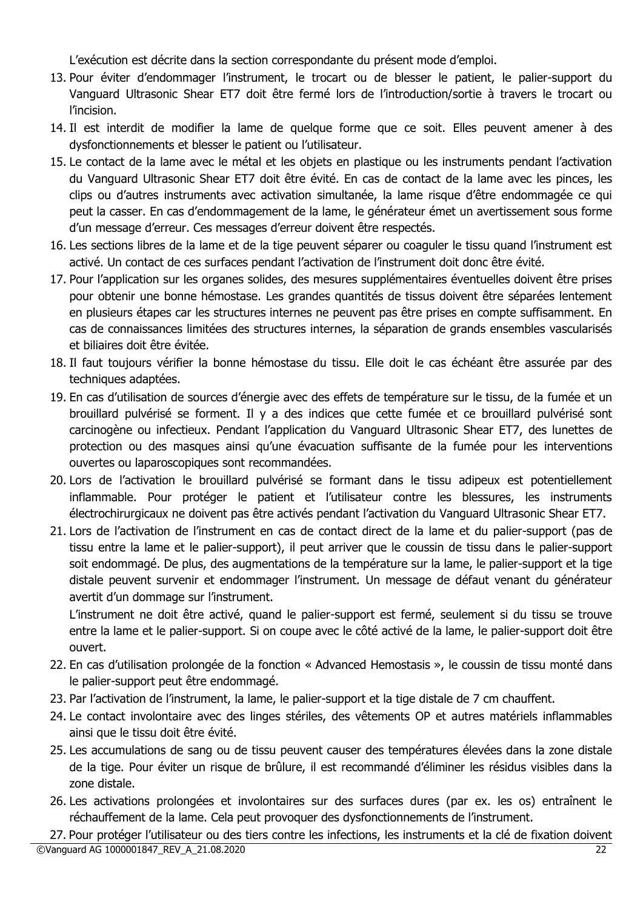L'exécution est décrite dans la section correspondante du présent mode d'emploi.

- 13. Pour éviter d'endommager l'instrument, le trocart ou de blesser le patient, le palier-support du Vanguard Ultrasonic Shear ET7 doit être fermé lors de l'introduction/sortie à travers le trocart ou l'incision.
- 14. Il est interdit de modifier la lame de quelque forme que ce soit. Elles peuvent amener à des dysfonctionnements et blesser le patient ou l'utilisateur.
- 15. Le contact de la lame avec le métal et les objets en plastique ou les instruments pendant l'activation du Vanguard Ultrasonic Shear ET7 doit être évité. En cas de contact de la lame avec les pinces, les clips ou d'autres instruments avec activation simultanée, la lame risque d'être endommagée ce qui peut la casser. En cas d'endommagement de la lame, le générateur émet un avertissement sous forme d'un message d'erreur. Ces messages d'erreur doivent être respectés.
- 16. Les sections libres de la lame et de la tige peuvent séparer ou coaguler le tissu quand l'instrument est activé. Un contact de ces surfaces pendant l'activation de l'instrument doit donc être évité.
- 17. Pour l'application sur les organes solides, des mesures supplémentaires éventuelles doivent être prises pour obtenir une bonne hémostase. Les grandes quantités de tissus doivent être séparées lentement en plusieurs étapes car les structures internes ne peuvent pas être prises en compte suffisamment. En cas de connaissances limitées des structures internes, la séparation de grands ensembles vascularisés et biliaires doit être évitée.
- 18. Il faut toujours vérifier la bonne hémostase du tissu. Elle doit le cas échéant être assurée par des techniques adaptées.
- 19. En cas d'utilisation de sources d'énergie avec des effets de température sur le tissu, de la fumée et un brouillard pulvérisé se forment. Il y a des indices que cette fumée et ce brouillard pulvérisé sont carcinogène ou infectieux. Pendant l'application du Vanguard Ultrasonic Shear ET7, des lunettes de protection ou des masques ainsi qu'une évacuation suffisante de la fumée pour les interventions ouvertes ou laparoscopiques sont recommandées.
- 20. Lors de l'activation le brouillard pulvérisé se formant dans le tissu adipeux est potentiellement inflammable. Pour protéger le patient et l'utilisateur contre les blessures, les instruments électrochirurgicaux ne doivent pas être activés pendant l'activation du Vanguard Ultrasonic Shear ET7.
- 21. Lors de l'activation de l'instrument en cas de contact direct de la lame et du palier-support (pas de tissu entre la lame et le palier-support), il peut arriver que le coussin de tissu dans le palier-support soit endommagé. De plus, des augmentations de la température sur la lame, le palier-support et la tige distale peuvent survenir et endommager l'instrument. Un message de défaut venant du générateur avertit d'un dommage sur l'instrument.

L'instrument ne doit être activé, quand le palier-support est fermé, seulement si du tissu se trouve entre la lame et le palier-support. Si on coupe avec le côté activé de la lame, le palier-support doit être ouvert.

- 22. En cas d'utilisation prolongée de la fonction « Advanced Hemostasis », le coussin de tissu monté dans le palier-support peut être endommagé.
- 23. Par l'activation de l'instrument, la lame, le palier-support et la tige distale de 7 cm chauffent.
- 24. Le contact involontaire avec des linges stériles, des vêtements OP et autres matériels inflammables ainsi que le tissu doit être évité.
- 25. Les accumulations de sang ou de tissu peuvent causer des températures élevées dans la zone distale de la tige. Pour éviter un risque de brûlure, il est recommandé d'éliminer les résidus visibles dans la zone distale.
- 26. Les activations prolongées et involontaires sur des surfaces dures (par ex. les os) entraînent le réchauffement de la lame. Cela peut provoquer des dysfonctionnements de l'instrument.

©Vanguard AG 1000001847\_REV\_A\_21.08.2020 22 27. Pour protéger l'utilisateur ou des tiers contre les infections, les instruments et la clé de fixation doivent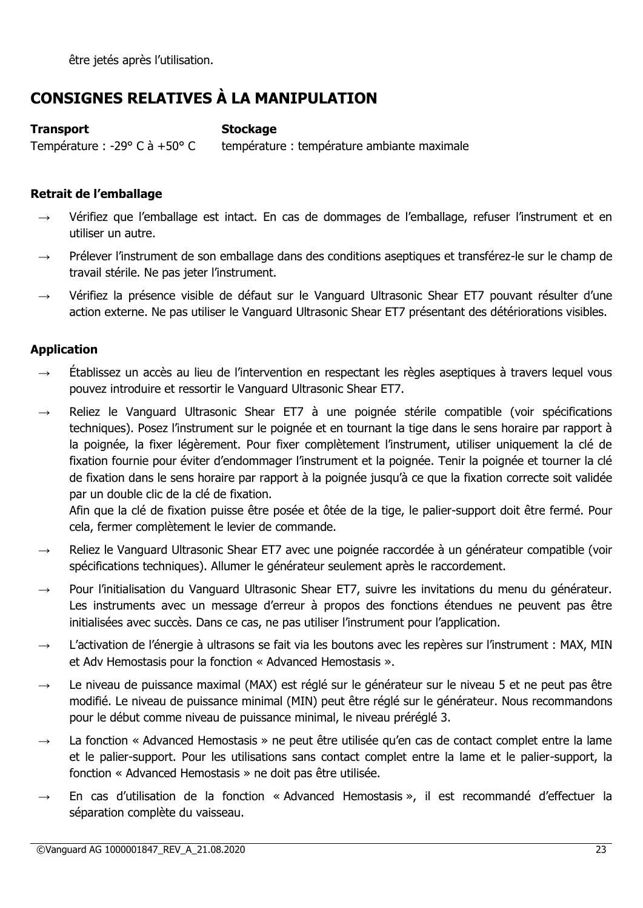être jetés après l'utilisation.

# **CONSIGNES RELATIVES À LA MANIPULATION**

# **Transport Stockage**

Température : -29 $\degree$  C à +50 $\degree$  C température : température ambiante maximale

# **Retrait de l'emballage**

- Vérifiez que l'emballage est intact. En cas de dommages de l'emballage, refuser l'instrument et en utiliser un autre.
- Prélever l'instrument de son emballage dans des conditions aseptiques et transférez-le sur le champ de travail stérile. Ne pas jeter l'instrument.
- → Vérifiez la présence visible de défaut sur le Vanguard Ultrasonic Shear ET7 pouvant résulter d'une action externe. Ne pas utiliser le Vanguard Ultrasonic Shear ET7 présentant des détériorations visibles.

# **Application**

- $\rightarrow$  Établissez un accès au lieu de l'intervention en respectant les règles aseptiques à travers lequel vous pouvez introduire et ressortir le Vanguard Ultrasonic Shear ET7.
- $\rightarrow$  Reliez le Vanguard Ultrasonic Shear ET7 à une poignée stérile compatible (voir spécifications techniques). Posez l'instrument sur le poignée et en tournant la tige dans le sens horaire par rapport à la poignée, la fixer légèrement. Pour fixer complètement l'instrument, utiliser uniquement la clé de fixation fournie pour éviter d'endommager l'instrument et la poignée. Tenir la poignée et tourner la clé de fixation dans le sens horaire par rapport à la poignée jusqu'à ce que la fixation correcte soit validée par un double clic de la clé de fixation.

Afin que la clé de fixation puisse être posée et ôtée de la tige, le palier-support doit être fermé. Pour cela, fermer complètement le levier de commande.

- Reliez le Vanguard Ultrasonic Shear ET7 avec une poignée raccordée à un générateur compatible (voir spécifications techniques). Allumer le générateur seulement après le raccordement.
- Pour l'initialisation du Vanguard Ultrasonic Shear ET7, suivre les invitations du menu du générateur. Les instruments avec un message d'erreur à propos des fonctions étendues ne peuvent pas être initialisées avec succès. Dans ce cas, ne pas utiliser l'instrument pour l'application.
- L'activation de l'énergie à ultrasons se fait via les boutons avec les repères sur l'instrument : MAX, MIN et Adv Hemostasis pour la fonction « Advanced Hemostasis ».
- → Le niveau de puissance maximal (MAX) est réglé sur le générateur sur le niveau 5 et ne peut pas être modifié. Le niveau de puissance minimal (MIN) peut être réglé sur le générateur. Nous recommandons pour le début comme niveau de puissance minimal, le niveau préréglé 3.
- $\rightarrow$  La fonction « Advanced Hemostasis » ne peut être utilisée qu'en cas de contact complet entre la lame et le palier-support. Pour les utilisations sans contact complet entre la lame et le palier-support, la fonction « Advanced Hemostasis » ne doit pas être utilisée.
- En cas d'utilisation de la fonction « Advanced Hemostasis », il est recommandé d'effectuer la séparation complète du vaisseau.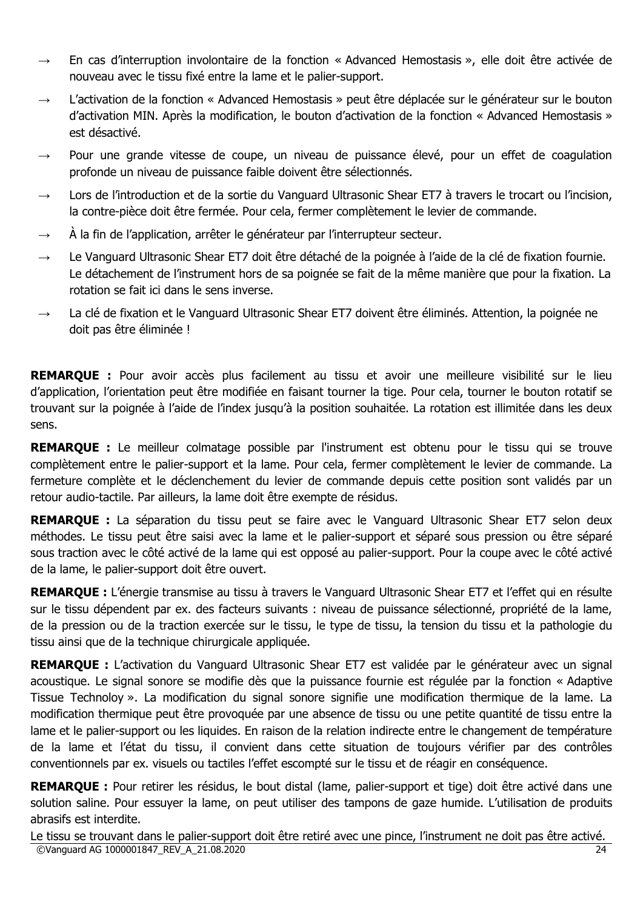- $\rightarrow$  En cas d'interruption involontaire de la fonction « Advanced Hemostasis », elle doit être activée de nouveau avec le tissu fixé entre la lame et le palier-support.
- → L'activation de la fonction « Advanced Hemostasis » peut être déplacée sur le générateur sur le bouton d'activation MIN. Après la modification, le bouton d'activation de la fonction « Advanced Hemostasis » est désactivé.
- Pour une grande vitesse de coupe, un niveau de puissance élevé, pour un effet de coagulation profonde un niveau de puissance faible doivent être sélectionnés.
- $\rightarrow$  Lors de l'introduction et de la sortie du Vanguard Ultrasonic Shear ET7 à travers le trocart ou l'incision, la contre-pièce doit être fermée. Pour cela, fermer complètement le levier de commande.
- $\rightarrow$   $\dot{A}$  la fin de l'application, arrêter le générateur par l'interrupteur secteur.
- → Le Vanguard Ultrasonic Shear ET7 doit être détaché de la poignée à l'aide de la clé de fixation fournie. Le détachement de l'instrument hors de sa poignée se fait de la même manière que pour la fixation. La rotation se fait ici dans le sens inverse.
- La clé de fixation et le Vanguard Ultrasonic Shear ET7 doivent être éliminés. Attention, la poignée ne doit pas être éliminée !

**REMARQUE :** Pour avoir accès plus facilement au tissu et avoir une meilleure visibilité sur le lieu d'application, l'orientation peut être modifiée en faisant tourner la tige. Pour cela, tourner le bouton rotatif se trouvant sur la poignée à l'aide de l'index jusqu'à la position souhaitée. La rotation est illimitée dans les deux sens.

**REMARQUE :** Le meilleur colmatage possible par l'instrument est obtenu pour le tissu qui se trouve complètement entre le palier-support et la lame. Pour cela, fermer complètement le levier de commande. La fermeture complète et le déclenchement du levier de commande depuis cette position sont validés par un retour audio-tactile. Par ailleurs, la lame doit être exempte de résidus.

**REMARQUE :** La séparation du tissu peut se faire avec le Vanguard Ultrasonic Shear ET7 selon deux méthodes. Le tissu peut être saisi avec la lame et le palier-support et séparé sous pression ou être séparé sous traction avec le côté activé de la lame qui est opposé au palier-support. Pour la coupe avec le côté activé de la lame, le palier-support doit être ouvert.

**REMARQUE :** L'énergie transmise au tissu à travers le Vanguard Ultrasonic Shear ET7 et l'effet qui en résulte sur le tissu dépendent par ex. des facteurs suivants : niveau de puissance sélectionné, propriété de la lame, de la pression ou de la traction exercée sur le tissu, le type de tissu, la tension du tissu et la pathologie du tissu ainsi que de la technique chirurgicale appliquée.

**REMARQUE :** L'activation du Vanguard Ultrasonic Shear ET7 est validée par le générateur avec un signal acoustique. Le signal sonore se modifie dès que la puissance fournie est régulée par la fonction « Adaptive Tissue Technoloy ». La modification du signal sonore signifie une modification thermique de la lame. La modification thermique peut être provoquée par une absence de tissu ou une petite quantité de tissu entre la lame et le palier-support ou les liquides. En raison de la relation indirecte entre le changement de température de la lame et l'état du tissu, il convient dans cette situation de toujours vérifier par des contrôles conventionnels par ex. visuels ou tactiles l'effet escompté sur le tissu et de réagir en conséquence.

**REMARQUE :** Pour retirer les résidus, le bout distal (lame, palier-support et tige) doit être activé dans une solution saline. Pour essuyer la lame, on peut utiliser des tampons de gaze humide. L'utilisation de produits abrasifs est interdite.

©Vanguard AG 1000001847\_REV\_A\_21.08.2020 24 Le tissu se trouvant dans le palier-support doit être retiré avec une pince, l'instrument ne doit pas être activé.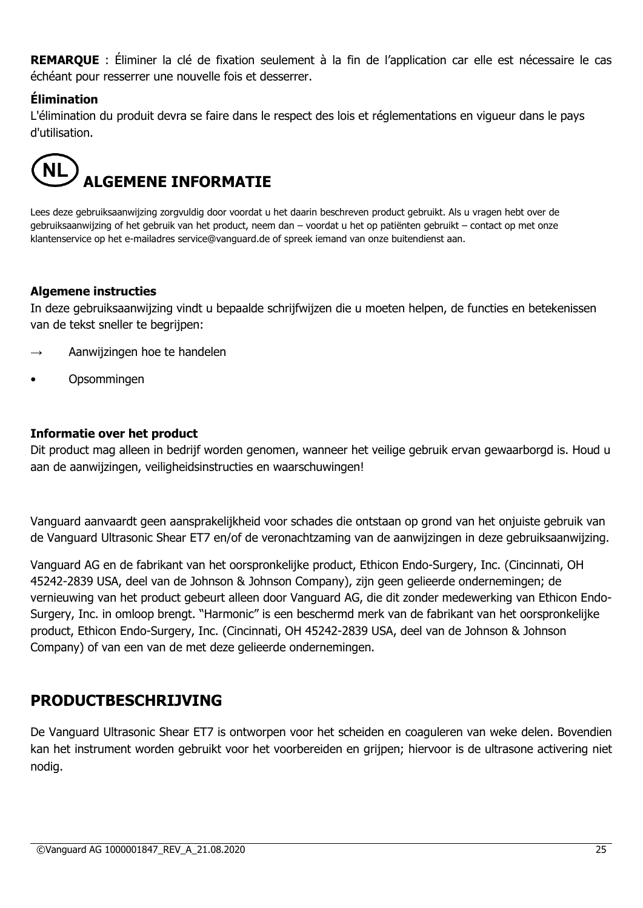**REMARQUE** : Éliminer la clé de fixation seulement à la fin de l'application car elle est nécessaire le cas échéant pour resserrer une nouvelle fois et desserrer.

# **Élimination**

L'élimination du produit devra se faire dans le respect des lois et réglementations en vigueur dans le pays d'utilisation.



Lees deze gebruiksaanwijzing zorgvuldig door voordat u het daarin beschreven product gebruikt. Als u vragen hebt over de gebruiksaanwijzing of het gebruik van het product, neem dan – voordat u het op patiënten gebruikt – contact op met onze klantenservice op het e-mailadres service@vanguard.de of spreek iemand van onze buitendienst aan.

# **Algemene instructies**

In deze gebruiksaanwijzing vindt u bepaalde schrijfwijzen die u moeten helpen, de functies en betekenissen van de tekst sneller te begrijpen:

- Aanwijzingen hoe te handelen
- Opsommingen

#### **Informatie over het product**

Dit product mag alleen in bedrijf worden genomen, wanneer het veilige gebruik ervan gewaarborgd is. Houd u aan de aanwijzingen, veiligheidsinstructies en waarschuwingen!

Vanguard aanvaardt geen aansprakelijkheid voor schades die ontstaan op grond van het onjuiste gebruik van de Vanguard Ultrasonic Shear ET7 en/of de veronachtzaming van de aanwijzingen in deze gebruiksaanwijzing.

Vanguard AG en de fabrikant van het oorspronkelijke product, Ethicon Endo-Surgery, Inc. (Cincinnati, OH 45242-2839 USA, deel van de Johnson & Johnson Company), zijn geen gelieerde ondernemingen; de vernieuwing van het product gebeurt alleen door Vanguard AG, die dit zonder medewerking van Ethicon Endo-Surgery, Inc. in omloop brengt. "Harmonic" is een beschermd merk van de fabrikant van het oorspronkelijke product, Ethicon Endo-Surgery, Inc. (Cincinnati, OH 45242-2839 USA, deel van de Johnson & Johnson Company) of van een van de met deze gelieerde ondernemingen.

# **PRODUCTBESCHRIJVING**

De Vanguard Ultrasonic Shear ET7 is ontworpen voor het scheiden en coaguleren van weke delen. Bovendien kan het instrument worden gebruikt voor het voorbereiden en grijpen; hiervoor is de ultrasone activering niet nodig.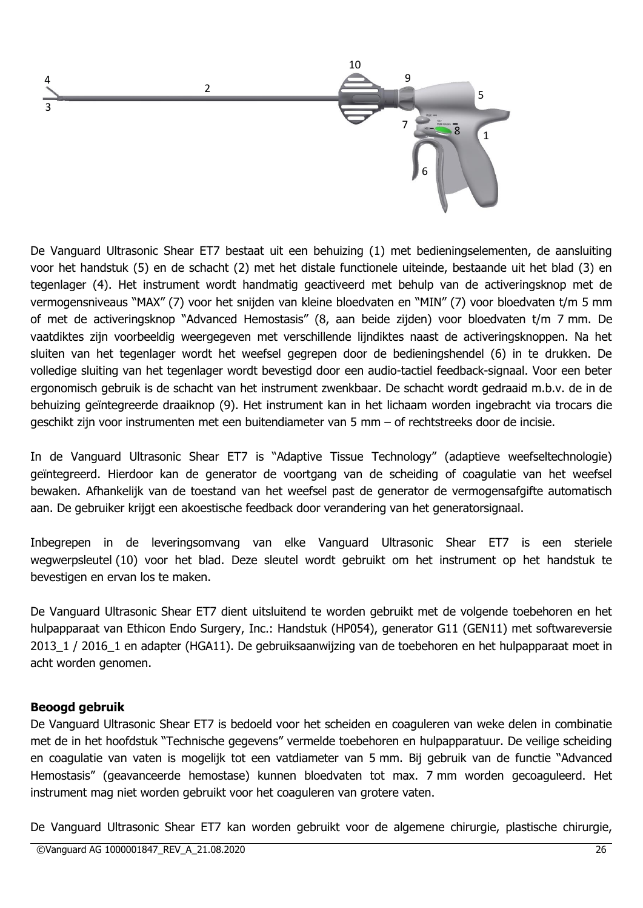

De Vanguard Ultrasonic Shear ET7 bestaat uit een behuizing (1) met bedieningselementen, de aansluiting voor het handstuk (5) en de schacht (2) met het distale functionele uiteinde, bestaande uit het blad (3) en tegenlager (4). Het instrument wordt handmatig geactiveerd met behulp van de activeringsknop met de vermogensniveaus "MAX" (7) voor het snijden van kleine bloedvaten en "MIN" (7) voor bloedvaten t/m 5 mm of met de activeringsknop "Advanced Hemostasis" (8, aan beide zijden) voor bloedvaten t/m 7 mm. De vaatdiktes zijn voorbeeldig weergegeven met verschillende lijndiktes naast de activeringsknoppen. Na het sluiten van het tegenlager wordt het weefsel gegrepen door de bedieningshendel (6) in te drukken. De volledige sluiting van het tegenlager wordt bevestigd door een audio-tactiel feedback-signaal. Voor een beter ergonomisch gebruik is de schacht van het instrument zwenkbaar. De schacht wordt gedraaid m.b.v. de in de behuizing geïntegreerde draaiknop (9). Het instrument kan in het lichaam worden ingebracht via trocars die geschikt zijn voor instrumenten met een buitendiameter van 5 mm – of rechtstreeks door de incisie.

In de Vanguard Ultrasonic Shear ET7 is "Adaptive Tissue Technology" (adaptieve weefseltechnologie) geïntegreerd. Hierdoor kan de generator de voortgang van de scheiding of coagulatie van het weefsel bewaken. Afhankelijk van de toestand van het weefsel past de generator de vermogensafgifte automatisch aan. De gebruiker krijgt een akoestische feedback door verandering van het generatorsignaal.

Inbegrepen in de leveringsomvang van elke Vanguard Ultrasonic Shear ET7 is een steriele wegwerpsleutel (10) voor het blad. Deze sleutel wordt gebruikt om het instrument op het handstuk te bevestigen en ervan los te maken.

De Vanguard Ultrasonic Shear ET7 dient uitsluitend te worden gebruikt met de volgende toebehoren en het hulpapparaat van Ethicon Endo Surgery, Inc.: Handstuk (HP054), generator G11 (GEN11) met softwareversie 2013\_1 / 2016\_1 en adapter (HGA11). De gebruiksaanwijzing van de toebehoren en het hulpapparaat moet in acht worden genomen.

#### **Beoogd gebruik**

De Vanguard Ultrasonic Shear ET7 is bedoeld voor het scheiden en coaguleren van weke delen in combinatie met de in het hoofdstuk "Technische gegevens" vermelde toebehoren en hulpapparatuur. De veilige scheiding en coagulatie van vaten is mogelijk tot een vatdiameter van 5 mm. Bij gebruik van de functie "Advanced Hemostasis" (geavanceerde hemostase) kunnen bloedvaten tot max. 7 mm worden gecoaguleerd. Het instrument mag niet worden gebruikt voor het coaguleren van grotere vaten.

De Vanguard Ultrasonic Shear ET7 kan worden gebruikt voor de algemene chirurgie, plastische chirurgie,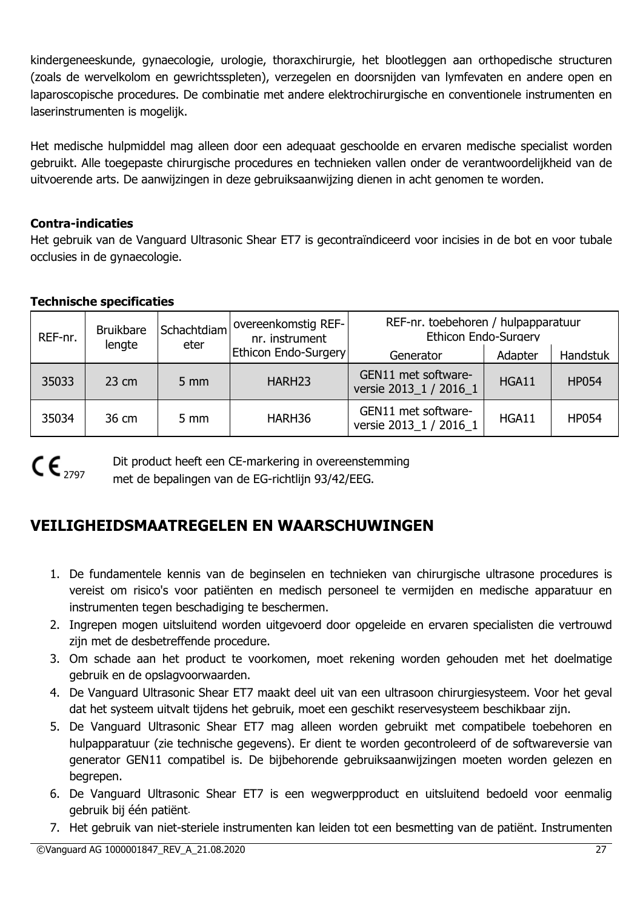kindergeneeskunde, gynaecologie, urologie, thoraxchirurgie, het blootleggen aan orthopedische structuren (zoals de wervelkolom en gewrichtsspleten), verzegelen en doorsnijden van lymfevaten en andere open en laparoscopische procedures. De combinatie met andere elektrochirurgische en conventionele instrumenten en laserinstrumenten is mogelijk.

Het medische hulpmiddel mag alleen door een adequaat geschoolde en ervaren medische specialist worden gebruikt. Alle toegepaste chirurgische procedures en technieken vallen onder de verantwoordelijkheid van de uitvoerende arts. De aanwijzingen in deze gebruiksaanwijzing dienen in acht genomen te worden.

# **Contra-indicaties**

Het gebruik van de Vanguard Ultrasonic Shear ET7 is gecontraïndiceerd voor incisies in de bot en voor tubale occlusies in de gynaecologie.

# **Technische specificaties**

| REF-nr. | <b>Bruikbare</b><br>lengte | Schachtdiam<br>eter | overeenkomstig REF-<br>nr. instrument | REF-nr. toebehoren / hulpapparatuur<br>Ethicon Endo-Surgery |         |              |
|---------|----------------------------|---------------------|---------------------------------------|-------------------------------------------------------------|---------|--------------|
|         |                            |                     | Ethicon Endo-Surgery                  | Generator                                                   | Adapter | Handstuk     |
| 35033   | $23 \text{ cm}$            | $5 \, \text{mm}$    | HARH <sub>23</sub>                    | GEN11 met software-<br>versie 2013_1 / 2016_1               | HGA11   | <b>HP054</b> |
| 35034   | 36 cm                      | $5 \text{ mm}$      | HARH36                                | GEN11 met software-<br>versie 2013 1 / 2016 1               | HGA11   | <b>HP054</b> |

 $C \epsilon_{2797}$ 

Dit product heeft een CE-markering in overeenstemming met de bepalingen van de EG-richtlijn 93/42/EEG.

# **VEILIGHEIDSMAATREGELEN EN WAARSCHUWINGEN**

- 1. De fundamentele kennis van de beginselen en technieken van chirurgische ultrasone procedures is vereist om risico's voor patiënten en medisch personeel te vermijden en medische apparatuur en instrumenten tegen beschadiging te beschermen.
- 2. Ingrepen mogen uitsluitend worden uitgevoerd door opgeleide en ervaren specialisten die vertrouwd zijn met de desbetreffende procedure.
- 3. Om schade aan het product te voorkomen, moet rekening worden gehouden met het doelmatige gebruik en de opslagvoorwaarden.
- 4. De Vanguard Ultrasonic Shear ET7 maakt deel uit van een ultrasoon chirurgiesysteem. Voor het geval dat het systeem uitvalt tijdens het gebruik, moet een geschikt reservesysteem beschikbaar zijn.
- 5. De Vanguard Ultrasonic Shear ET7 mag alleen worden gebruikt met compatibele toebehoren en hulpapparatuur (zie technische gegevens). Er dient te worden gecontroleerd of de softwareversie van generator GEN11 compatibel is. De bijbehorende gebruiksaanwijzingen moeten worden gelezen en begrepen.
- 6. De Vanguard Ultrasonic Shear ET7 is een wegwerpproduct en uitsluitend bedoeld voor eenmalig gebruik bij één patiënt.
- 7. Het gebruik van niet-steriele instrumenten kan leiden tot een besmetting van de patiënt. Instrumenten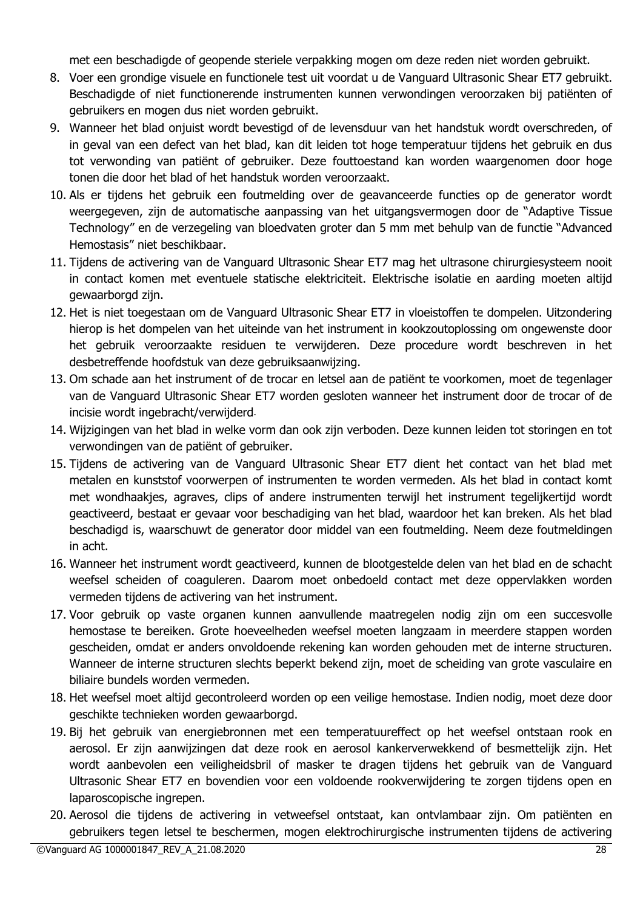met een beschadigde of geopende steriele verpakking mogen om deze reden niet worden gebruikt.

- 8. Voer een grondige visuele en functionele test uit voordat u de Vanguard Ultrasonic Shear ET7 gebruikt. Beschadigde of niet functionerende instrumenten kunnen verwondingen veroorzaken bij patiënten of gebruikers en mogen dus niet worden gebruikt.
- 9. Wanneer het blad onjuist wordt bevestigd of de levensduur van het handstuk wordt overschreden, of in geval van een defect van het blad, kan dit leiden tot hoge temperatuur tijdens het gebruik en dus tot verwonding van patiënt of gebruiker. Deze fouttoestand kan worden waargenomen door hoge tonen die door het blad of het handstuk worden veroorzaakt.
- 10. Als er tijdens het gebruik een foutmelding over de geavanceerde functies op de generator wordt weergegeven, zijn de automatische aanpassing van het uitgangsvermogen door de "Adaptive Tissue Technology" en de verzegeling van bloedvaten groter dan 5 mm met behulp van de functie "Advanced Hemostasis" niet beschikbaar.
- 11. Tijdens de activering van de Vanguard Ultrasonic Shear ET7 mag het ultrasone chirurgiesysteem nooit in contact komen met eventuele statische elektriciteit. Elektrische isolatie en aarding moeten altijd gewaarborgd zijn.
- 12. Het is niet toegestaan om de Vanguard Ultrasonic Shear ET7 in vloeistoffen te dompelen. Uitzondering hierop is het dompelen van het uiteinde van het instrument in kookzoutoplossing om ongewenste door het gebruik veroorzaakte residuen te verwijderen. Deze procedure wordt beschreven in het desbetreffende hoofdstuk van deze gebruiksaanwijzing.
- 13. Om schade aan het instrument of de trocar en letsel aan de patiënt te voorkomen, moet de tegenlager van de Vanguard Ultrasonic Shear ET7 worden gesloten wanneer het instrument door de trocar of de incisie wordt ingebracht/verwijderd.
- 14. Wijzigingen van het blad in welke vorm dan ook zijn verboden. Deze kunnen leiden tot storingen en tot verwondingen van de patiënt of gebruiker.
- 15. Tijdens de activering van de Vanguard Ultrasonic Shear ET7 dient het contact van het blad met metalen en kunststof voorwerpen of instrumenten te worden vermeden. Als het blad in contact komt met wondhaakjes, agraves, clips of andere instrumenten terwijl het instrument tegelijkertijd wordt geactiveerd, bestaat er gevaar voor beschadiging van het blad, waardoor het kan breken. Als het blad beschadigd is, waarschuwt de generator door middel van een foutmelding. Neem deze foutmeldingen in acht.
- 16. Wanneer het instrument wordt geactiveerd, kunnen de blootgestelde delen van het blad en de schacht weefsel scheiden of coaguleren. Daarom moet onbedoeld contact met deze oppervlakken worden vermeden tijdens de activering van het instrument.
- 17. Voor gebruik op vaste organen kunnen aanvullende maatregelen nodig zijn om een succesvolle hemostase te bereiken. Grote hoeveelheden weefsel moeten langzaam in meerdere stappen worden gescheiden, omdat er anders onvoldoende rekening kan worden gehouden met de interne structuren. Wanneer de interne structuren slechts beperkt bekend zijn, moet de scheiding van grote vasculaire en biliaire bundels worden vermeden.
- 18. Het weefsel moet altijd gecontroleerd worden op een veilige hemostase. Indien nodig, moet deze door geschikte technieken worden gewaarborgd.
- 19. Bij het gebruik van energiebronnen met een temperatuureffect op het weefsel ontstaan rook en aerosol. Er zijn aanwijzingen dat deze rook en aerosol kankerverwekkend of besmettelijk zijn. Het wordt aanbevolen een veiligheidsbril of masker te dragen tijdens het gebruik van de Vanguard Ultrasonic Shear ET7 en bovendien voor een voldoende rookverwijdering te zorgen tijdens open en laparoscopische ingrepen.
- 20. Aerosol die tijdens de activering in vetweefsel ontstaat, kan ontvlambaar zijn. Om patiënten en gebruikers tegen letsel te beschermen, mogen elektrochirurgische instrumenten tijdens de activering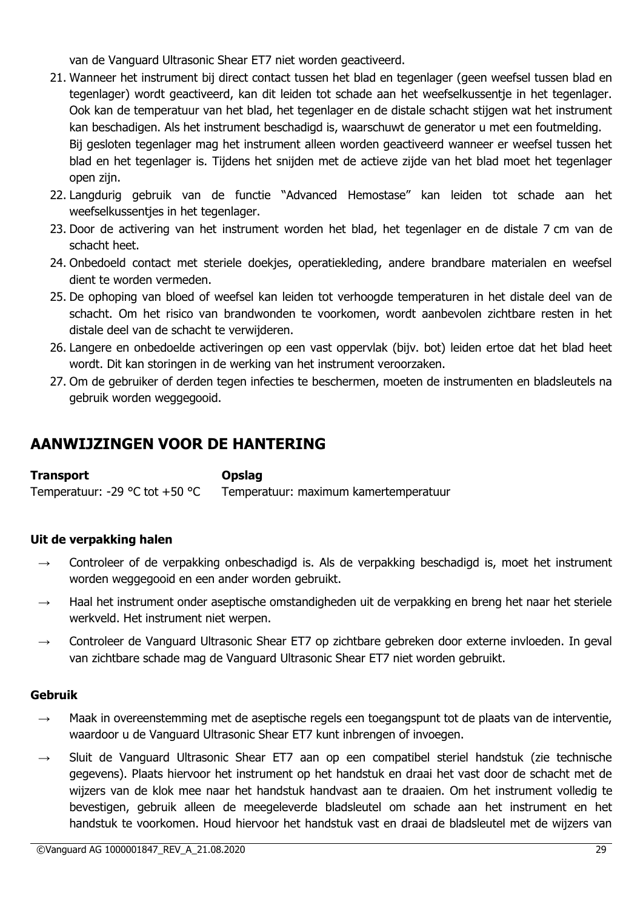van de Vanguard Ultrasonic Shear ET7 niet worden geactiveerd.

- 21. Wanneer het instrument bij direct contact tussen het blad en tegenlager (geen weefsel tussen blad en tegenlager) wordt geactiveerd, kan dit leiden tot schade aan het weefselkussentje in het tegenlager. Ook kan de temperatuur van het blad, het tegenlager en de distale schacht stijgen wat het instrument kan beschadigen. Als het instrument beschadigd is, waarschuwt de generator u met een foutmelding. Bij gesloten tegenlager mag het instrument alleen worden geactiveerd wanneer er weefsel tussen het blad en het tegenlager is. Tijdens het snijden met de actieve zijde van het blad moet het tegenlager open zijn.
- 22. Langdurig gebruik van de functie "Advanced Hemostase" kan leiden tot schade aan het weefselkussentjes in het tegenlager.
- 23. Door de activering van het instrument worden het blad, het tegenlager en de distale 7 cm van de schacht heet.
- 24. Onbedoeld contact met steriele doekjes, operatiekleding, andere brandbare materialen en weefsel dient te worden vermeden.
- 25. De ophoping van bloed of weefsel kan leiden tot verhoogde temperaturen in het distale deel van de schacht. Om het risico van brandwonden te voorkomen, wordt aanbevolen zichtbare resten in het distale deel van de schacht te verwijderen.
- 26. Langere en onbedoelde activeringen op een vast oppervlak (bijv. bot) leiden ertoe dat het blad heet wordt. Dit kan storingen in de werking van het instrument veroorzaken.
- 27. Om de gebruiker of derden tegen infecties te beschermen, moeten de instrumenten en bladsleutels na gebruik worden weggegooid.

# **AANWIJZINGEN VOOR DE HANTERING**

| Transport                      | <b>Opslag</b>                         |
|--------------------------------|---------------------------------------|
| Temperatuur: -29 °C tot +50 °C | Temperatuur: maximum kamertemperatuur |

#### **Uit de verpakking halen**

- Controleer of de verpakking onbeschadigd is. Als de verpakking beschadigd is, moet het instrument worden weggegooid en een ander worden gebruikt.
- $\rightarrow$  Haal het instrument onder aseptische omstandigheden uit de verpakking en breng het naar het steriele werkveld. Het instrument niet werpen.
- $\rightarrow$  Controleer de Vanguard Ultrasonic Shear ET7 op zichtbare gebreken door externe invloeden. In geval van zichtbare schade mag de Vanguard Ultrasonic Shear ET7 niet worden gebruikt.

#### **Gebruik**

- $\rightarrow$  Maak in overeenstemming met de aseptische regels een toegangspunt tot de plaats van de interventie, waardoor u de Vanguard Ultrasonic Shear ET7 kunt inbrengen of invoegen.
- $\rightarrow$  Sluit de Vanguard Ultrasonic Shear ET7 aan op een compatibel steriel handstuk (zie technische gegevens). Plaats hiervoor het instrument op het handstuk en draai het vast door de schacht met de wijzers van de klok mee naar het handstuk handvast aan te draaien. Om het instrument volledig te bevestigen, gebruik alleen de meegeleverde bladsleutel om schade aan het instrument en het handstuk te voorkomen. Houd hiervoor het handstuk vast en draai de bladsleutel met de wijzers van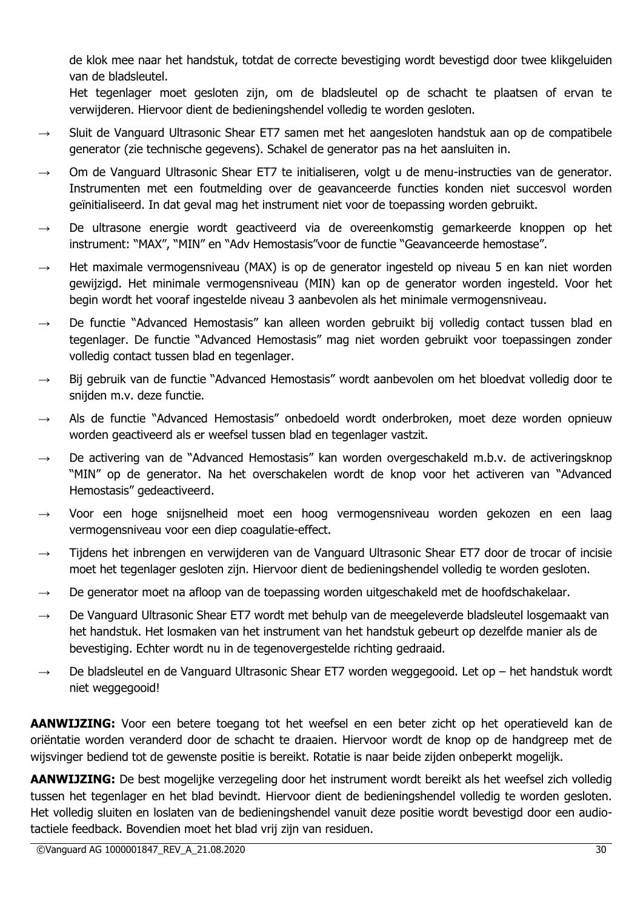de klok mee naar het handstuk, totdat de correcte bevestiging wordt bevestigd door twee klikgeluiden van de bladsleutel.

Het tegenlager moet gesloten zijn, om de bladsleutel op de schacht te plaatsen of ervan te verwijderen. Hiervoor dient de bedieningshendel volledig te worden gesloten.

- $\rightarrow$  Sluit de Vanguard Ultrasonic Shear ET7 samen met het aangesloten handstuk aan op de compatibele generator (zie technische gegevens). Schakel de generator pas na het aansluiten in.
- $\rightarrow$  Om de Vanguard Ultrasonic Shear ET7 te initialiseren, volgt u de menu-instructies van de generator. Instrumenten met een foutmelding over de geavanceerde functies konden niet succesvol worden geïnitialiseerd. In dat geval mag het instrument niet voor de toepassing worden gebruikt.
- $\rightarrow$  De ultrasone energie wordt geactiveerd via de overeenkomstig gemarkeerde knoppen op het instrument: "MAX", "MIN" en "Adv Hemostasis"voor de functie "Geavanceerde hemostase".
- $\rightarrow$  Het maximale vermogensniveau (MAX) is op de generator ingesteld op niveau 5 en kan niet worden gewijzigd. Het minimale vermogensniveau (MIN) kan op de generator worden ingesteld. Voor het begin wordt het vooraf ingestelde niveau 3 aanbevolen als het minimale vermogensniveau.
- $\rightarrow$  De functie "Advanced Hemostasis" kan alleen worden gebruikt bij volledig contact tussen blad en tegenlager. De functie "Advanced Hemostasis" mag niet worden gebruikt voor toepassingen zonder volledig contact tussen blad en tegenlager.
- $\rightarrow$  Bij gebruik van de functie "Advanced Hemostasis" wordt aanbevolen om het bloedvat volledig door te snijden m.v. deze functie.
- → Als de functie "Advanced Hemostasis" onbedoeld wordt onderbroken, moet deze worden opnieuw worden geactiveerd als er weefsel tussen blad en tegenlager vastzit.
- $\rightarrow$  De activering van de "Advanced Hemostasis" kan worden overgeschakeld m.b.v. de activeringsknop "MIN" op de generator. Na het overschakelen wordt de knop voor het activeren van "Advanced Hemostasis" gedeactiveerd.
- → Voor een hoge snijsnelheid moet een hoog vermogensniveau worden gekozen en een laag vermogensniveau voor een diep coagulatie-effect.
- → Tijdens het inbrengen en verwijderen van de Vanguard Ultrasonic Shear ET7 door de trocar of incisie moet het tegenlager gesloten zijn. Hiervoor dient de bedieningshendel volledig te worden gesloten.
- $\rightarrow$  De generator moet na afloop van de toepassing worden uitgeschakeld met de hoofdschakelaar.
- $\rightarrow$  De Vanguard Ultrasonic Shear ET7 wordt met behulp van de meegeleverde bladsleutel losgemaakt van het handstuk. Het losmaken van het instrument van het handstuk gebeurt op dezelfde manier als de bevestiging. Echter wordt nu in de tegenovergestelde richting gedraaid.
- $\rightarrow$  De bladsleutel en de Vanguard Ultrasonic Shear ET7 worden weggegooid. Let op het handstuk wordt niet weggegooid!

**AANWIJZING:** Voor een betere toegang tot het weefsel en een beter zicht op het operatieveld kan de oriëntatie worden veranderd door de schacht te draaien. Hiervoor wordt de knop op de handgreep met de wijsvinger bediend tot de gewenste positie is bereikt. Rotatie is naar beide zijden onbeperkt mogelijk.

**AANWIJZING:** De best mogelijke verzegeling door het instrument wordt bereikt als het weefsel zich volledig tussen het tegenlager en het blad bevindt. Hiervoor dient de bedieningshendel volledig te worden gesloten. Het volledig sluiten en loslaten van de bedieningshendel vanuit deze positie wordt bevestigd door een audiotactiele feedback. Bovendien moet het blad vrij zijn van residuen.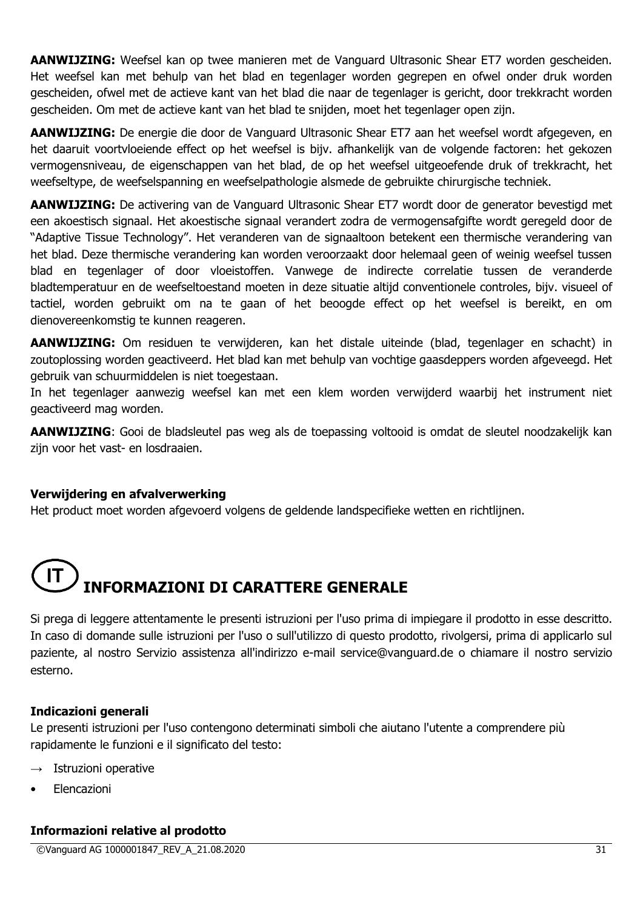**AANWIJZING:** Weefsel kan op twee manieren met de Vanguard Ultrasonic Shear ET7 worden gescheiden. Het weefsel kan met behulp van het blad en tegenlager worden gegrepen en ofwel onder druk worden gescheiden, ofwel met de actieve kant van het blad die naar de tegenlager is gericht, door trekkracht worden gescheiden. Om met de actieve kant van het blad te snijden, moet het tegenlager open zijn.

**AANWIJZING:** De energie die door de Vanguard Ultrasonic Shear ET7 aan het weefsel wordt afgegeven, en het daaruit voortvloeiende effect op het weefsel is bijv. afhankelijk van de volgende factoren: het gekozen vermogensniveau, de eigenschappen van het blad, de op het weefsel uitgeoefende druk of trekkracht, het weefseltype, de weefselspanning en weefselpathologie alsmede de gebruikte chirurgische techniek.

**AANWIJZING:** De activering van de Vanguard Ultrasonic Shear ET7 wordt door de generator bevestigd met een akoestisch signaal. Het akoestische signaal verandert zodra de vermogensafgifte wordt geregeld door de "Adaptive Tissue Technology". Het veranderen van de signaaltoon betekent een thermische verandering van het blad. Deze thermische verandering kan worden veroorzaakt door helemaal geen of weinig weefsel tussen blad en tegenlager of door vloeistoffen. Vanwege de indirecte correlatie tussen de veranderde bladtemperatuur en de weefseltoestand moeten in deze situatie altijd conventionele controles, bijv. visueel of tactiel, worden gebruikt om na te gaan of het beoogde effect op het weefsel is bereikt, en om dienovereenkomstig te kunnen reageren.

**AANWIJZING:** Om residuen te verwijderen, kan het distale uiteinde (blad, tegenlager en schacht) in zoutoplossing worden geactiveerd. Het blad kan met behulp van vochtige gaasdeppers worden afgeveegd. Het gebruik van schuurmiddelen is niet toegestaan.

In het tegenlager aanwezig weefsel kan met een klem worden verwijderd waarbij het instrument niet geactiveerd mag worden.

**AANWIJZING**: Gooi de bladsleutel pas weg als de toepassing voltooid is omdat de sleutel noodzakelijk kan zijn voor het vast- en losdraaien.

#### **Verwijdering en afvalverwerking**

Het product moet worden afgevoerd volgens de geldende landspecifieke wetten en richtlijnen.

# **INFORMAZIONI DI CARATTERE GENERALE**

Si prega di leggere attentamente le presenti istruzioni per l'uso prima di impiegare il prodotto in esse descritto. In caso di domande sulle istruzioni per l'uso o sull'utilizzo di questo prodotto, rivolgersi, prima di applicarlo sul paziente, al nostro Servizio assistenza all'indirizzo e-mail service@vanguard.de o chiamare il nostro servizio esterno.

#### **Indicazioni generali**

Le presenti istruzioni per l'uso contengono determinati simboli che aiutano l'utente a comprendere più rapidamente le funzioni e il significato del testo:

- $\rightarrow$  Istruzioni operative
- Elencazioni

#### **Informazioni relative al prodotto**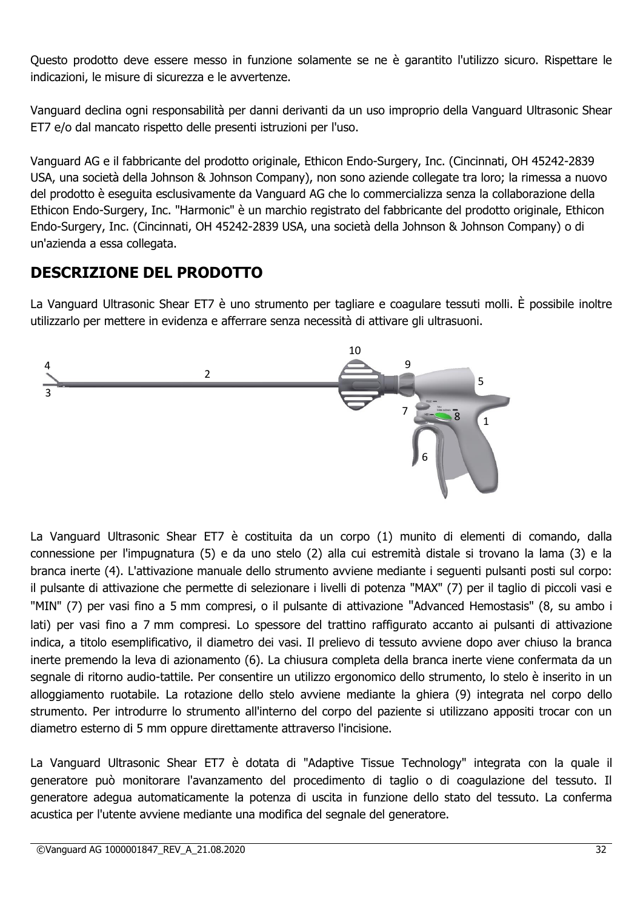Questo prodotto deve essere messo in funzione solamente se ne è garantito l'utilizzo sicuro. Rispettare le indicazioni, le misure di sicurezza e le avvertenze.

Vanguard declina ogni responsabilità per danni derivanti da un uso improprio della Vanguard Ultrasonic Shear ET7 e/o dal mancato rispetto delle presenti istruzioni per l'uso.

Vanguard AG e il fabbricante del prodotto originale, Ethicon Endo-Surgery, Inc. (Cincinnati, OH 45242-2839 USA, una società della Johnson & Johnson Company), non sono aziende collegate tra loro; la rimessa a nuovo del prodotto è eseguita esclusivamente da Vanguard AG che lo commercializza senza la collaborazione della Ethicon Endo-Surgery, Inc. "Harmonic" è un marchio registrato del fabbricante del prodotto originale, Ethicon Endo-Surgery, Inc. (Cincinnati, OH 45242-2839 USA, una società della Johnson & Johnson Company) o di un'azienda a essa collegata.

# **DESCRIZIONE DEL PRODOTTO**

La Vanguard Ultrasonic Shear ET7 è uno strumento per tagliare e coagulare tessuti molli. È possibile inoltre utilizzarlo per mettere in evidenza e afferrare senza necessità di attivare gli ultrasuoni.



La Vanguard Ultrasonic Shear ET7 è costituita da un corpo (1) munito di elementi di comando, dalla connessione per l'impugnatura (5) e da uno stelo (2) alla cui estremità distale si trovano la lama (3) e la branca inerte (4). L'attivazione manuale dello strumento avviene mediante i seguenti pulsanti posti sul corpo: il pulsante di attivazione che permette di selezionare i livelli di potenza "MAX" (7) per il taglio di piccoli vasi e "MIN" (7) per vasi fino a 5 mm compresi, o il pulsante di attivazione "Advanced Hemostasis" (8, su ambo i lati) per vasi fino a 7 mm compresi. Lo spessore del trattino raffigurato accanto ai pulsanti di attivazione indica, a titolo esemplificativo, il diametro dei vasi. Il prelievo di tessuto avviene dopo aver chiuso la branca inerte premendo la leva di azionamento (6). La chiusura completa della branca inerte viene confermata da un segnale di ritorno audio-tattile. Per consentire un utilizzo ergonomico dello strumento, lo stelo è inserito in un alloggiamento ruotabile. La rotazione dello stelo avviene mediante la ghiera (9) integrata nel corpo dello strumento. Per introdurre lo strumento all'interno del corpo del paziente si utilizzano appositi trocar con un diametro esterno di 5 mm oppure direttamente attraverso l'incisione.

La Vanguard Ultrasonic Shear ET7 è dotata di "Adaptive Tissue Technology" integrata con la quale il generatore può monitorare l'avanzamento del procedimento di taglio o di coagulazione del tessuto. Il generatore adegua automaticamente la potenza di uscita in funzione dello stato del tessuto. La conferma acustica per l'utente avviene mediante una modifica del segnale del generatore.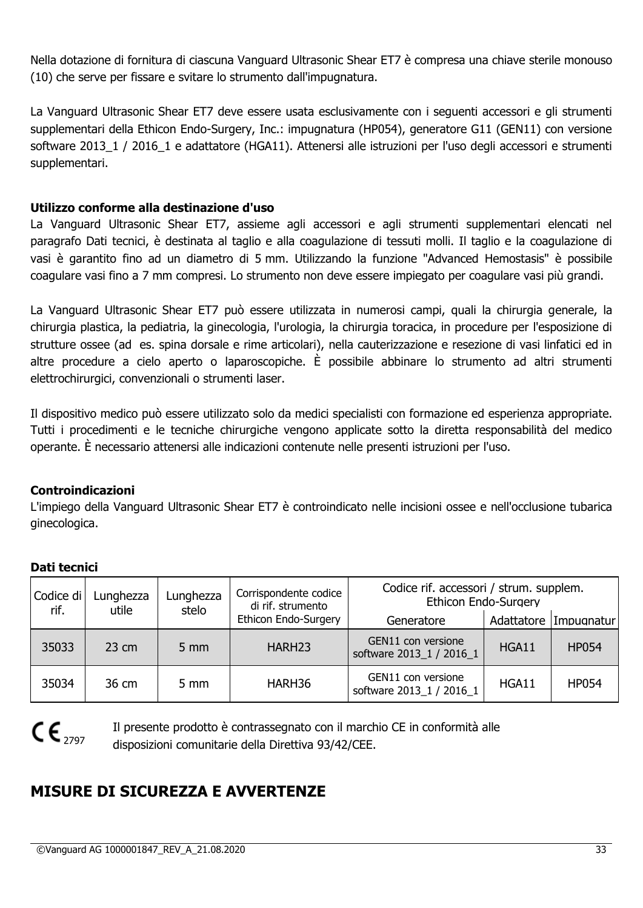Nella dotazione di fornitura di ciascuna Vanguard Ultrasonic Shear ET7 è compresa una chiave sterile monouso (10) che serve per fissare e svitare lo strumento dall'impugnatura.

La Vanguard Ultrasonic Shear ET7 deve essere usata esclusivamente con i seguenti accessori e gli strumenti supplementari della Ethicon Endo-Surgery, Inc.: impugnatura (HP054), generatore G11 (GEN11) con versione software 2013\_1 / 2016\_1 e adattatore (HGA11). Attenersi alle istruzioni per l'uso degli accessori e strumenti supplementari.

#### **Utilizzo conforme alla destinazione d'uso**

La Vanguard Ultrasonic Shear ET7, assieme agli accessori e agli strumenti supplementari elencati nel paragrafo Dati tecnici, è destinata al taglio e alla coagulazione di tessuti molli. Il taglio e la coagulazione di vasi è garantito fino ad un diametro di 5 mm. Utilizzando la funzione "Advanced Hemostasis" è possibile coagulare vasi fino a 7 mm compresi. Lo strumento non deve essere impiegato per coagulare vasi più grandi.

La Vanguard Ultrasonic Shear ET7 può essere utilizzata in numerosi campi, quali la chirurgia generale, la chirurgia plastica, la pediatria, la ginecologia, l'urologia, la chirurgia toracica, in procedure per l'esposizione di strutture ossee (ad es. spina dorsale e rime articolari), nella cauterizzazione e resezione di vasi linfatici ed in altre procedure a cielo aperto o laparoscopiche. È possibile abbinare lo strumento ad altri strumenti elettrochirurgici, convenzionali o strumenti laser.

Il dispositivo medico può essere utilizzato solo da medici specialisti con formazione ed esperienza appropriate. Tutti i procedimenti e le tecniche chirurgiche vengono applicate sotto la diretta responsabilità del medico operante. È necessario attenersi alle indicazioni contenute nelle presenti istruzioni per l'uso.

#### **Controindicazioni**

L'impiego della Vanguard Ultrasonic Shear ET7 è controindicato nelle incisioni ossee e nell'occlusione tubarica ginecologica.

| Codice di<br>rif. | Lunghezza<br>utile | Lunghezza<br>stelo | Corrispondente codice<br>di rif. strumento | Codice rif. accessori / strum. supplem.<br>Ethicon Endo-Surgery |       |                       |
|-------------------|--------------------|--------------------|--------------------------------------------|-----------------------------------------------------------------|-------|-----------------------|
|                   |                    |                    | Ethicon Endo-Surgery                       | Generatore                                                      |       | Adattatore Impugnatur |
| 35033             | $23 \text{ cm}$    | $5 \, \text{mm}$   | HARH <sub>23</sub>                         | GEN11 con versione<br>software 2013 1 / 2016 1                  | HGA11 | <b>HP054</b>          |
| 35034             | 36 cm              | 5 mm               | HARH36                                     | GEN11 con versione<br>software 2013 1 / 2016 1                  | HGA11 | <b>HP054</b>          |

# **Dati tecnici**

# $C \epsilon_{2797}$

Il presente prodotto è contrassegnato con il marchio CE in conformità alle disposizioni comunitarie della Direttiva 93/42/CEE.

# **MISURE DI SICUREZZA E AVVERTENZE**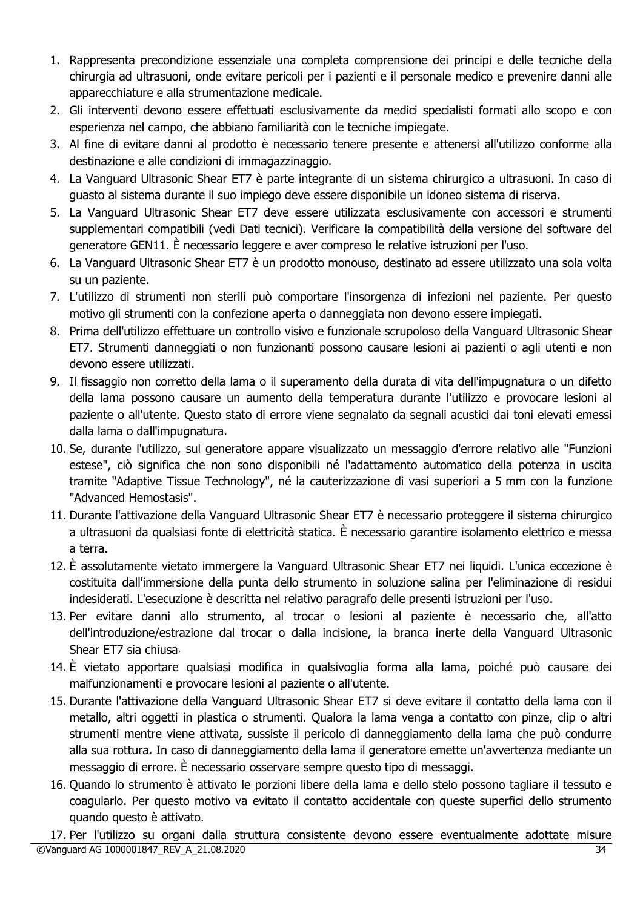- 1. Rappresenta precondizione essenziale una completa comprensione dei principi e delle tecniche della chirurgia ad ultrasuoni, onde evitare pericoli per i pazienti e il personale medico e prevenire danni alle apparecchiature e alla strumentazione medicale.
- 2. Gli interventi devono essere effettuati esclusivamente da medici specialisti formati allo scopo e con esperienza nel campo, che abbiano familiarità con le tecniche impiegate.
- 3. Al fine di evitare danni al prodotto è necessario tenere presente e attenersi all'utilizzo conforme alla destinazione e alle condizioni di immagazzinaggio.
- 4. La Vanguard Ultrasonic Shear ET7 è parte integrante di un sistema chirurgico a ultrasuoni. In caso di guasto al sistema durante il suo impiego deve essere disponibile un idoneo sistema di riserva.
- 5. La Vanguard Ultrasonic Shear ET7 deve essere utilizzata esclusivamente con accessori e strumenti supplementari compatibili (vedi Dati tecnici). Verificare la compatibilità della versione del software del generatore GEN11. È necessario leggere e aver compreso le relative istruzioni per l'uso.
- 6. La Vanguard Ultrasonic Shear ET7 è un prodotto monouso, destinato ad essere utilizzato una sola volta su un paziente.
- 7. L'utilizzo di strumenti non sterili può comportare l'insorgenza di infezioni nel paziente. Per questo motivo gli strumenti con la confezione aperta o danneggiata non devono essere impiegati.
- 8. Prima dell'utilizzo effettuare un controllo visivo e funzionale scrupoloso della Vanguard Ultrasonic Shear ET7. Strumenti danneggiati o non funzionanti possono causare lesioni ai pazienti o agli utenti e non devono essere utilizzati.
- 9. Il fissaggio non corretto della lama o il superamento della durata di vita dell'impugnatura o un difetto della lama possono causare un aumento della temperatura durante l'utilizzo e provocare lesioni al paziente o all'utente. Questo stato di errore viene segnalato da segnali acustici dai toni elevati emessi dalla lama o dall'impugnatura.
- 10. Se, durante l'utilizzo, sul generatore appare visualizzato un messaggio d'errore relativo alle "Funzioni estese", ciò significa che non sono disponibili né l'adattamento automatico della potenza in uscita tramite "Adaptive Tissue Technology", né la cauterizzazione di vasi superiori a 5 mm con la funzione "Advanced Hemostasis".
- 11. Durante l'attivazione della Vanguard Ultrasonic Shear ET7 è necessario proteggere il sistema chirurgico a ultrasuoni da qualsiasi fonte di elettricità statica. È necessario garantire isolamento elettrico e messa a terra.
- 12. È assolutamente vietato immergere la Vanguard Ultrasonic Shear ET7 nei liquidi. L'unica eccezione è costituita dall'immersione della punta dello strumento in soluzione salina per l'eliminazione di residui indesiderati. L'esecuzione è descritta nel relativo paragrafo delle presenti istruzioni per l'uso.
- 13. Per evitare danni allo strumento, al trocar o lesioni al paziente è necessario che, all'atto dell'introduzione/estrazione dal trocar o dalla incisione, la branca inerte della Vanguard Ultrasonic Shear ET7 sia chiusa.
- 14. È vietato apportare qualsiasi modifica in qualsivoglia forma alla lama, poiché può causare dei malfunzionamenti e provocare lesioni al paziente o all'utente.
- 15. Durante l'attivazione della Vanguard Ultrasonic Shear ET7 si deve evitare il contatto della lama con il metallo, altri oggetti in plastica o strumenti. Qualora la lama venga a contatto con pinze, clip o altri strumenti mentre viene attivata, sussiste il pericolo di danneggiamento della lama che può condurre alla sua rottura. In caso di danneggiamento della lama il generatore emette un'avvertenza mediante un messaggio di errore. È necessario osservare sempre questo tipo di messaggi.
- 16. Quando lo strumento è attivato le porzioni libere della lama e dello stelo possono tagliare il tessuto e coagularlo. Per questo motivo va evitato il contatto accidentale con queste superfici dello strumento quando questo è attivato.

©Vanguard AG 1000001847\_REV\_A\_21.08.2020 34 17. Per l'utilizzo su organi dalla struttura consistente devono essere eventualmente adottate misure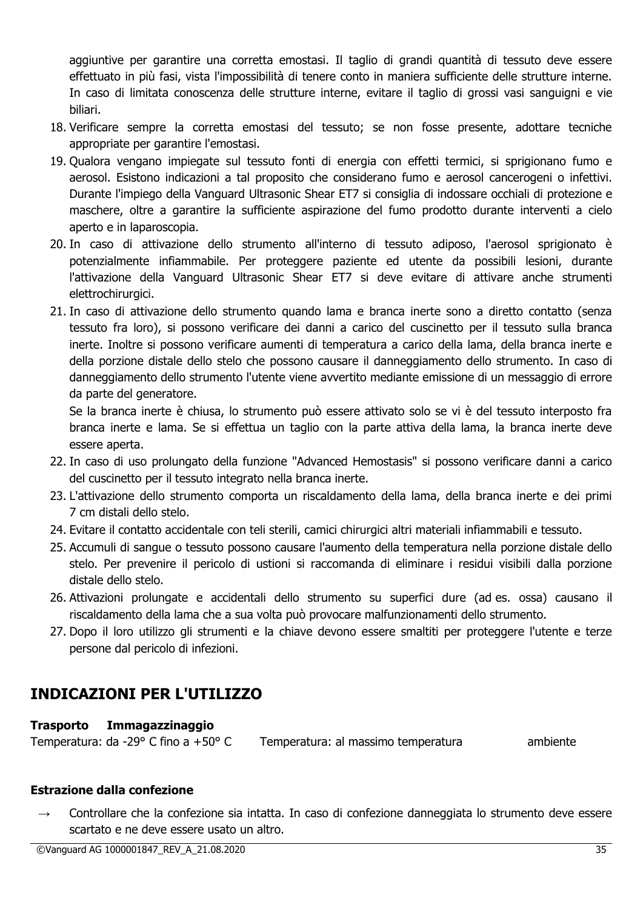aggiuntive per garantire una corretta emostasi. Il taglio di grandi quantità di tessuto deve essere effettuato in più fasi, vista l'impossibilità di tenere conto in maniera sufficiente delle strutture interne. In caso di limitata conoscenza delle strutture interne, evitare il taglio di grossi vasi sanguigni e vie biliari.

- 18. Verificare sempre la corretta emostasi del tessuto; se non fosse presente, adottare tecniche appropriate per garantire l'emostasi.
- 19. Qualora vengano impiegate sul tessuto fonti di energia con effetti termici, si sprigionano fumo e aerosol. Esistono indicazioni a tal proposito che considerano fumo e aerosol cancerogeni o infettivi. Durante l'impiego della Vanguard Ultrasonic Shear ET7 si consiglia di indossare occhiali di protezione e maschere, oltre a garantire la sufficiente aspirazione del fumo prodotto durante interventi a cielo aperto e in laparoscopia.
- 20. In caso di attivazione dello strumento all'interno di tessuto adiposo, l'aerosol sprigionato è potenzialmente infiammabile. Per proteggere paziente ed utente da possibili lesioni, durante l'attivazione della Vanguard Ultrasonic Shear ET7 si deve evitare di attivare anche strumenti elettrochirurgici.
- 21. In caso di attivazione dello strumento quando lama e branca inerte sono a diretto contatto (senza tessuto fra loro), si possono verificare dei danni a carico del cuscinetto per il tessuto sulla branca inerte. Inoltre si possono verificare aumenti di temperatura a carico della lama, della branca inerte e della porzione distale dello stelo che possono causare il danneggiamento dello strumento. In caso di danneggiamento dello strumento l'utente viene avvertito mediante emissione di un messaggio di errore da parte del generatore.

Se la branca inerte è chiusa, lo strumento può essere attivato solo se vi è del tessuto interposto fra branca inerte e lama. Se si effettua un taglio con la parte attiva della lama, la branca inerte deve essere aperta.

- 22. In caso di uso prolungato della funzione "Advanced Hemostasis" si possono verificare danni a carico del cuscinetto per il tessuto integrato nella branca inerte.
- 23. L'attivazione dello strumento comporta un riscaldamento della lama, della branca inerte e dei primi 7 cm distali dello stelo.
- 24. Evitare il contatto accidentale con teli sterili, camici chirurgici altri materiali infiammabili e tessuto.
- 25. Accumuli di sangue o tessuto possono causare l'aumento della temperatura nella porzione distale dello stelo. Per prevenire il pericolo di ustioni si raccomanda di eliminare i residui visibili dalla porzione distale dello stelo.
- 26. Attivazioni prolungate e accidentali dello strumento su superfici dure (ad es. ossa) causano il riscaldamento della lama che a sua volta può provocare malfunzionamenti dello strumento.
- 27. Dopo il loro utilizzo gli strumenti e la chiave devono essere smaltiti per proteggere l'utente e terze persone dal pericolo di infezioni.

# **INDICAZIONI PER L'UTILIZZO**

# **Trasporto Immagazzinaggio**

Temperatura: da -29° C fino a +50° C Temperatura: al massimo temperatura e ambiente

# **Estrazione dalla confezione**

Controllare che la confezione sia intatta. In caso di confezione danneggiata lo strumento deve essere scartato e ne deve essere usato un altro.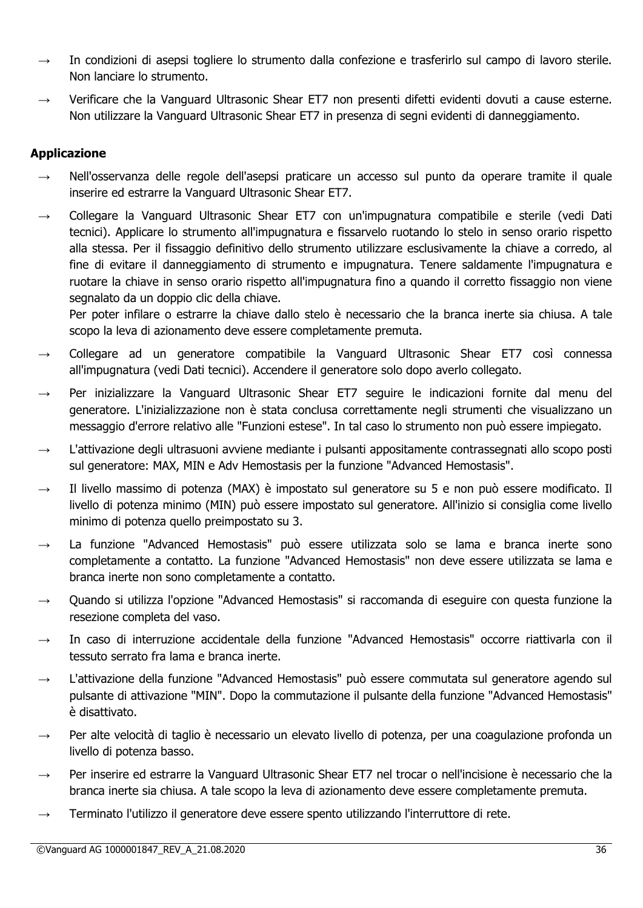- $\rightarrow$  In condizioni di asepsi togliere lo strumento dalla confezione e trasferirlo sul campo di lavoro sterile. Non lanciare lo strumento.
- $\rightarrow$  Verificare che la Vanguard Ultrasonic Shear ET7 non presenti difetti evidenti dovuti a cause esterne. Non utilizzare la Vanguard Ultrasonic Shear ET7 in presenza di segni evidenti di danneggiamento.

# **Applicazione**

- $\rightarrow$  Nell'osservanza delle regole dell'asepsi praticare un accesso sul punto da operare tramite il quale inserire ed estrarre la Vanguard Ultrasonic Shear ET7.
- $\rightarrow$  Collegare la Vanguard Ultrasonic Shear ET7 con un'impugnatura compatibile e sterile (vedi Dati tecnici). Applicare lo strumento all'impugnatura e fissarvelo ruotando lo stelo in senso orario rispetto alla stessa. Per il fissaggio definitivo dello strumento utilizzare esclusivamente la chiave a corredo, al fine di evitare il danneggiamento di strumento e impugnatura. Tenere saldamente l'impugnatura e ruotare la chiave in senso orario rispetto all'impugnatura fino a quando il corretto fissaggio non viene segnalato da un doppio clic della chiave.

Per poter infilare o estrarre la chiave dallo stelo è necessario che la branca inerte sia chiusa. A tale scopo la leva di azionamento deve essere completamente premuta.

- Collegare ad un generatore compatibile la Vanguard Ultrasonic Shear ET7 così connessa all'impugnatura (vedi Dati tecnici). Accendere il generatore solo dopo averlo collegato.
- → Per inizializzare la Vanguard Ultrasonic Shear ET7 seguire le indicazioni fornite dal menu del generatore. L'inizializzazione non è stata conclusa correttamente negli strumenti che visualizzano un messaggio d'errore relativo alle "Funzioni estese". In tal caso lo strumento non può essere impiegato.
- L'attivazione degli ultrasuoni avviene mediante i pulsanti appositamente contrassegnati allo scopo posti sul generatore: MAX, MIN e Adv Hemostasis per la funzione "Advanced Hemostasis".
- → Il livello massimo di potenza (MAX) è impostato sul generatore su 5 e non può essere modificato. Il livello di potenza minimo (MIN) può essere impostato sul generatore. All'inizio si consiglia come livello minimo di potenza quello preimpostato su 3.
- $\rightarrow$  La funzione "Advanced Hemostasis" può essere utilizzata solo se lama e branca inerte sono completamente a contatto. La funzione "Advanced Hemostasis" non deve essere utilizzata se lama e branca inerte non sono completamente a contatto.
- Quando si utilizza l'opzione "Advanced Hemostasis" si raccomanda di eseguire con questa funzione la resezione completa del vaso.
- In caso di interruzione accidentale della funzione "Advanced Hemostasis" occorre riattivarla con il tessuto serrato fra lama e branca inerte.
- → L'attivazione della funzione "Advanced Hemostasis" può essere commutata sul generatore agendo sul pulsante di attivazione "MIN". Dopo la commutazione il pulsante della funzione "Advanced Hemostasis" è disattivato.
- $\rightarrow$  Per alte velocità di taglio è necessario un elevato livello di potenza, per una coagulazione profonda un livello di potenza basso.
- → Per inserire ed estrarre la Vanguard Ultrasonic Shear ET7 nel trocar o nell'incisione è necessario che la branca inerte sia chiusa. A tale scopo la leva di azionamento deve essere completamente premuta.
- Terminato l'utilizzo il generatore deve essere spento utilizzando l'interruttore di rete.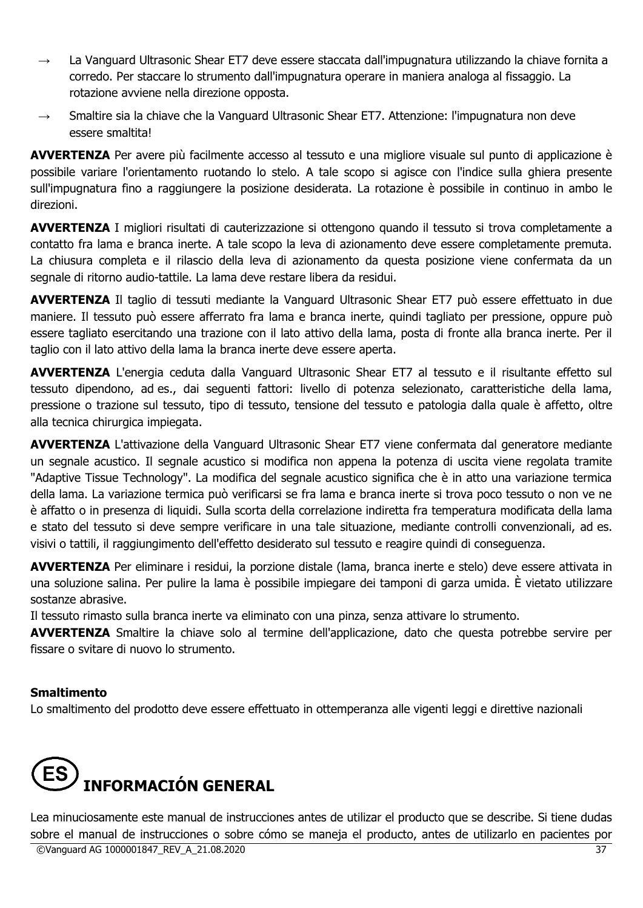- $\rightarrow$  La Vanguard Ultrasonic Shear ET7 deve essere staccata dall'impugnatura utilizzando la chiave fornita a corredo. Per staccare lo strumento dall'impugnatura operare in maniera analoga al fissaggio. La rotazione avviene nella direzione opposta.
- Smaltire sia la chiave che la Vanguard Ultrasonic Shear ET7. Attenzione: l'impugnatura non deve essere smaltita!

**AVVERTENZA** Per avere più facilmente accesso al tessuto e una migliore visuale sul punto di applicazione è possibile variare l'orientamento ruotando lo stelo. A tale scopo si agisce con l'indice sulla ghiera presente sull'impugnatura fino a raggiungere la posizione desiderata. La rotazione è possibile in continuo in ambo le direzioni.

**AVVERTENZA** I migliori risultati di cauterizzazione si ottengono quando il tessuto si trova completamente a contatto fra lama e branca inerte. A tale scopo la leva di azionamento deve essere completamente premuta. La chiusura completa e il rilascio della leva di azionamento da questa posizione viene confermata da un segnale di ritorno audio-tattile. La lama deve restare libera da residui.

**AVVERTENZA** Il taglio di tessuti mediante la Vanguard Ultrasonic Shear ET7 può essere effettuato in due maniere. Il tessuto può essere afferrato fra lama e branca inerte, quindi tagliato per pressione, oppure può essere tagliato esercitando una trazione con il lato attivo della lama, posta di fronte alla branca inerte. Per il taglio con il lato attivo della lama la branca inerte deve essere aperta.

**AVVERTENZA** L'energia ceduta dalla Vanguard Ultrasonic Shear ET7 al tessuto e il risultante effetto sul tessuto dipendono, ad es., dai seguenti fattori: livello di potenza selezionato, caratteristiche della lama, pressione o trazione sul tessuto, tipo di tessuto, tensione del tessuto e patologia dalla quale è affetto, oltre alla tecnica chirurgica impiegata.

**AVVERTENZA** L'attivazione della Vanguard Ultrasonic Shear ET7 viene confermata dal generatore mediante un segnale acustico. Il segnale acustico si modifica non appena la potenza di uscita viene regolata tramite "Adaptive Tissue Technology". La modifica del segnale acustico significa che è in atto una variazione termica della lama. La variazione termica può verificarsi se fra lama e branca inerte si trova poco tessuto o non ve ne è affatto o in presenza di liquidi. Sulla scorta della correlazione indiretta fra temperatura modificata della lama e stato del tessuto si deve sempre verificare in una tale situazione, mediante controlli convenzionali, ad es. visivi o tattili, il raggiungimento dell'effetto desiderato sul tessuto e reagire quindi di conseguenza.

**AVVERTENZA** Per eliminare i residui, la porzione distale (lama, branca inerte e stelo) deve essere attivata in una soluzione salina. Per pulire la lama è possibile impiegare dei tamponi di garza umida. È vietato utilizzare sostanze abrasive.

Il tessuto rimasto sulla branca inerte va eliminato con una pinza, senza attivare lo strumento.

**AVVERTENZA** Smaltire la chiave solo al termine dell'applicazione, dato che questa potrebbe servire per fissare o svitare di nuovo lo strumento.

# **Smaltimento**

Lo smaltimento del prodotto deve essere effettuato in ottemperanza alle vigenti leggi e direttive nazionali



©Vanguard AG 1000001847\_REV\_A\_21.08.2020 37 Lea minuciosamente este manual de instrucciones antes de utilizar el producto que se describe. Si tiene dudas sobre el manual de instrucciones o sobre cómo se maneia el producto, antes de utilizarlo en pacientes por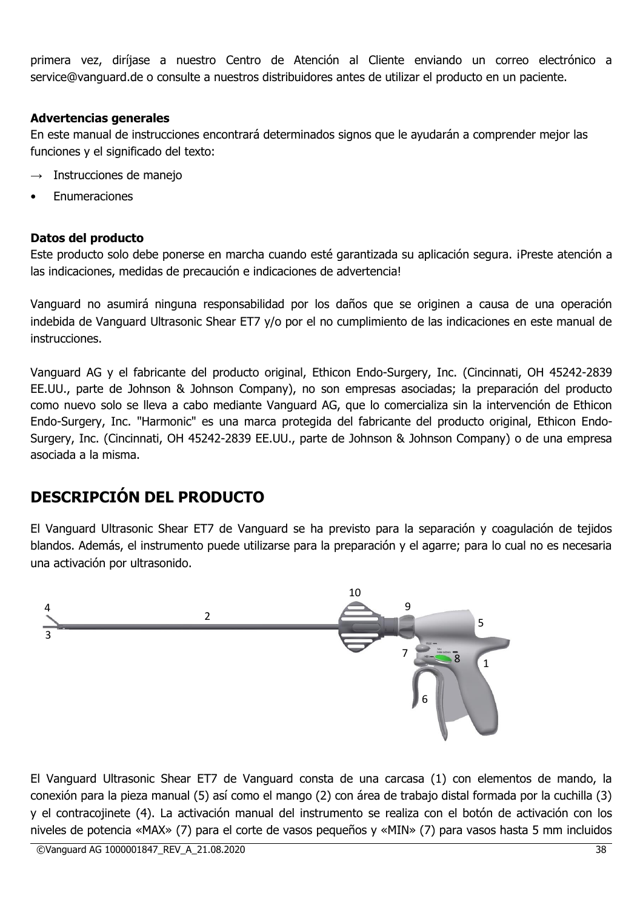primera vez, diríjase a nuestro Centro de Atención al Cliente enviando un correo electrónico a service@vanguard.de o consulte a nuestros distribuidores antes de utilizar el producto en un paciente.

# **Advertencias generales**

En este manual de instrucciones encontrará determinados signos que le ayudarán a comprender mejor las funciones y el significado del texto:

- $\rightarrow$  Instrucciones de manejo
- **Fnumeraciones**

# **Datos del producto**

Este producto solo debe ponerse en marcha cuando esté garantizada su aplicación segura. ¡Preste atención a las indicaciones, medidas de precaución e indicaciones de advertencia!

Vanguard no asumirá ninguna responsabilidad por los daños que se originen a causa de una operación indebida de Vanguard Ultrasonic Shear ET7 y/o por el no cumplimiento de las indicaciones en este manual de instrucciones.

Vanguard AG y el fabricante del producto original, Ethicon Endo-Surgery, Inc. (Cincinnati, OH 45242-2839 EE.UU., parte de Johnson & Johnson Company), no son empresas asociadas; la preparación del producto como nuevo solo se lleva a cabo mediante Vanguard AG, que lo comercializa sin la intervención de Ethicon Endo-Surgery, Inc. "Harmonic" es una marca protegida del fabricante del producto original, Ethicon Endo-Surgery, Inc. (Cincinnati, OH 45242-2839 EE.UU., parte de Johnson & Johnson Company) o de una empresa asociada a la misma.

# **DESCRIPCIÓN DEL PRODUCTO**

El Vanguard Ultrasonic Shear ET7 de Vanguard se ha previsto para la separación y coagulación de tejidos blandos. Además, el instrumento puede utilizarse para la preparación y el agarre; para lo cual no es necesaria una activación por ultrasonido.



El Vanguard Ultrasonic Shear ET7 de Vanguard consta de una carcasa (1) con elementos de mando, la conexión para la pieza manual (5) así como el mango (2) con área de trabajo distal formada por la cuchilla (3) y el contracojinete (4). La activación manual del instrumento se realiza con el botón de activación con los niveles de potencia «MAX» (7) para el corte de vasos pequeños y «MIN» (7) para vasos hasta 5 mm incluidos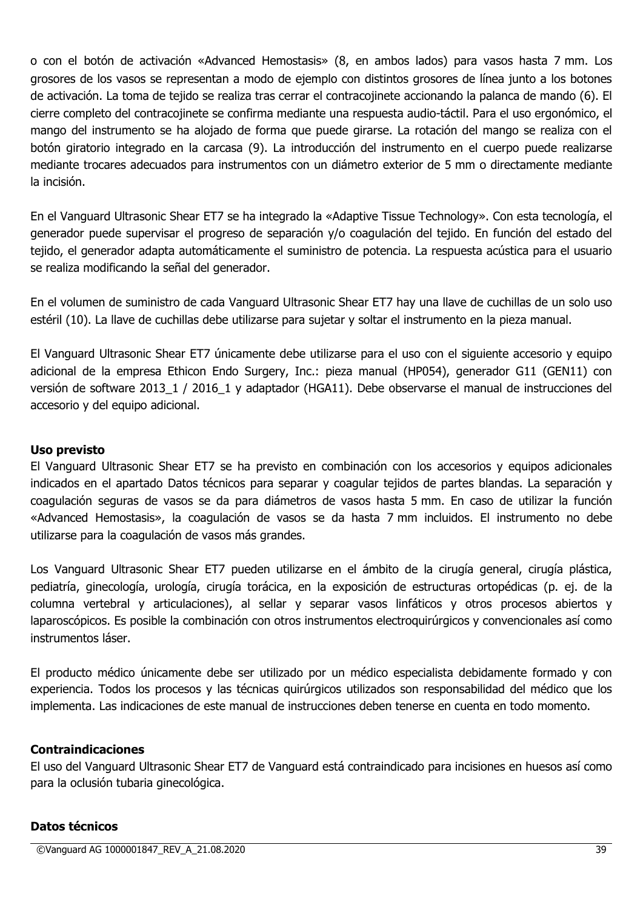o con el botón de activación «Advanced Hemostasis» (8, en ambos lados) para vasos hasta 7 mm. Los grosores de los vasos se representan a modo de ejemplo con distintos grosores de línea junto a los botones de activación. La toma de tejido se realiza tras cerrar el contracojinete accionando la palanca de mando (6). El cierre completo del contracojinete se confirma mediante una respuesta audio-táctil. Para el uso ergonómico, el mango del instrumento se ha alojado de forma que puede girarse. La rotación del mango se realiza con el botón giratorio integrado en la carcasa (9). La introducción del instrumento en el cuerpo puede realizarse mediante trocares adecuados para instrumentos con un diámetro exterior de 5 mm o directamente mediante la incisión.

En el Vanguard Ultrasonic Shear ET7 se ha integrado la «Adaptive Tissue Technology». Con esta tecnología, el generador puede supervisar el progreso de separación y/o coagulación del tejido. En función del estado del tejido, el generador adapta automáticamente el suministro de potencia. La respuesta acústica para el usuario se realiza modificando la señal del generador.

En el volumen de suministro de cada Vanguard Ultrasonic Shear ET7 hay una llave de cuchillas de un solo uso estéril (10). La llave de cuchillas debe utilizarse para sujetar y soltar el instrumento en la pieza manual.

El Vanguard Ultrasonic Shear ET7 únicamente debe utilizarse para el uso con el siguiente accesorio y equipo adicional de la empresa Ethicon Endo Surgery, Inc.: pieza manual (HP054), generador G11 (GEN11) con versión de software 2013 1 / 2016 1 y adaptador (HGA11). Debe observarse el manual de instrucciones del accesorio y del equipo adicional.

### **Uso previsto**

El Vanguard Ultrasonic Shear ET7 se ha previsto en combinación con los accesorios y equipos adicionales indicados en el apartado Datos técnicos para separar y coagular tejidos de partes blandas. La separación y coagulación seguras de vasos se da para diámetros de vasos hasta 5 mm. En caso de utilizar la función «Advanced Hemostasis», la coagulación de vasos se da hasta 7 mm incluidos. El instrumento no debe utilizarse para la coagulación de vasos más grandes.

Los Vanguard Ultrasonic Shear ET7 pueden utilizarse en el ámbito de la cirugía general, cirugía plástica, pediatría, ginecología, urología, cirugía torácica, en la exposición de estructuras ortopédicas (p. ej. de la columna vertebral y articulaciones), al sellar y separar vasos linfáticos y otros procesos abiertos y laparoscópicos. Es posible la combinación con otros instrumentos electroquirúrgicos y convencionales así como instrumentos láser.

El producto médico únicamente debe ser utilizado por un médico especialista debidamente formado y con experiencia. Todos los procesos y las técnicas quirúrgicos utilizados son responsabilidad del médico que los implementa. Las indicaciones de este manual de instrucciones deben tenerse en cuenta en todo momento.

#### **Contraindicaciones**

El uso del Vanguard Ultrasonic Shear ET7 de Vanguard está contraindicado para incisiones en huesos así como para la oclusión tubaria ginecológica.

#### **Datos técnicos**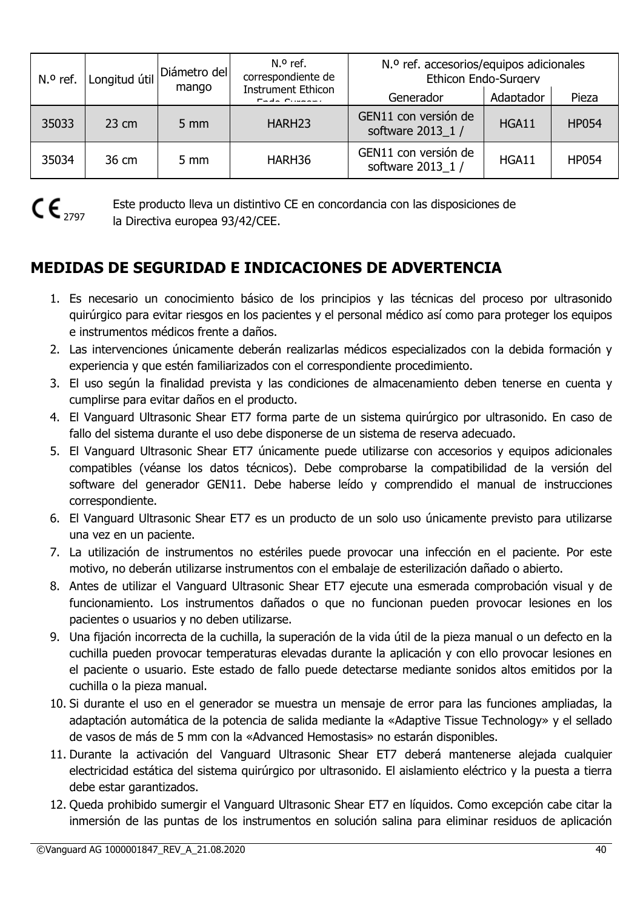| N.º ref. | Longitud útil<br>mango | Diámetro del   | $N0$ ref.<br>correspondiente de                       | N.º ref. accesorios/equipos adicionales<br><b>Ethicon Endo-Surgery</b> |       |              |
|----------|------------------------|----------------|-------------------------------------------------------|------------------------------------------------------------------------|-------|--------------|
|          |                        |                | <b>Instrument Ethicon</b><br>Generador<br>$Finda$ $C$ |                                                                        |       | Pieza        |
| 35033    | 23 cm                  | $5 \text{ mm}$ | HARH <sub>23</sub>                                    | GEN11 con versión de<br>software 2013_1 /                              | HGA11 | <b>HP054</b> |
| 35034    | 36 cm                  | $5 \text{ mm}$ | HARH36                                                | GEN11 con versión de<br>software 2013 1 /                              | HGA11 | <b>HP054</b> |



Este producto lleva un distintivo CE en concordancia con las disposiciones de la Directiva europea 93/42/CEE.

# **MEDIDAS DE SEGURIDAD E INDICACIONES DE ADVERTENCIA**

- 1. Es necesario un conocimiento básico de los principios y las técnicas del proceso por ultrasonido quirúrgico para evitar riesgos en los pacientes y el personal médico así como para proteger los equipos e instrumentos médicos frente a daños.
- 2. Las intervenciones únicamente deberán realizarlas médicos especializados con la debida formación y experiencia y que estén familiarizados con el correspondiente procedimiento.
- 3. El uso según la finalidad prevista y las condiciones de almacenamiento deben tenerse en cuenta y cumplirse para evitar daños en el producto.
- 4. El Vanguard Ultrasonic Shear ET7 forma parte de un sistema quirúrgico por ultrasonido. En caso de fallo del sistema durante el uso debe disponerse de un sistema de reserva adecuado.
- 5. El Vanguard Ultrasonic Shear ET7 únicamente puede utilizarse con accesorios y equipos adicionales compatibles (véanse los datos técnicos). Debe comprobarse la compatibilidad de la versión del software del generador GEN11. Debe haberse leído y comprendido el manual de instrucciones correspondiente.
- 6. El Vanguard Ultrasonic Shear ET7 es un producto de un solo uso únicamente previsto para utilizarse una vez en un paciente.
- 7. La utilización de instrumentos no estériles puede provocar una infección en el paciente. Por este motivo, no deberán utilizarse instrumentos con el embalaje de esterilización dañado o abierto.
- 8. Antes de utilizar el Vanguard Ultrasonic Shear ET7 ejecute una esmerada comprobación visual y de funcionamiento. Los instrumentos dañados o que no funcionan pueden provocar lesiones en los pacientes o usuarios y no deben utilizarse.
- 9. Una fijación incorrecta de la cuchilla, la superación de la vida útil de la pieza manual o un defecto en la cuchilla pueden provocar temperaturas elevadas durante la aplicación y con ello provocar lesiones en el paciente o usuario. Este estado de fallo puede detectarse mediante sonidos altos emitidos por la cuchilla o la pieza manual.
- 10. Si durante el uso en el generador se muestra un mensaje de error para las funciones ampliadas, la adaptación automática de la potencia de salida mediante la «Adaptive Tissue Technology» y el sellado de vasos de más de 5 mm con la «Advanced Hemostasis» no estarán disponibles.
- 11. Durante la activación del Vanguard Ultrasonic Shear ET7 deberá mantenerse alejada cualquier electricidad estática del sistema quirúrgico por ultrasonido. El aislamiento eléctrico y la puesta a tierra debe estar garantizados.
- 12. Queda prohibido sumergir el Vanguard Ultrasonic Shear ET7 en líquidos. Como excepción cabe citar la inmersión de las puntas de los instrumentos en solución salina para eliminar residuos de aplicación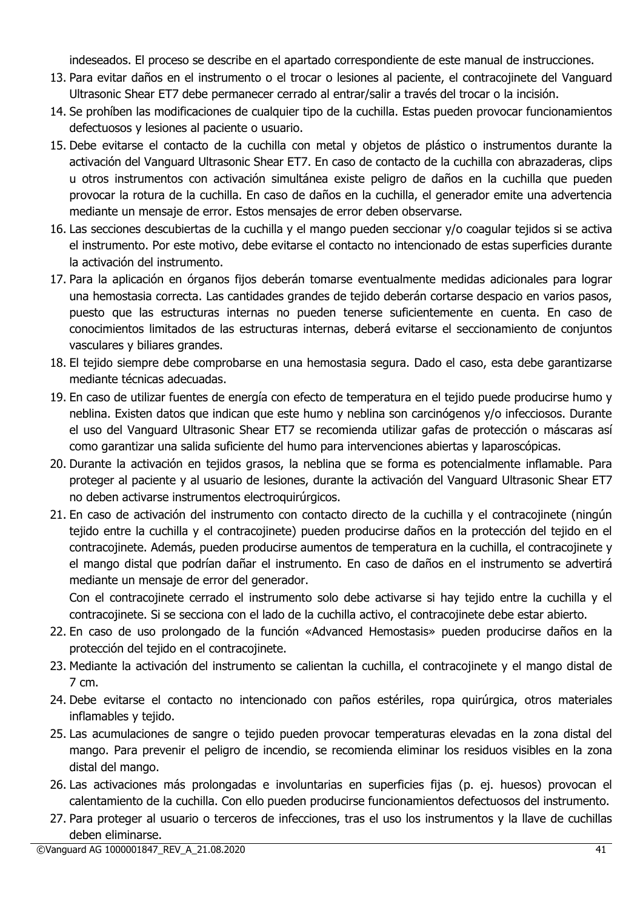indeseados. El proceso se describe en el apartado correspondiente de este manual de instrucciones.

- 13. Para evitar daños en el instrumento o el trocar o lesiones al paciente, el contracojinete del Vanguard Ultrasonic Shear ET7 debe permanecer cerrado al entrar/salir a través del trocar o la incisión.
- 14. Se prohíben las modificaciones de cualquier tipo de la cuchilla. Estas pueden provocar funcionamientos defectuosos y lesiones al paciente o usuario.
- 15. Debe evitarse el contacto de la cuchilla con metal y objetos de plástico o instrumentos durante la activación del Vanguard Ultrasonic Shear ET7. En caso de contacto de la cuchilla con abrazaderas, clips u otros instrumentos con activación simultánea existe peligro de daños en la cuchilla que pueden provocar la rotura de la cuchilla. En caso de daños en la cuchilla, el generador emite una advertencia mediante un mensaje de error. Estos mensajes de error deben observarse.
- 16. Las secciones descubiertas de la cuchilla y el mango pueden seccionar y/o coagular tejidos si se activa el instrumento. Por este motivo, debe evitarse el contacto no intencionado de estas superficies durante la activación del instrumento.
- 17. Para la aplicación en órganos fijos deberán tomarse eventualmente medidas adicionales para lograr una hemostasia correcta. Las cantidades grandes de tejido deberán cortarse despacio en varios pasos, puesto que las estructuras internas no pueden tenerse suficientemente en cuenta. En caso de conocimientos limitados de las estructuras internas, deberá evitarse el seccionamiento de conjuntos vasculares y biliares grandes.
- 18. El tejido siempre debe comprobarse en una hemostasia segura. Dado el caso, esta debe garantizarse mediante técnicas adecuadas.
- 19. En caso de utilizar fuentes de energía con efecto de temperatura en el tejido puede producirse humo y neblina. Existen datos que indican que este humo y neblina son carcinógenos y/o infecciosos. Durante el uso del Vanguard Ultrasonic Shear ET7 se recomienda utilizar gafas de protección o máscaras así como garantizar una salida suficiente del humo para intervenciones abiertas y laparoscópicas.
- 20. Durante la activación en tejidos grasos, la neblina que se forma es potencialmente inflamable. Para proteger al paciente y al usuario de lesiones, durante la activación del Vanguard Ultrasonic Shear ET7 no deben activarse instrumentos electroquirúrgicos.
- 21. En caso de activación del instrumento con contacto directo de la cuchilla y el contracojinete (ningún tejido entre la cuchilla y el contracojinete) pueden producirse daños en la protección del tejido en el contracojinete. Además, pueden producirse aumentos de temperatura en la cuchilla, el contracojinete y el mango distal que podrían dañar el instrumento. En caso de daños en el instrumento se advertirá mediante un mensaje de error del generador.

Con el contracojinete cerrado el instrumento solo debe activarse si hay tejido entre la cuchilla y el contracojinete. Si se secciona con el lado de la cuchilla activo, el contracojinete debe estar abierto.

- 22. En caso de uso prolongado de la función «Advanced Hemostasis» pueden producirse daños en la protección del tejido en el contracojinete.
- 23. Mediante la activación del instrumento se calientan la cuchilla, el contracojinete y el mango distal de 7 cm.
- 24. Debe evitarse el contacto no intencionado con paños estériles, ropa quirúrgica, otros materiales inflamables y tejido.
- 25. Las acumulaciones de sangre o tejido pueden provocar temperaturas elevadas en la zona distal del mango. Para prevenir el peligro de incendio, se recomienda eliminar los residuos visibles en la zona distal del mango.
- 26. Las activaciones más prolongadas e involuntarias en superficies fijas (p. ej. huesos) provocan el calentamiento de la cuchilla. Con ello pueden producirse funcionamientos defectuosos del instrumento.
- 27. Para proteger al usuario o terceros de infecciones, tras el uso los instrumentos y la llave de cuchillas deben eliminarse.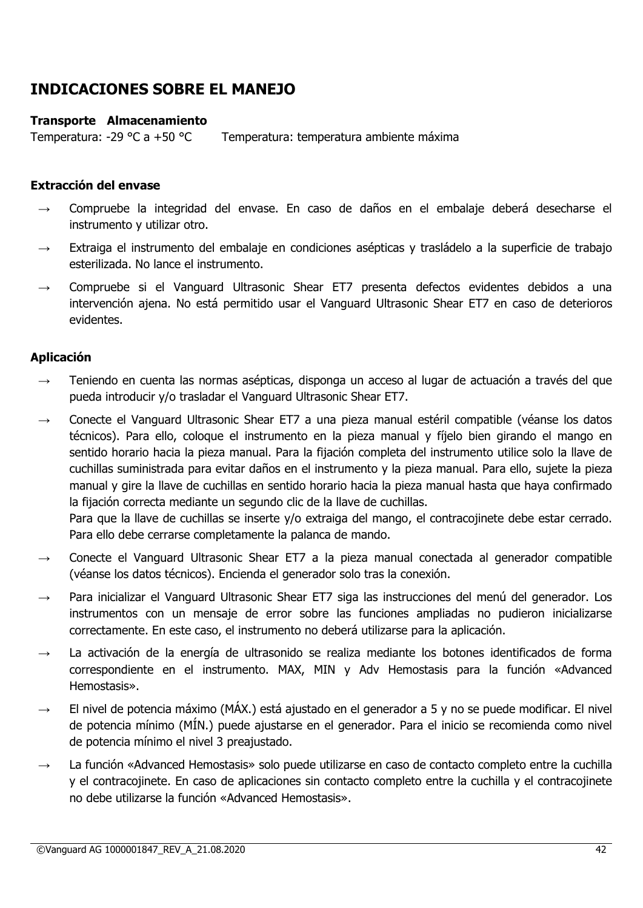# **INDICACIONES SOBRE EL MANEJO**

#### **Transporte Almacenamiento**

Temperatura: -29 °C a +50 °C Temperatura: temperatura ambiente máxima

#### **Extracción del envase**

- → Compruebe la integridad del envase. En caso de daños en el embalaje deberá desecharse el instrumento y utilizar otro.
- $\rightarrow$  Extraiga el instrumento del embalaje en condiciones asépticas y trasládelo a la superficie de trabajo esterilizada. No lance el instrumento.
- $\rightarrow$  Compruebe si el Vanguard Ultrasonic Shear ET7 presenta defectos evidentes debidos a una intervención ajena. No está permitido usar el Vanguard Ultrasonic Shear ET7 en caso de deterioros evidentes.

#### **Aplicación**

- → Teniendo en cuenta las normas asépticas, disponga un acceso al lugar de actuación a través del que pueda introducir y/o trasladar el Vanguard Ultrasonic Shear ET7.
- → Conecte el Vanguard Ultrasonic Shear ET7 a una pieza manual estéril compatible (véanse los datos técnicos). Para ello, coloque el instrumento en la pieza manual y fíjelo bien girando el mango en sentido horario hacia la pieza manual. Para la fijación completa del instrumento utilice solo la llave de cuchillas suministrada para evitar daños en el instrumento y la pieza manual. Para ello, sujete la pieza manual y gire la llave de cuchillas en sentido horario hacia la pieza manual hasta que haya confirmado la fijación correcta mediante un segundo clic de la llave de cuchillas.

Para que la llave de cuchillas se inserte y/o extraiga del mango, el contracojinete debe estar cerrado. Para ello debe cerrarse completamente la palanca de mando.

- → Conecte el Vanguard Ultrasonic Shear ET7 a la pieza manual conectada al generador compatible (véanse los datos técnicos). Encienda el generador solo tras la conexión.
- Para inicializar el Vanguard Ultrasonic Shear ET7 siga las instrucciones del menú del generador. Los instrumentos con un mensaje de error sobre las funciones ampliadas no pudieron inicializarse correctamente. En este caso, el instrumento no deberá utilizarse para la aplicación.
- $\rightarrow$  La activación de la energía de ultrasonido se realiza mediante los botones identificados de forma correspondiente en el instrumento. MAX, MIN y Adv Hemostasis para la función «Advanced Hemostasis».
- $\rightarrow$  El nivel de potencia máximo (MÁX.) está ajustado en el generador a 5 y no se puede modificar. El nivel de potencia mínimo (MÍN.) puede ajustarse en el generador. Para el inicio se recomienda como nivel de potencia mínimo el nivel 3 preajustado.
- La función «Advanced Hemostasis» solo puede utilizarse en caso de contacto completo entre la cuchilla y el contracojinete. En caso de aplicaciones sin contacto completo entre la cuchilla y el contracojinete no debe utilizarse la función «Advanced Hemostasis».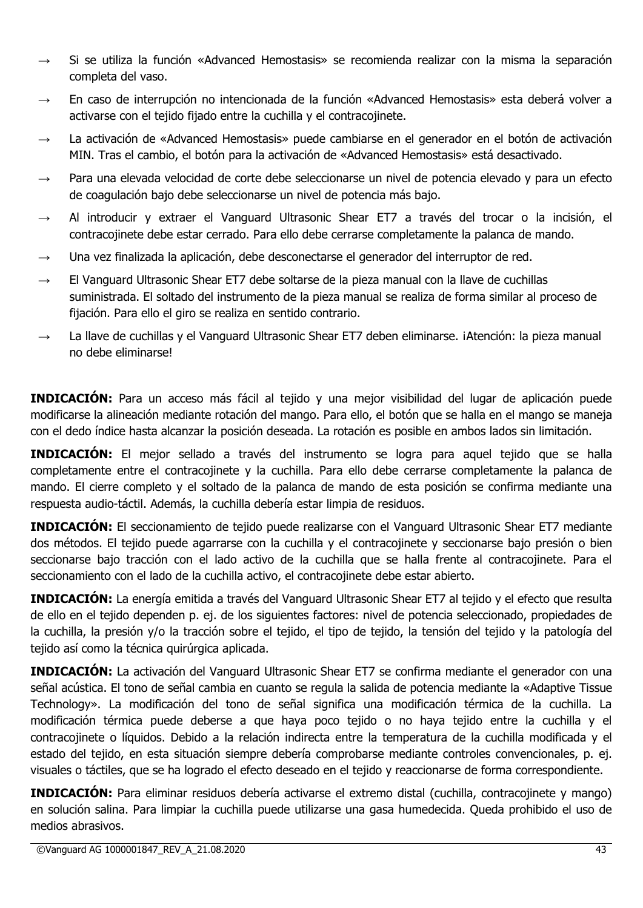- $\rightarrow$  Si se utiliza la función «Advanced Hemostasis» se recomienda realizar con la misma la separación completa del vaso.
- → En caso de interrupción no intencionada de la función «Advanced Hemostasis» esta deberá volver a activarse con el tejido fijado entre la cuchilla y el contracojinete.
- → La activación de «Advanced Hemostasis» puede cambiarse en el generador en el botón de activación MIN. Tras el cambio, el botón para la activación de «Advanced Hemostasis» está desactivado.
- $\rightarrow$  Para una elevada velocidad de corte debe seleccionarse un nivel de potencia elevado y para un efecto de coagulación bajo debe seleccionarse un nivel de potencia más bajo.
- → Al introducir y extraer el Vanguard Ultrasonic Shear ET7 a través del trocar o la incisión, el contracojinete debe estar cerrado. Para ello debe cerrarse completamente la palanca de mando.
- $\rightarrow$  Una vez finalizada la aplicación, debe desconectarse el generador del interruptor de red.
- $\rightarrow$  El Vanguard Ultrasonic Shear ET7 debe soltarse de la pieza manual con la llave de cuchillas suministrada. El soltado del instrumento de la pieza manual se realiza de forma similar al proceso de fijación. Para ello el giro se realiza en sentido contrario.
- $\rightarrow$  La llave de cuchillas y el Vanguard Ultrasonic Shear ET7 deben eliminarse. ¡Atención: la pieza manual no debe eliminarse!

**INDICACIÓN:** Para un acceso más fácil al tejido y una mejor visibilidad del lugar de aplicación puede modificarse la alineación mediante rotación del mango. Para ello, el botón que se halla en el mango se maneja con el dedo índice hasta alcanzar la posición deseada. La rotación es posible en ambos lados sin limitación.

**INDICACIÓN:** El mejor sellado a través del instrumento se logra para aquel tejido que se halla completamente entre el contracojinete y la cuchilla. Para ello debe cerrarse completamente la palanca de mando. El cierre completo y el soltado de la palanca de mando de esta posición se confirma mediante una respuesta audio-táctil. Además, la cuchilla debería estar limpia de residuos.

**INDICACIÓN:** El seccionamiento de tejido puede realizarse con el Vanguard Ultrasonic Shear ET7 mediante dos métodos. El tejido puede agarrarse con la cuchilla y el contracojinete y seccionarse bajo presión o bien seccionarse bajo tracción con el lado activo de la cuchilla que se halla frente al contracojinete. Para el seccionamiento con el lado de la cuchilla activo, el contracojinete debe estar abierto.

**INDICACIÓN:** La energía emitida a través del Vanguard Ultrasonic Shear ET7 al tejido y el efecto que resulta de ello en el tejido dependen p. ej. de los siguientes factores: nivel de potencia seleccionado, propiedades de la cuchilla, la presión y/o la tracción sobre el tejido, el tipo de tejido, la tensión del tejido y la patología del tejido así como la técnica quirúrgica aplicada.

**INDICACIÓN:** La activación del Vanguard Ultrasonic Shear ET7 se confirma mediante el generador con una señal acústica. El tono de señal cambia en cuanto se regula la salida de potencia mediante la «Adaptive Tissue Technology». La modificación del tono de señal significa una modificación térmica de la cuchilla. La modificación térmica puede deberse a que haya poco tejido o no haya tejido entre la cuchilla y el contracojinete o líquidos. Debido a la relación indirecta entre la temperatura de la cuchilla modificada y el estado del tejido, en esta situación siempre debería comprobarse mediante controles convencionales, p. ej. visuales o táctiles, que se ha logrado el efecto deseado en el tejido y reaccionarse de forma correspondiente.

**INDICACIÓN:** Para eliminar residuos debería activarse el extremo distal (cuchilla, contracojinete y mango) en solución salina. Para limpiar la cuchilla puede utilizarse una gasa humedecida. Queda prohibido el uso de medios abrasivos.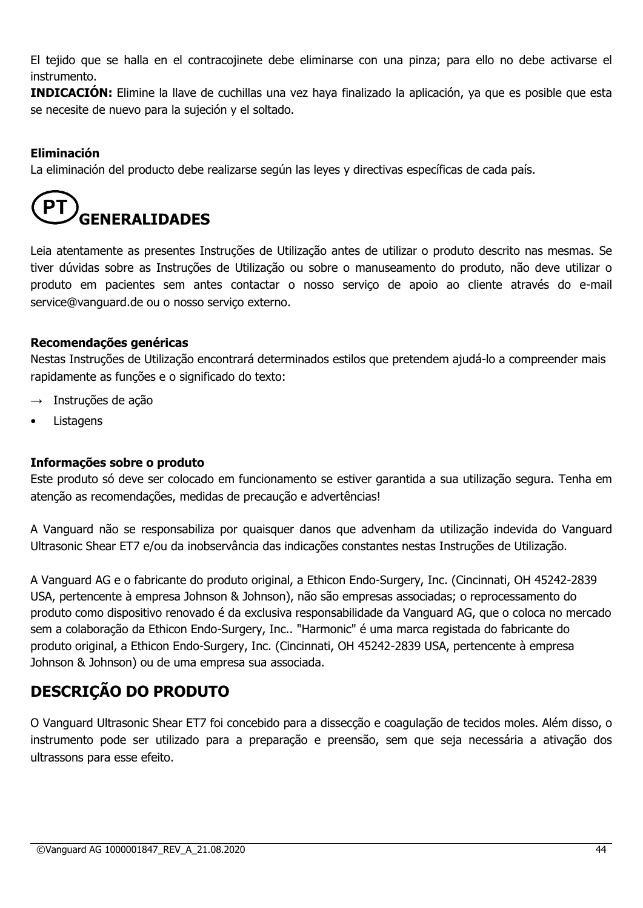El tejido que se halla en el contracojinete debe eliminarse con una pinza; para ello no debe activarse el instrumento.

**INDICACIÓN:** Elimine la llave de cuchillas una vez haya finalizado la aplicación, ya que es posible que esta se necesite de nuevo para la sujeción y el soltado.

# **Eliminación**

La eliminación del producto debe realizarse según las leyes y directivas específicas de cada país.

# **GENERALIDADES**

Leia atentamente as presentes Instruções de Utilização antes de utilizar o produto descrito nas mesmas. Se tiver dúvidas sobre as Instruções de Utilização ou sobre o manuseamento do produto, não deve utilizar o produto em pacientes sem antes contactar o nosso serviço de apoio ao cliente através do e-mail service@vanguard.de ou o nosso serviço externo.

#### **Recomendações genéricas**

Nestas Instruções de Utilização encontrará determinados estilos que pretendem ajudá-lo a compreender mais rapidamente as funções e o significado do texto:

- $\rightarrow$  Instruções de ação
- **Listagens**

#### **Informações sobre o produto**

Este produto só deve ser colocado em funcionamento se estiver garantida a sua utilização segura. Tenha em atenção as recomendações, medidas de precaução e advertências!

A Vanguard não se responsabiliza por quaisquer danos que advenham da utilização indevida do Vanguard Ultrasonic Shear ET7 e/ou da inobservância das indicações constantes nestas Instruções de Utilização.

A Vanguard AG e o fabricante do produto original, a Ethicon Endo-Surgery, Inc. (Cincinnati, OH 45242-2839 USA, pertencente à empresa Johnson & Johnson), não são empresas associadas; o reprocessamento do produto como dispositivo renovado é da exclusiva responsabilidade da Vanguard AG, que o coloca no mercado sem a colaboração da Ethicon Endo-Surgery, Inc.. "Harmonic" é uma marca registada do fabricante do produto original, a Ethicon Endo-Surgery, Inc. (Cincinnati, OH 45242-2839 USA, pertencente à empresa Johnson & Johnson) ou de uma empresa sua associada.

# **DESCRIÇÃO DO PRODUTO**

O Vanguard Ultrasonic Shear ET7 foi concebido para a dissecção e coagulação de tecidos moles. Além disso, o instrumento pode ser utilizado para a preparação e preensão, sem que seja necessária a ativação dos ultrassons para esse efeito.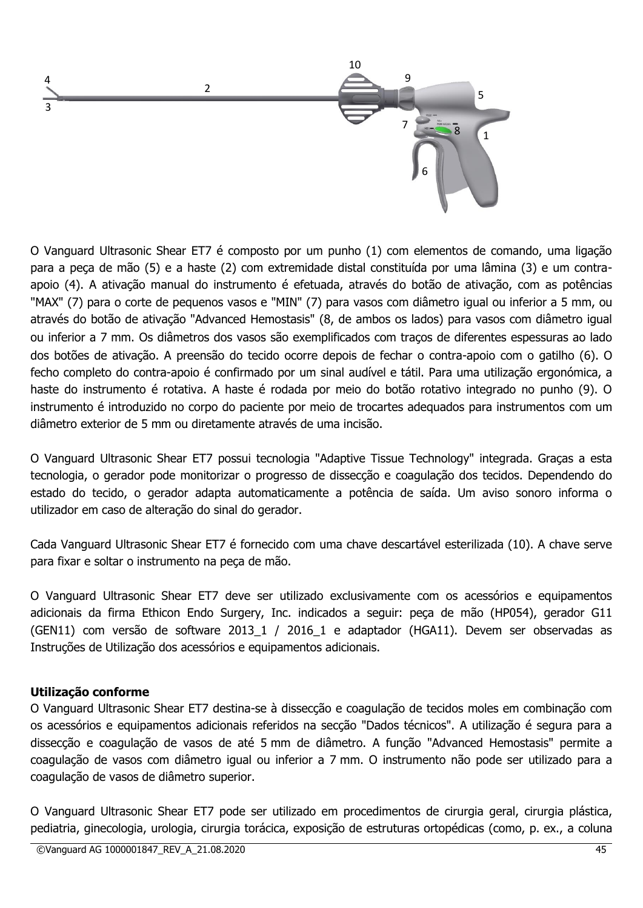

O Vanguard Ultrasonic Shear ET7 é composto por um punho (1) com elementos de comando, uma ligação para a peça de mão (5) e a haste (2) com extremidade distal constituída por uma lâmina (3) e um contraapoio (4). A ativação manual do instrumento é efetuada, através do botão de ativação, com as potências "MAX" (7) para o corte de pequenos vasos e "MIN" (7) para vasos com diâmetro igual ou inferior a 5 mm, ou através do botão de ativação "Advanced Hemostasis" (8, de ambos os lados) para vasos com diâmetro igual ou inferior a 7 mm. Os diâmetros dos vasos são exemplificados com traços de diferentes espessuras ao lado dos botões de ativação. A preensão do tecido ocorre depois de fechar o contra-apoio com o gatilho (6). O fecho completo do contra-apoio é confirmado por um sinal audível e tátil. Para uma utilização ergonómica, a haste do instrumento é rotativa. A haste é rodada por meio do botão rotativo integrado no punho (9). O instrumento é introduzido no corpo do paciente por meio de trocartes adequados para instrumentos com um diâmetro exterior de 5 mm ou diretamente através de uma incisão.

O Vanguard Ultrasonic Shear ET7 possui tecnologia "Adaptive Tissue Technology" integrada. Graças a esta tecnologia, o gerador pode monitorizar o progresso de dissecção e coagulação dos tecidos. Dependendo do estado do tecido, o gerador adapta automaticamente a potência de saída. Um aviso sonoro informa o utilizador em caso de alteração do sinal do gerador.

Cada Vanguard Ultrasonic Shear ET7 é fornecido com uma chave descartável esterilizada (10). A chave serve para fixar e soltar o instrumento na peça de mão.

O Vanguard Ultrasonic Shear ET7 deve ser utilizado exclusivamente com os acessórios e equipamentos adicionais da firma Ethicon Endo Surgery, Inc. indicados a seguir: peça de mão (HP054), gerador G11 (GEN11) com versão de software 2013\_1 / 2016\_1 e adaptador (HGA11). Devem ser observadas as Instruções de Utilização dos acessórios e equipamentos adicionais.

#### **Utilização conforme**

O Vanguard Ultrasonic Shear ET7 destina-se à dissecção e coagulação de tecidos moles em combinação com os acessórios e equipamentos adicionais referidos na secção "Dados técnicos". A utilização é segura para a dissecção e coagulação de vasos de até 5 mm de diâmetro. A função "Advanced Hemostasis" permite a coagulação de vasos com diâmetro igual ou inferior a 7 mm. O instrumento não pode ser utilizado para a coagulação de vasos de diâmetro superior.

O Vanguard Ultrasonic Shear ET7 pode ser utilizado em procedimentos de cirurgia geral, cirurgia plástica, pediatria, ginecologia, urologia, cirurgia torácica, exposição de estruturas ortopédicas (como, p. ex., a coluna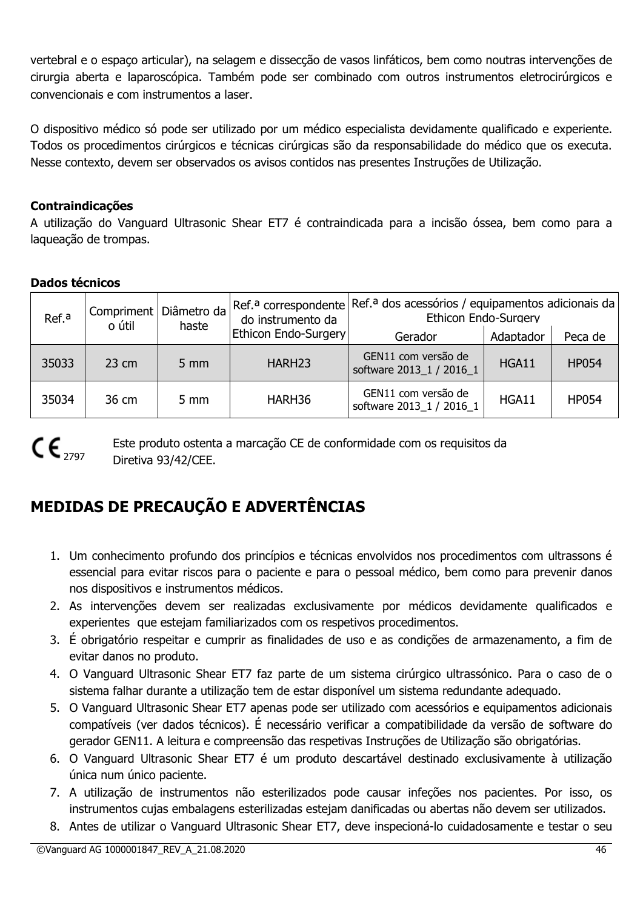vertebral e o espaço articular), na selagem e dissecção de vasos linfáticos, bem como noutras intervenções de cirurgia aberta e laparoscópica. Também pode ser combinado com outros instrumentos eletrocirúrgicos e convencionais e com instrumentos a laser.

O dispositivo médico só pode ser utilizado por um médico especialista devidamente qualificado e experiente. Todos os procedimentos cirúrgicos e técnicas cirúrgicas são da responsabilidade do médico que os executa. Nesse contexto, devem ser observados os avisos contidos nas presentes Instruções de Utilização.

# **Contraindicações**

A utilização do Vanguard Ultrasonic Shear ET7 é contraindicada para a incisão óssea, bem como para a laqueação de trompas.

# **Dados técnicos**

| Ref. <sup>a</sup> | Compriment<br>o útil | Diâmetro da<br>haste | Ref. <sup>a</sup> correspondente<br>do instrumento da | Ref. <sup>a</sup> dos acessórios / equipamentos adicionais da<br>Ethicon Endo-Surgery |           |              |
|-------------------|----------------------|----------------------|-------------------------------------------------------|---------------------------------------------------------------------------------------|-----------|--------------|
|                   |                      |                      | Ethicon Endo-Surgery                                  | Gerador                                                                               | Adaptador | Peca de      |
| 35033             | $23 \text{ cm}$      | $5 \text{ mm}$       | HARH <sub>23</sub>                                    | GEN11 com versão de<br>software 2013 1 / 2016 1                                       | HGA11     | <b>HP054</b> |
| 35034             | 36 cm                | $5 \, \text{mm}$     | HARH36                                                | GEN11 com versão de<br>software 2013 1 / 2016 1                                       | HGA11     | <b>HP054</b> |

# $C\epsilon_{\text{2797}}$

Este produto ostenta a marcação CE de conformidade com os requisitos da Diretiva 93/42/CEE.

# **MEDIDAS DE PRECAUÇÃO E ADVERTÊNCIAS**

- 1. Um conhecimento profundo dos princípios e técnicas envolvidos nos procedimentos com ultrassons é essencial para evitar riscos para o paciente e para o pessoal médico, bem como para prevenir danos nos dispositivos e instrumentos médicos.
- 2. As intervenções devem ser realizadas exclusivamente por médicos devidamente qualificados e experientes que estejam familiarizados com os respetivos procedimentos.
- 3. É obrigatório respeitar e cumprir as finalidades de uso e as condições de armazenamento, a fim de evitar danos no produto.
- 4. O Vanguard Ultrasonic Shear ET7 faz parte de um sistema cirúrgico ultrassónico. Para o caso de o sistema falhar durante a utilização tem de estar disponível um sistema redundante adequado.
- 5. O Vanguard Ultrasonic Shear ET7 apenas pode ser utilizado com acessórios e equipamentos adicionais compatíveis (ver dados técnicos). É necessário verificar a compatibilidade da versão de software do gerador GEN11. A leitura e compreensão das respetivas Instruções de Utilização são obrigatórias.
- 6. O Vanguard Ultrasonic Shear ET7 é um produto descartável destinado exclusivamente à utilização única num único paciente.
- 7. A utilização de instrumentos não esterilizados pode causar infeções nos pacientes. Por isso, os instrumentos cujas embalagens esterilizadas estejam danificadas ou abertas não devem ser utilizados.
- 8. Antes de utilizar o Vanguard Ultrasonic Shear ET7, deve inspecioná-lo cuidadosamente e testar o seu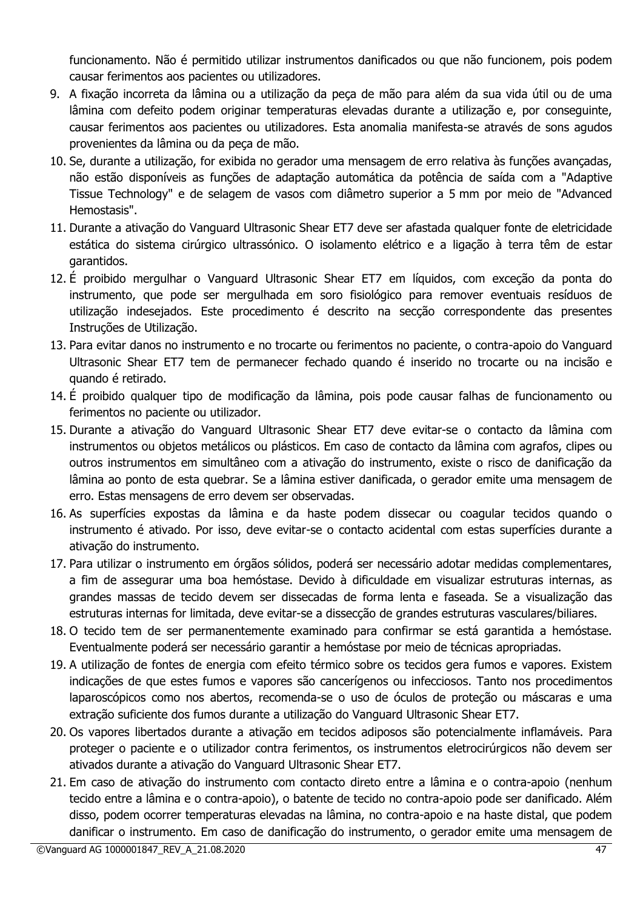funcionamento. Não é permitido utilizar instrumentos danificados ou que não funcionem, pois podem causar ferimentos aos pacientes ou utilizadores.

- 9. A fixação incorreta da lâmina ou a utilização da peça de mão para além da sua vida útil ou de uma lâmina com defeito podem originar temperaturas elevadas durante a utilização e, por conseguinte, causar ferimentos aos pacientes ou utilizadores. Esta anomalia manifesta-se através de sons agudos provenientes da lâmina ou da peça de mão.
- 10. Se, durante a utilização, for exibida no gerador uma mensagem de erro relativa às funções avançadas, não estão disponíveis as funções de adaptação automática da potência de saída com a "Adaptive Tissue Technology" e de selagem de vasos com diâmetro superior a 5 mm por meio de "Advanced Hemostasis".
- 11. Durante a ativação do Vanguard Ultrasonic Shear ET7 deve ser afastada qualquer fonte de eletricidade estática do sistema cirúrgico ultrassónico. O isolamento elétrico e a ligação à terra têm de estar garantidos.
- 12. É proibido mergulhar o Vanguard Ultrasonic Shear ET7 em líquidos, com exceção da ponta do instrumento, que pode ser mergulhada em soro fisiológico para remover eventuais resíduos de utilização indesejados. Este procedimento é descrito na secção correspondente das presentes Instruções de Utilização.
- 13. Para evitar danos no instrumento e no trocarte ou ferimentos no paciente, o contra-apoio do Vanguard Ultrasonic Shear ET7 tem de permanecer fechado quando é inserido no trocarte ou na incisão e quando é retirado.
- 14. É proibido qualquer tipo de modificação da lâmina, pois pode causar falhas de funcionamento ou ferimentos no paciente ou utilizador.
- 15. Durante a ativação do Vanguard Ultrasonic Shear ET7 deve evitar-se o contacto da lâmina com instrumentos ou objetos metálicos ou plásticos. Em caso de contacto da lâmina com agrafos, clipes ou outros instrumentos em simultâneo com a ativação do instrumento, existe o risco de danificação da lâmina ao ponto de esta quebrar. Se a lâmina estiver danificada, o gerador emite uma mensagem de erro. Estas mensagens de erro devem ser observadas.
- 16. As superfícies expostas da lâmina e da haste podem dissecar ou coagular tecidos quando o instrumento é ativado. Por isso, deve evitar-se o contacto acidental com estas superfícies durante a ativação do instrumento.
- 17. Para utilizar o instrumento em órgãos sólidos, poderá ser necessário adotar medidas complementares, a fim de assegurar uma boa hemóstase. Devido à dificuldade em visualizar estruturas internas, as grandes massas de tecido devem ser dissecadas de forma lenta e faseada. Se a visualização das estruturas internas for limitada, deve evitar-se a dissecção de grandes estruturas vasculares/biliares.
- 18. O tecido tem de ser permanentemente examinado para confirmar se está garantida a hemóstase. Eventualmente poderá ser necessário garantir a hemóstase por meio de técnicas apropriadas.
- 19. A utilização de fontes de energia com efeito térmico sobre os tecidos gera fumos e vapores. Existem indicações de que estes fumos e vapores são cancerígenos ou infecciosos. Tanto nos procedimentos laparoscópicos como nos abertos, recomenda-se o uso de óculos de proteção ou máscaras e uma extração suficiente dos fumos durante a utilização do Vanguard Ultrasonic Shear ET7.
- 20. Os vapores libertados durante a ativação em tecidos adiposos são potencialmente inflamáveis. Para proteger o paciente e o utilizador contra ferimentos, os instrumentos eletrocirúrgicos não devem ser ativados durante a ativação do Vanguard Ultrasonic Shear ET7.
- 21. Em caso de ativação do instrumento com contacto direto entre a lâmina e o contra-apoio (nenhum tecido entre a lâmina e o contra-apoio), o batente de tecido no contra-apoio pode ser danificado. Além disso, podem ocorrer temperaturas elevadas na lâmina, no contra-apoio e na haste distal, que podem danificar o instrumento. Em caso de danificação do instrumento, o gerador emite uma mensagem de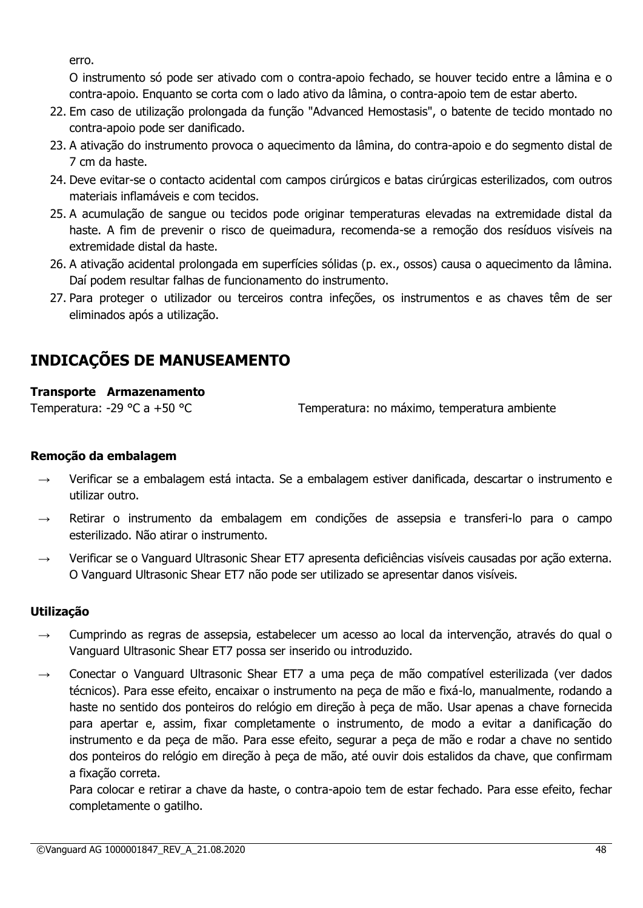erro.

O instrumento só pode ser ativado com o contra-apoio fechado, se houver tecido entre a lâmina e o contra-apoio. Enquanto se corta com o lado ativo da lâmina, o contra-apoio tem de estar aberto.

- 22. Em caso de utilização prolongada da função "Advanced Hemostasis", o batente de tecido montado no contra-apoio pode ser danificado.
- 23. A ativação do instrumento provoca o aquecimento da lâmina, do contra-apoio e do segmento distal de 7 cm da haste.
- 24. Deve evitar-se o contacto acidental com campos cirúrgicos e batas cirúrgicas esterilizados, com outros materiais inflamáveis e com tecidos.
- 25. A acumulação de sangue ou tecidos pode originar temperaturas elevadas na extremidade distal da haste. A fim de prevenir o risco de queimadura, recomenda-se a remoção dos resíduos visíveis na extremidade distal da haste.
- 26. A ativação acidental prolongada em superfícies sólidas (p. ex., ossos) causa o aquecimento da lâmina. Daí podem resultar falhas de funcionamento do instrumento.
- 27. Para proteger o utilizador ou terceiros contra infeções, os instrumentos e as chaves têm de ser eliminados após a utilização.

# **INDICAÇÕES DE MANUSEAMENTO**

# **Transporte Armazenamento**

Temperatura: -29 °C a +50 °C Temperatura: no máximo, temperatura ambiente

# **Remoção da embalagem**

- Verificar se a embalagem está intacta. Se a embalagem estiver danificada, descartar o instrumento e utilizar outro.
- Retirar o instrumento da embalagem em condições de assepsia e transferi-lo para o campo esterilizado. Não atirar o instrumento.
- → Verificar se o Vanguard Ultrasonic Shear ET7 apresenta deficiências visíveis causadas por ação externa. O Vanguard Ultrasonic Shear ET7 não pode ser utilizado se apresentar danos visíveis.

# **Utilização**

- Cumprindo as regras de assepsia, estabelecer um acesso ao local da intervenção, através do qual o Vanguard Ultrasonic Shear ET7 possa ser inserido ou introduzido.
- $\rightarrow$  Conectar o Vanguard Ultrasonic Shear ET7 a uma peca de mão compatível esterilizada (ver dados técnicos). Para esse efeito, encaixar o instrumento na peça de mão e fixá-lo, manualmente, rodando a haste no sentido dos ponteiros do relógio em direção à peça de mão. Usar apenas a chave fornecida para apertar e, assim, fixar completamente o instrumento, de modo a evitar a danificação do instrumento e da peça de mão. Para esse efeito, segurar a peça de mão e rodar a chave no sentido dos ponteiros do relógio em direção à peça de mão, até ouvir dois estalidos da chave, que confirmam a fixação correta.

Para colocar e retirar a chave da haste, o contra-apoio tem de estar fechado. Para esse efeito, fechar completamente o gatilho.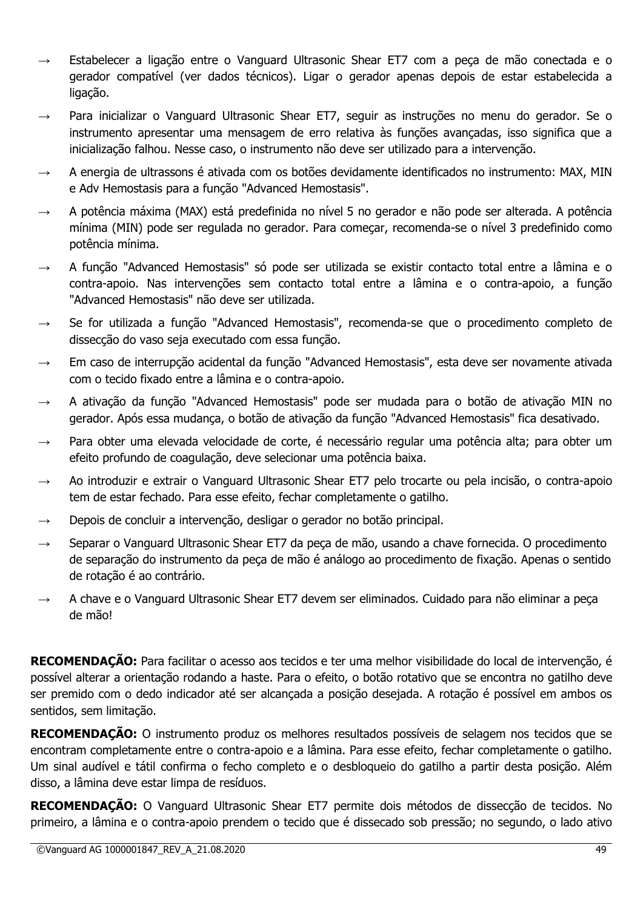- $\rightarrow$  Estabelecer a ligação entre o Vanguard Ultrasonic Shear ET7 com a peça de mão conectada e o gerador compatível (ver dados técnicos). Ligar o gerador apenas depois de estar estabelecida a ligação.
- Para inicializar o Vanguard Ultrasonic Shear ET7, seguir as instruções no menu do gerador. Se o instrumento apresentar uma mensagem de erro relativa às funções avançadas, isso significa que a inicialização falhou. Nesse caso, o instrumento não deve ser utilizado para a intervenção.
- $\rightarrow$  A energia de ultrassons é ativada com os botões devidamente identificados no instrumento: MAX, MIN e Adv Hemostasis para a função "Advanced Hemostasis".
- $\rightarrow$  A potência máxima (MAX) está predefinida no nível 5 no gerador e não pode ser alterada. A potência mínima (MIN) pode ser regulada no gerador. Para começar, recomenda-se o nível 3 predefinido como potência mínima.
- → A função "Advanced Hemostasis" só pode ser utilizada se existir contacto total entre a lâmina e o contra-apoio. Nas intervenções sem contacto total entre a lâmina e o contra-apoio, a função "Advanced Hemostasis" não deve ser utilizada.
- $\rightarrow$  Se for utilizada a função "Advanced Hemostasis", recomenda-se que o procedimento completo de dissecção do vaso seja executado com essa função.
- $\rightarrow$  Em caso de interrupção acidental da função "Advanced Hemostasis", esta deve ser novamente ativada com o tecido fixado entre a lâmina e o contra-apoio.
- $\rightarrow$  A ativação da função "Advanced Hemostasis" pode ser mudada para o botão de ativação MIN no gerador. Após essa mudança, o botão de ativação da função "Advanced Hemostasis" fica desativado.
- → Para obter uma elevada velocidade de corte, é necessário regular uma potência alta; para obter um efeito profundo de coagulação, deve selecionar uma potência baixa.
- $\rightarrow$  Ao introduzir e extrair o Vanguard Ultrasonic Shear ET7 pelo trocarte ou pela incisão, o contra-apoio tem de estar fechado. Para esse efeito, fechar completamente o gatilho.
- $\rightarrow$  Depois de concluir a intervenção, desligar o gerador no botão principal.
- $\rightarrow$  Separar o Vanguard Ultrasonic Shear ET7 da peça de mão, usando a chave fornecida. O procedimento de separação do instrumento da peça de mão é análogo ao procedimento de fixação. Apenas o sentido de rotação é ao contrário.
- $\rightarrow$  A chave e o Vanguard Ultrasonic Shear ET7 devem ser eliminados. Cuidado para não eliminar a peça de mão!

**RECOMENDAÇÃO:** Para facilitar o acesso aos tecidos e ter uma melhor visibilidade do local de intervenção, é possível alterar a orientação rodando a haste. Para o efeito, o botão rotativo que se encontra no gatilho deve ser premido com o dedo indicador até ser alcançada a posição desejada. A rotação é possível em ambos os sentidos, sem limitação.

**RECOMENDAÇÃO:** O instrumento produz os melhores resultados possíveis de selagem nos tecidos que se encontram completamente entre o contra-apoio e a lâmina. Para esse efeito, fechar completamente o gatilho. Um sinal audível e tátil confirma o fecho completo e o desbloqueio do gatilho a partir desta posição. Além disso, a lâmina deve estar limpa de resíduos.

**RECOMENDAÇÃO:** O Vanguard Ultrasonic Shear ET7 permite dois métodos de dissecção de tecidos. No primeiro, a lâmina e o contra-apoio prendem o tecido que é dissecado sob pressão; no segundo, o lado ativo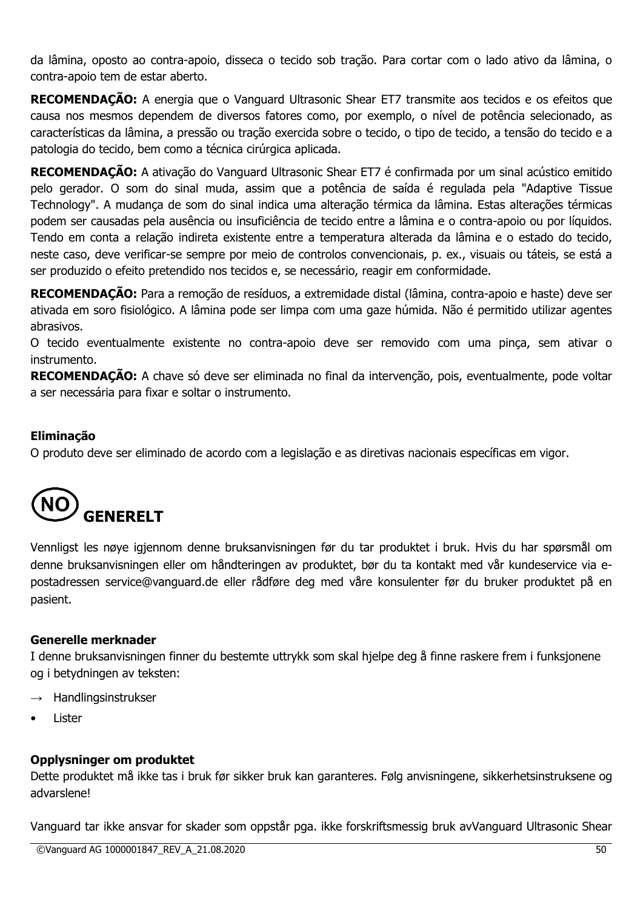da lâmina, oposto ao contra-apoio, disseca o tecido sob tração. Para cortar com o lado ativo da lâmina, o contra-apoio tem de estar aberto.

**RECOMENDAÇÃO:** A energia que o Vanguard Ultrasonic Shear ET7 transmite aos tecidos e os efeitos que causa nos mesmos dependem de diversos fatores como, por exemplo, o nível de potência selecionado, as características da lâmina, a pressão ou tração exercida sobre o tecido, o tipo de tecido, a tensão do tecido e a patologia do tecido, bem como a técnica cirúrgica aplicada.

**RECOMENDAÇÃO:** A ativação do Vanguard Ultrasonic Shear ET7 é confirmada por um sinal acústico emitido pelo gerador. O som do sinal muda, assim que a potência de saída é regulada pela "Adaptive Tissue Technology". A mudança de som do sinal indica uma alteração térmica da lâmina. Estas alterações térmicas podem ser causadas pela ausência ou insuficiência de tecido entre a lâmina e o contra-apoio ou por líquidos. Tendo em conta a relação indireta existente entre a temperatura alterada da lâmina e o estado do tecido, neste caso, deve verificar-se sempre por meio de controlos convencionais, p. ex., visuais ou táteis, se está a ser produzido o efeito pretendido nos tecidos e, se necessário, reagir em conformidade.

**RECOMENDAÇÃO:** Para a remoção de resíduos, a extremidade distal (lâmina, contra-apoio e haste) deve ser ativada em soro fisiológico. A lâmina pode ser limpa com uma gaze húmida. Não é permitido utilizar agentes abrasivos.

O tecido eventualmente existente no contra-apoio deve ser removido com uma pinça, sem ativar o instrumento.

**RECOMENDAÇÃO:** A chave só deve ser eliminada no final da intervenção, pois, eventualmente, pode voltar a ser necessária para fixar e soltar o instrumento.

# **Eliminação**

O produto deve ser eliminado de acordo com a legislação e as diretivas nacionais específicas em vigor.



Vennligst les nøye igjennom denne bruksanvisningen før du tar produktet i bruk. Hvis du har spørsmål om denne bruksanvisningen eller om håndteringen av produktet, bør du ta kontakt med vår kundeservice via epostadressen service@vanguard.de eller rådføre deg med våre konsulenter før du bruker produktet på en pasient.

#### **Generelle merknader**

I denne bruksanvisningen finner du bestemte uttrykk som skal hjelpe deg å finne raskere frem i funksjonene og i betydningen av teksten:

- $\rightarrow$  Handlingsinstrukser
- **Lister**

#### **Opplysninger om produktet**

Dette produktet må ikke tas i bruk før sikker bruk kan garanteres. Følg anvisningene, sikkerhetsinstruksene og advarslene!

Vanguard tar ikke ansvar for skader som oppstår pga. ikke forskriftsmessig bruk avVanguard Ultrasonic Shear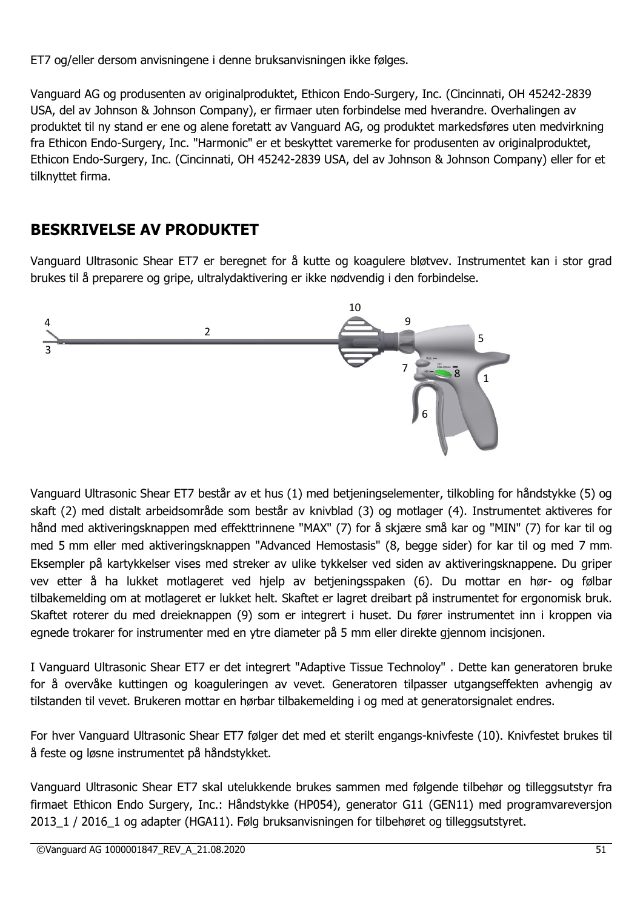ET7 og/eller dersom anvisningene i denne bruksanvisningen ikke følges.

Vanguard AG og produsenten av originalproduktet, Ethicon Endo-Surgery, Inc. (Cincinnati, OH 45242-2839 USA, del av Johnson & Johnson Company), er firmaer uten forbindelse med hverandre. Overhalingen av produktet til ny stand er ene og alene foretatt av Vanguard AG, og produktet markedsføres uten medvirkning fra Ethicon Endo-Surgery, Inc. "Harmonic" er et beskyttet varemerke for produsenten av originalproduktet, Ethicon Endo-Surgery, Inc. (Cincinnati, OH 45242-2839 USA, del av Johnson & Johnson Company) eller for et tilknyttet firma.

# **BESKRIVELSE AV PRODUKTET**

Vanguard Ultrasonic Shear ET7 er beregnet for å kutte og koagulere bløtvev. Instrumentet kan i stor grad brukes til å preparere og gripe, ultralydaktivering er ikke nødvendig i den forbindelse.



Vanguard Ultrasonic Shear ET7 består av et hus (1) med betjeningselementer, tilkobling for håndstykke (5) og skaft (2) med distalt arbeidsområde som består av knivblad (3) og motlager (4). Instrumentet aktiveres for hånd med aktiveringsknappen med effekttrinnene "MAX" (7) for å skjære små kar og "MIN" (7) for kar til og med 5 mm eller med aktiveringsknappen "Advanced Hemostasis" (8, begge sider) for kar til og med 7 mm. Eksempler på kartykkelser vises med streker av ulike tykkelser ved siden av aktiveringsknappene. Du griper vev etter å ha lukket motlageret ved hjelp av betjeningsspaken (6). Du mottar en hør- og følbar tilbakemelding om at motlageret er lukket helt. Skaftet er lagret dreibart på instrumentet for ergonomisk bruk. Skaftet roterer du med dreieknappen (9) som er integrert i huset. Du fører instrumentet inn i kroppen via egnede trokarer for instrumenter med en ytre diameter på 5 mm eller direkte gjennom incisjonen.

I Vanguard Ultrasonic Shear ET7 er det integrert "Adaptive Tissue Technoloy" . Dette kan generatoren bruke for å overvåke kuttingen og koaguleringen av vevet. Generatoren tilpasser utgangseffekten avhengig av tilstanden til vevet. Brukeren mottar en hørbar tilbakemelding i og med at generatorsignalet endres.

For hver Vanguard Ultrasonic Shear ET7 følger det med et sterilt engangs-knivfeste (10). Knivfestet brukes til å feste og løsne instrumentet på håndstykket.

Vanguard Ultrasonic Shear ET7 skal utelukkende brukes sammen med følgende tilbehør og tilleggsutstyr fra firmaet Ethicon Endo Surgery, Inc.: Håndstykke (HP054), generator G11 (GEN11) med programvareversjon 2013 1 / 2016 1 og adapter (HGA11). Følg bruksanvisningen for tilbehøret og tilleggsutstyret.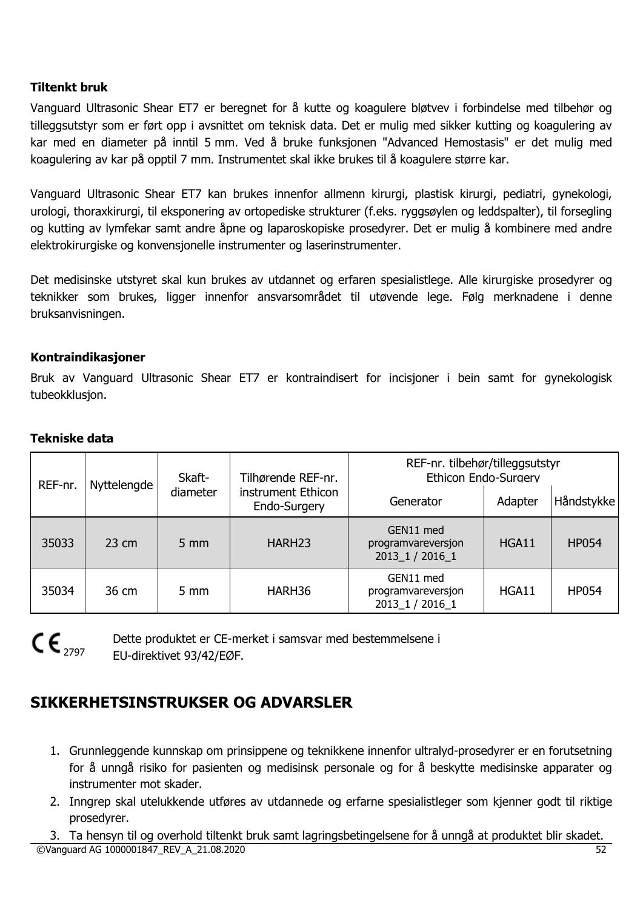# **Tiltenkt bruk**

Vanguard Ultrasonic Shear ET7 er beregnet for å kutte og koagulere bløtvev i forbindelse med tilbehør og tilleggsutstyr som er ført opp i avsnittet om teknisk data. Det er mulig med sikker kutting og koagulering av kar med en diameter på inntil 5 mm. Ved å bruke funksjonen "Advanced Hemostasis" er det mulig med koagulering av kar på opptil 7 mm. Instrumentet skal ikke brukes til å koagulere større kar.

Vanguard Ultrasonic Shear ET7 kan brukes innenfor allmenn kirurgi, plastisk kirurgi, pediatri, gynekologi, urologi, thoraxkirurgi, til eksponering av ortopediske strukturer (f.eks. ryggsøylen og leddspalter), til forsegling og kutting av lymfekar samt andre åpne og laparoskopiske prosedyrer. Det er mulig å kombinere med andre elektrokirurgiske og konvensjonelle instrumenter og laserinstrumenter.

Det medisinske utstyret skal kun brukes av utdannet og erfaren spesialistlege. Alle kirurgiske prosedyrer og teknikker som brukes, ligger innenfor ansvarsområdet til utøvende lege. Følg merknadene i denne bruksanvisningen.

#### **Kontraindikasjoner**

Bruk av Vanguard Ultrasonic Shear ET7 er kontraindisert for incisjoner i bein samt for gynekologisk tubeokklusjon.

#### **Tekniske data**

| REF-nr. | Skaft-<br>Nyttelengde |                | Tilhørende REF-nr.                 | REF-nr. tilbehør/tilleggsutstyr<br>Ethicon Endo-Surgery |         |              |
|---------|-----------------------|----------------|------------------------------------|---------------------------------------------------------|---------|--------------|
|         |                       | diameter       | instrument Ethicon<br>Endo-Surgery | Generator                                               | Adapter | Håndstykke   |
| 35033   | $23 \text{ cm}$       | $5 \text{ mm}$ | HARH <sub>23</sub>                 | GEN11 med<br>programvareversjon<br>2013_1 / 2016_1      | HGA11   | <b>HP054</b> |
| 35034   | 36 cm                 | $5 \text{ mm}$ | HARH36                             | GEN11 med<br>programvareversjon<br>2013 1 / 2016 1      | HGA11   | <b>HP054</b> |



Dette produktet er CE-merket i samsvar med bestemmelsene i EU-direktivet 93/42/EØF.

# **SIKKERHETSINSTRUKSER OG ADVARSLER**

- 1. Grunnleggende kunnskap om prinsippene og teknikkene innenfor ultralyd-prosedyrer er en forutsetning for å unngå risiko for pasienten og medisinsk personale og for å beskytte medisinske apparater og instrumenter mot skader.
- 2. Inngrep skal utelukkende utføres av utdannede og erfarne spesialistleger som kjenner godt til riktige prosedyrer.
- ©Vanguard AG 1000001847\_REV\_A\_21.08.2020 52 3. Ta hensyn til og overhold tiltenkt bruk samt lagringsbetingelsene for å unngå at produktet blir skadet.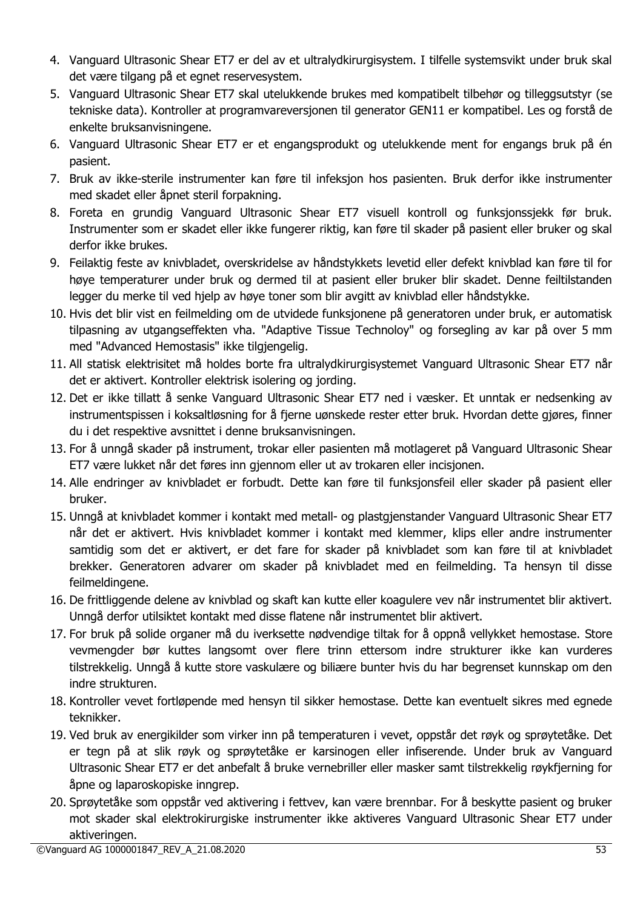- 4. Vanguard Ultrasonic Shear ET7 er del av et ultralydkirurgisystem. I tilfelle systemsvikt under bruk skal det være tilgang på et egnet reservesystem.
- 5. Vanguard Ultrasonic Shear ET7 skal utelukkende brukes med kompatibelt tilbehør og tilleggsutstyr (se tekniske data). Kontroller at programvareversjonen til generator GEN11 er kompatibel. Les og forstå de enkelte bruksanvisningene.
- 6. Vanguard Ultrasonic Shear ET7 er et engangsprodukt og utelukkende ment for engangs bruk på én pasient.
- 7. Bruk av ikke-sterile instrumenter kan føre til infeksjon hos pasienten. Bruk derfor ikke instrumenter med skadet eller åpnet steril forpakning.
- 8. Foreta en grundig Vanguard Ultrasonic Shear ET7 visuell kontroll og funksjonssjekk før bruk. Instrumenter som er skadet eller ikke fungerer riktig, kan føre til skader på pasient eller bruker og skal derfor ikke brukes.
- 9. Feilaktig feste av knivbladet, overskridelse av håndstykkets levetid eller defekt knivblad kan føre til for høye temperaturer under bruk og dermed til at pasient eller bruker blir skadet. Denne feiltilstanden legger du merke til ved hjelp av høye toner som blir avgitt av knivblad eller håndstykke.
- 10. Hvis det blir vist en feilmelding om de utvidede funksjonene på generatoren under bruk, er automatisk tilpasning av utgangseffekten vha. "Adaptive Tissue Technoloy" og forsegling av kar på over 5 mm med "Advanced Hemostasis" ikke tilgjengelig.
- 11. All statisk elektrisitet må holdes borte fra ultralydkirurgisystemet Vanguard Ultrasonic Shear ET7 når det er aktivert. Kontroller elektrisk isolering og jording.
- 12. Det er ikke tillatt å senke Vanguard Ultrasonic Shear ET7 ned i væsker. Et unntak er nedsenking av instrumentspissen i koksaltløsning for å fjerne uønskede rester etter bruk. Hvordan dette gjøres, finner du i det respektive avsnittet i denne bruksanvisningen.
- 13. For å unngå skader på instrument, trokar eller pasienten må motlageret på Vanguard Ultrasonic Shear ET7 være lukket når det føres inn gjennom eller ut av trokaren eller incisjonen.
- 14. Alle endringer av knivbladet er forbudt. Dette kan føre til funksjonsfeil eller skader på pasient eller bruker.
- 15. Unngå at knivbladet kommer i kontakt med metall- og plastgjenstander Vanguard Ultrasonic Shear ET7 når det er aktivert. Hvis knivbladet kommer i kontakt med klemmer, klips eller andre instrumenter samtidig som det er aktivert, er det fare for skader på knivbladet som kan føre til at knivbladet brekker. Generatoren advarer om skader på knivbladet med en feilmelding. Ta hensyn til disse feilmeldingene.
- 16. De frittliggende delene av knivblad og skaft kan kutte eller koagulere vev når instrumentet blir aktivert. Unngå derfor utilsiktet kontakt med disse flatene når instrumentet blir aktivert.
- 17. For bruk på solide organer må du iverksette nødvendige tiltak for å oppnå vellykket hemostase. Store vevmengder bør kuttes langsomt over flere trinn ettersom indre strukturer ikke kan vurderes tilstrekkelig. Unngå å kutte store vaskulære og biliære bunter hvis du har begrenset kunnskap om den indre strukturen.
- 18. Kontroller vevet fortløpende med hensyn til sikker hemostase. Dette kan eventuelt sikres med egnede teknikker.
- 19. Ved bruk av energikilder som virker inn på temperaturen i vevet, oppstår det røyk og sprøytetåke. Det er tegn på at slik røyk og sprøytetåke er karsinogen eller infiserende. Under bruk av Vanguard Ultrasonic Shear ET7 er det anbefalt å bruke vernebriller eller masker samt tilstrekkelig røykfjerning for åpne og laparoskopiske inngrep.
- 20. Sprøytetåke som oppstår ved aktivering i fettvev, kan være brennbar. For å beskytte pasient og bruker mot skader skal elektrokirurgiske instrumenter ikke aktiveres Vanguard Ultrasonic Shear ET7 under aktiveringen.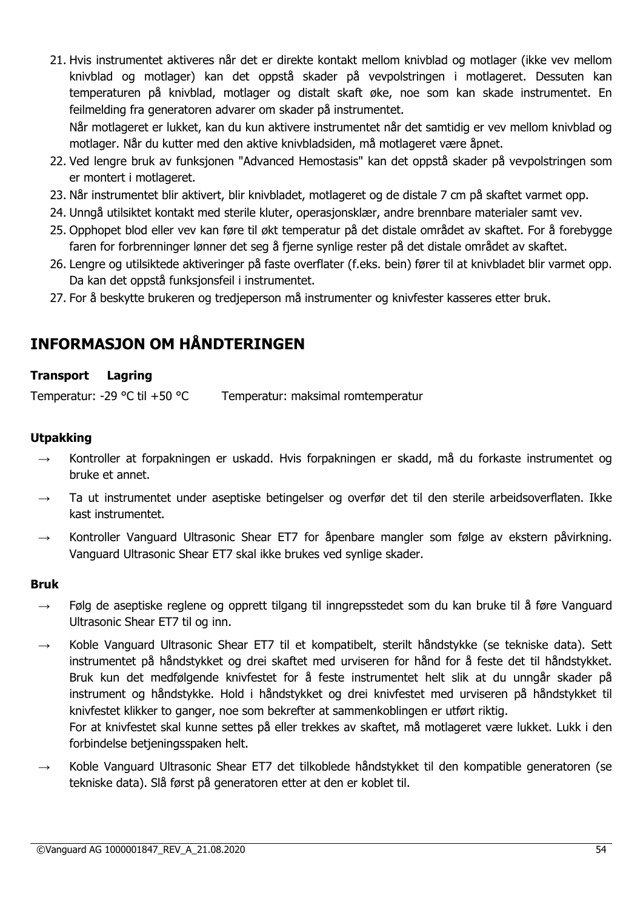21. Hvis instrumentet aktiveres når det er direkte kontakt mellom knivblad og motlager (ikke vev mellom knivblad og motlager) kan det oppstå skader på vevpolstringen i motlageret. Dessuten kan temperaturen på knivblad, motlager og distalt skaft øke, noe som kan skade instrumentet. En feilmelding fra generatoren advarer om skader på instrumentet. Når motlageret er lukket, kan du kun aktivere instrumentet når det samtidig er vev mellom knivblad og

motlager. Når du kutter med den aktive knivbladsiden, må motlageret være åpnet.

- 22. Ved lengre bruk av funksjonen "Advanced Hemostasis" kan det oppstå skader på vevpolstringen som er montert i motlageret.
- 23. Når instrumentet blir aktivert, blir knivbladet, motlageret og de distale 7 cm på skaftet varmet opp.
- 24. Unngå utilsiktet kontakt med sterile kluter, operasjonsklær, andre brennbare materialer samt vev.
- 25. Opphopet blod eller vev kan føre til økt temperatur på det distale området av skaftet. For å forebygge faren for forbrenninger lønner det seg å fjerne synlige rester på det distale området av skaftet.
- 26. Lengre og utilsiktede aktiveringer på faste overflater (f.eks. bein) fører til at knivbladet blir varmet opp. Da kan det oppstå funksjonsfeil i instrumentet.
- 27. For å beskytte brukeren og tredjeperson må instrumenter og knivfester kasseres etter bruk.

# **INFORMASJON OM HÅNDTERINGEN**

# **Transport Lagring**

Temperatur: -29 °C til +50 °C Temperatur: maksimal romtemperatur

# **Utpakking**

- → Kontroller at forpakningen er uskadd. Hvis forpakningen er skadd, må du forkaste instrumentet og bruke et annet.
- Ta ut instrumentet under aseptiske betingelser og overfør det til den sterile arbeidsoverflaten. Ikke kast instrumentet.
- $\rightarrow$  Kontroller Vanguard Ultrasonic Shear ET7 for åpenbare mangler som følge av ekstern påvirkning. Vanguard Ultrasonic Shear ET7 skal ikke brukes ved synlige skader.

#### **Bruk**

- $\rightarrow$  Følg de aseptiske reglene og opprett tilgang til inngrepsstedet som du kan bruke til å føre Vanguard Ultrasonic Shear ET7 til og inn.
- $\rightarrow$  Koble Vanguard Ultrasonic Shear ET7 til et kompatibelt, sterilt håndstykke (se tekniske data). Sett instrumentet på håndstykket og drei skaftet med urviseren for hånd for å feste det til håndstykket. Bruk kun det medfølgende knivfestet for å feste instrumentet helt slik at du unngår skader på instrument og håndstykke. Hold i håndstykket og drei knivfestet med urviseren på håndstykket til knivfestet klikker to ganger, noe som bekrefter at sammenkoblingen er utført riktig. For at knivfestet skal kunne settes på eller trekkes av skaftet, må motlageret være lukket. Lukk i den

forbindelse betjeningsspaken helt.

Koble Vanguard Ultrasonic Shear ET7 det tilkoblede håndstykket til den kompatible generatoren (se tekniske data). Slå først på generatoren etter at den er koblet til.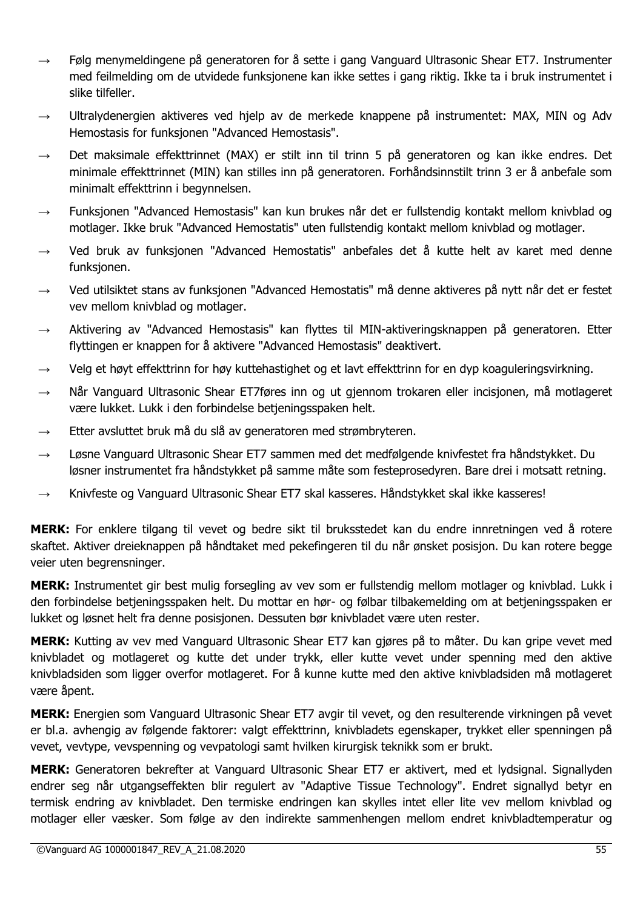- $\rightarrow$  Følg menymeldingene på generatoren for å sette i gang Vanguard Ultrasonic Shear ET7. Instrumenter med feilmelding om de utvidede funksjonene kan ikke settes i gang riktig. Ikke ta i bruk instrumentet i slike tilfeller.
- Ultralydenergien aktiveres ved hjelp av de merkede knappene på instrumentet: MAX, MIN og Adv Hemostasis for funksjonen "Advanced Hemostasis".
- Det maksimale effekttrinnet (MAX) er stilt inn til trinn 5 på generatoren og kan ikke endres. Det minimale effekttrinnet (MIN) kan stilles inn på generatoren. Forhåndsinnstilt trinn 3 er å anbefale som minimalt effekttrinn i begynnelsen.
- $\rightarrow$  Funksjonen "Advanced Hemostasis" kan kun brukes når det er fullstendig kontakt mellom knivblad og motlager. Ikke bruk "Advanced Hemostatis" uten fullstendig kontakt mellom knivblad og motlager.
- $\rightarrow$  Ved bruk av funksjonen "Advanced Hemostatis" anbefales det å kutte helt av karet med denne funksjonen.
- → Ved utilsiktet stans av funksjonen "Advanced Hemostatis" må denne aktiveres på nytt når det er festet vev mellom knivblad og motlager.
- → Aktivering av "Advanced Hemostasis" kan flyttes til MIN-aktiveringsknappen på generatoren. Etter flyttingen er knappen for å aktivere "Advanced Hemostasis" deaktivert.
- $\rightarrow$  Velg et høyt effekttrinn for høy kuttehastighet og et lavt effekttrinn for en dyp koaguleringsvirkning.
- $\rightarrow$  Når Vanguard Ultrasonic Shear ET7føres inn og ut gjennom trokaren eller incisjonen, må motlageret være lukket. Lukk i den forbindelse betjeningsspaken helt.
- $\rightarrow$  Etter avsluttet bruk må du slå av generatoren med strømbryteren.
- $\rightarrow$  Løsne Vanguard Ultrasonic Shear ET7 sammen med det medfølgende knivfestet fra håndstykket. Du løsner instrumentet fra håndstykket på samme måte som festeprosedyren. Bare drei i motsatt retning.
- $\rightarrow$  Knivfeste og Vanguard Ultrasonic Shear ET7 skal kasseres. Håndstykket skal ikke kasseres!

**MERK:** For enklere tilgang til vevet og bedre sikt til bruksstedet kan du endre innretningen ved å rotere skaftet. Aktiver dreieknappen på håndtaket med pekefingeren til du når ønsket posisjon. Du kan rotere begge veier uten begrensninger.

**MERK:** Instrumentet gir best mulig forsegling av vev som er fullstendig mellom motlager og knivblad. Lukk i den forbindelse betjeningsspaken helt. Du mottar en hør- og følbar tilbakemelding om at betjeningsspaken er lukket og løsnet helt fra denne posisjonen. Dessuten bør knivbladet være uten rester.

**MERK:** Kutting av vev med Vanguard Ultrasonic Shear ET7 kan gjøres på to måter. Du kan gripe vevet med knivbladet og motlageret og kutte det under trykk, eller kutte vevet under spenning med den aktive knivbladsiden som ligger overfor motlageret. For å kunne kutte med den aktive knivbladsiden må motlageret være åpent.

**MERK:** Energien som Vanguard Ultrasonic Shear ET7 avgir til vevet, og den resulterende virkningen på vevet er bl.a. avhengig av følgende faktorer: valgt effekttrinn, knivbladets egenskaper, trykket eller spenningen på vevet, vevtype, vevspenning og vevpatologi samt hvilken kirurgisk teknikk som er brukt.

**MERK:** Generatoren bekrefter at Vanguard Ultrasonic Shear ET7 er aktivert, med et lydsignal. Signallyden endrer seg når utgangseffekten blir regulert av "Adaptive Tissue Technology". Endret signallyd betyr en termisk endring av knivbladet. Den termiske endringen kan skylles intet eller lite vev mellom knivblad og motlager eller væsker. Som følge av den indirekte sammenhengen mellom endret knivbladtemperatur og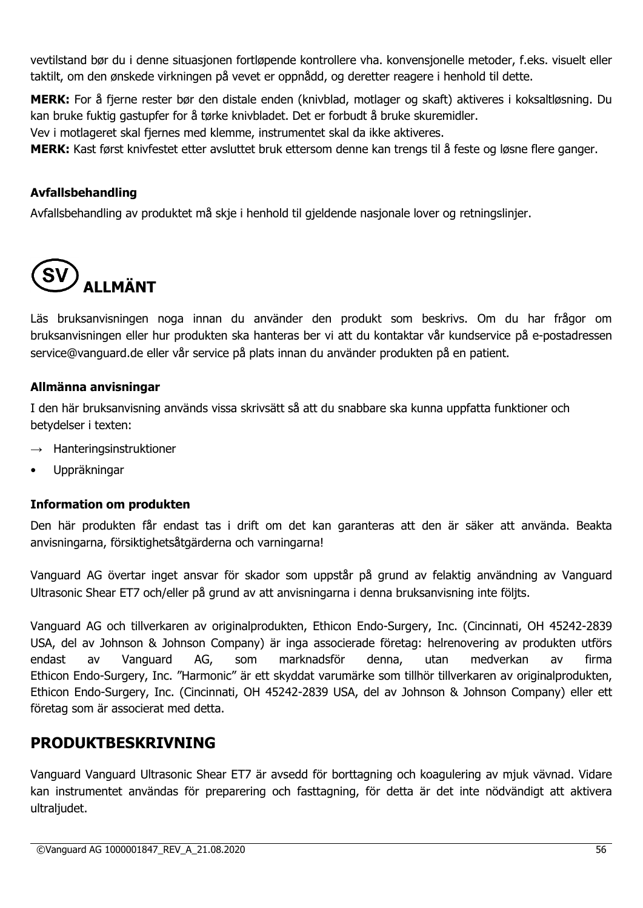vevtilstand bør du i denne situasjonen fortløpende kontrollere vha. konvensjonelle metoder, f.eks. visuelt eller taktilt, om den ønskede virkningen på vevet er oppnådd, og deretter reagere i henhold til dette.

**MERK:** For å fjerne rester bør den distale enden (knivblad, motlager og skaft) aktiveres i koksaltløsning. Du kan bruke fuktig gastupfer for å tørke knivbladet. Det er forbudt å bruke skuremidler.

Vev i motlageret skal fjernes med klemme, instrumentet skal da ikke aktiveres.

**MERK:** Kast først knivfestet etter avsluttet bruk ettersom denne kan trengs til å feste og løsne flere ganger.

# **Avfallsbehandling**

Avfallsbehandling av produktet må skje i henhold til gjeldende nasjonale lover og retningslinjer.



Läs bruksanvisningen noga innan du använder den produkt som beskrivs. Om du har frågor om bruksanvisningen eller hur produkten ska hanteras ber vi att du kontaktar vår kundservice på e-postadressen service@vanguard.de eller vår service på plats innan du använder produkten på en patient.

# **Allmänna anvisningar**

I den här bruksanvisning används vissa skrivsätt så att du snabbare ska kunna uppfatta funktioner och betydelser i texten:

- $\rightarrow$  Hanteringsinstruktioner
- Uppräkningar

# **Information om produkten**

Den här produkten får endast tas i drift om det kan garanteras att den är säker att använda. Beakta anvisningarna, försiktighetsåtgärderna och varningarna!

Vanguard AG övertar inget ansvar för skador som uppstår på grund av felaktig användning av Vanguard Ultrasonic Shear ET7 och/eller på grund av att anvisningarna i denna bruksanvisning inte följts.

Vanguard AG och tillverkaren av originalprodukten, Ethicon Endo-Surgery, Inc. (Cincinnati, OH 45242-2839 USA, del av Johnson & Johnson Company) är inga associerade företag: helrenovering av produkten utförs endast av Vanguard AG, som marknadsför denna, utan medverkan av firma Ethicon Endo-Surgery, Inc. "Harmonic" är ett skyddat varumärke som tillhör tillverkaren av originalprodukten, Ethicon Endo-Surgery, Inc. (Cincinnati, OH 45242-2839 USA, del av Johnson & Johnson Company) eller ett företag som är associerat med detta.

# **PRODUKTBESKRIVNING**

Vanguard Vanguard Ultrasonic Shear ET7 är avsedd för borttagning och koagulering av mjuk vävnad. Vidare kan instrumentet användas för preparering och fasttagning, för detta är det inte nödvändigt att aktivera ultraliudet.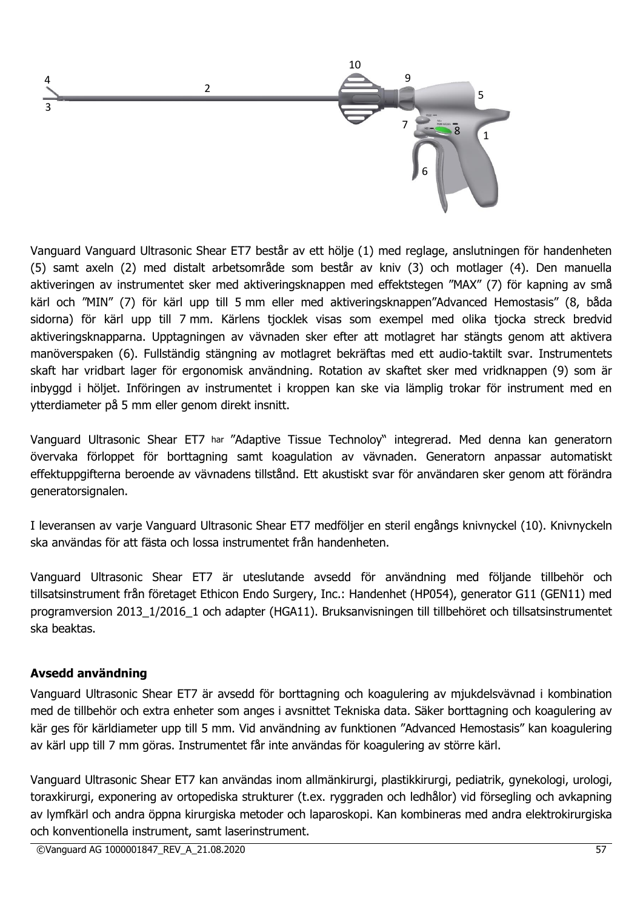

Vanguard Vanguard Ultrasonic Shear ET7 består av ett hölje (1) med reglage, anslutningen för handenheten (5) samt axeln (2) med distalt arbetsområde som består av kniv (3) och motlager (4). Den manuella aktiveringen av instrumentet sker med aktiveringsknappen med effektstegen "MAX" (7) för kapning av små kärl och "MIN" (7) för kärl upp till 5 mm eller med aktiveringsknappen"Advanced Hemostasis" (8, båda sidorna) för kärl upp till 7 mm. Kärlens tjocklek visas som exempel med olika tjocka streck bredvid aktiveringsknapparna. Upptagningen av vävnaden sker efter att motlagret har stängts genom att aktivera manöverspaken (6). Fullständig stängning av motlagret bekräftas med ett audio-taktilt svar. Instrumentets skaft har vridbart lager för ergonomisk användning. Rotation av skaftet sker med vridknappen (9) som är inbyggd i höljet. Införingen av instrumentet i kroppen kan ske via lämplig trokar för instrument med en ytterdiameter på 5 mm eller genom direkt insnitt.

Vanguard Ultrasonic Shear ET7 har "Adaptive Tissue Technoloy" integrerad. Med denna kan generatorn övervaka förloppet för borttagning samt koagulation av vävnaden. Generatorn anpassar automatiskt effektuppgifterna beroende av vävnadens tillstånd. Ett akustiskt svar för användaren sker genom att förändra generatorsignalen.

I leveransen av varie Vanguard Ultrasonic Shear ET7 medföljer en steril engångs knivnyckel (10). Knivnyckeln ska användas för att fästa och lossa instrumentet från handenheten.

Vanguard Ultrasonic Shear ET7 är uteslutande avsedd för användning med följande tillbehör och tillsatsinstrument från företaget Ethicon Endo Surgery, Inc.: Handenhet (HP054), generator G11 (GEN11) med programversion 2013\_1/2016\_1 och adapter (HGA11). Bruksanvisningen till tillbehöret och tillsatsinstrumentet ska beaktas.

#### **Avsedd användning**

Vanguard Ultrasonic Shear ET7 är avsedd för borttagning och koagulering av mjukdelsvävnad i kombination med de tillbehör och extra enheter som anges i avsnittet Tekniska data. Säker borttagning och koagulering av kär ges för kärldiameter upp till 5 mm. Vid användning av funktionen "Advanced Hemostasis" kan koagulering av kärl upp till 7 mm göras. Instrumentet får inte användas för koagulering av större kärl.

Vanguard Ultrasonic Shear ET7 kan användas inom allmänkirurgi, plastikkirurgi, pediatrik, gynekologi, urologi, toraxkirurgi, exponering av ortopediska strukturer (t.ex. ryggraden och ledhålor) vid försegling och avkapning av lymfkärl och andra öppna kirurgiska metoder och laparoskopi. Kan kombineras med andra elektrokirurgiska och konventionella instrument, samt laserinstrument.

©Vanguard AG 1000001847\_REV\_A\_21.08.2020 57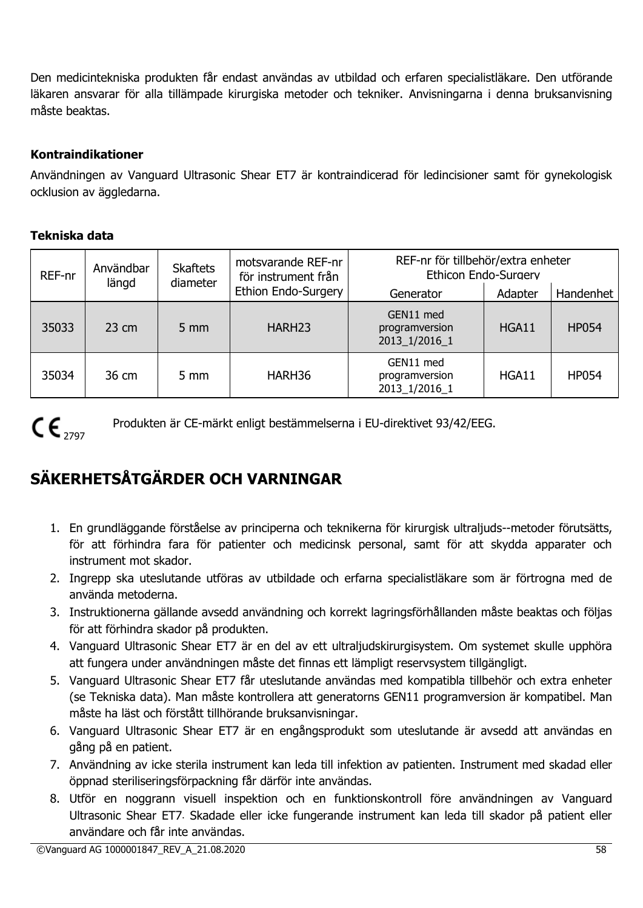Den medicintekniska produkten får endast användas av utbildad och erfaren specialistläkare. Den utförande läkaren ansvarar för alla tillämpade kirurgiska metoder och tekniker. Anvisningarna i denna bruksanvisning måste beaktas.

# **Kontraindikationer**

Användningen av Vanguard Ultrasonic Shear ET7 är kontraindicerad för ledincisioner samt för gynekologisk ocklusion av äggledarna.

# **Tekniska data**

| REF-nr | <b>Skaftets</b><br>Användbar<br>längd<br>diameter | motsvarande REF-nr<br>för instrument från | REF-nr för tillbehör/extra enheter<br>Ethicon Endo-Surgery |                                              |         |              |
|--------|---------------------------------------------------|-------------------------------------------|------------------------------------------------------------|----------------------------------------------|---------|--------------|
|        |                                                   |                                           | <b>Ethion Endo-Surgery</b>                                 | Generator                                    | Adapter | Handenhet    |
| 35033  | $23 \text{ cm}$                                   | $5 \text{ mm}$                            | HARH <sub>23</sub>                                         | GEN11 med<br>programversion<br>2013 1/2016 1 | HGA11   | <b>HP054</b> |
| 35034  | 36 cm                                             | $5 \text{ mm}$                            | HARH36                                                     | GEN11 med<br>programversion<br>2013_1/2016_1 | HGA11   | <b>HP054</b> |

 $CE_{2797}$ 

Produkten är CE-märkt enligt bestämmelserna i EU-direktivet 93/42/EEG.

# **SÄKERHETSÅTGÄRDER OCH VARNINGAR**

- 1. En grundläggande förståelse av principerna och teknikerna för kirurgisk ultraljuds--metoder förutsätts, för att förhindra fara för patienter och medicinsk personal, samt för att skydda apparater och instrument mot skador.
- 2. Ingrepp ska uteslutande utföras av utbildade och erfarna specialistläkare som är förtrogna med de använda metoderna.
- 3. Instruktionerna gällande avsedd användning och korrekt lagringsförhållanden måste beaktas och följas för att förhindra skador på produkten.
- 4. Vanguard Ultrasonic Shear ET7 är en del av ett ultraljudskirurgisystem. Om systemet skulle upphöra att fungera under användningen måste det finnas ett lämpligt reservsystem tillgängligt.
- 5. Vanguard Ultrasonic Shear ET7 får uteslutande användas med kompatibla tillbehör och extra enheter (se Tekniska data). Man måste kontrollera att generatorns GEN11 programversion är kompatibel. Man måste ha läst och förstått tillhörande bruksanvisningar.
- 6. Vanguard Ultrasonic Shear ET7 är en engångsprodukt som uteslutande är avsedd att användas en gång på en patient.
- 7. Användning av icke sterila instrument kan leda till infektion av patienten. Instrument med skadad eller öppnad steriliseringsförpackning får därför inte användas.
- 8. Utför en noggrann visuell inspektion och en funktionskontroll före användningen av Vanguard Ultrasonic Shear ET7. Skadade eller icke fungerande instrument kan leda till skador på patient eller användare och får inte användas.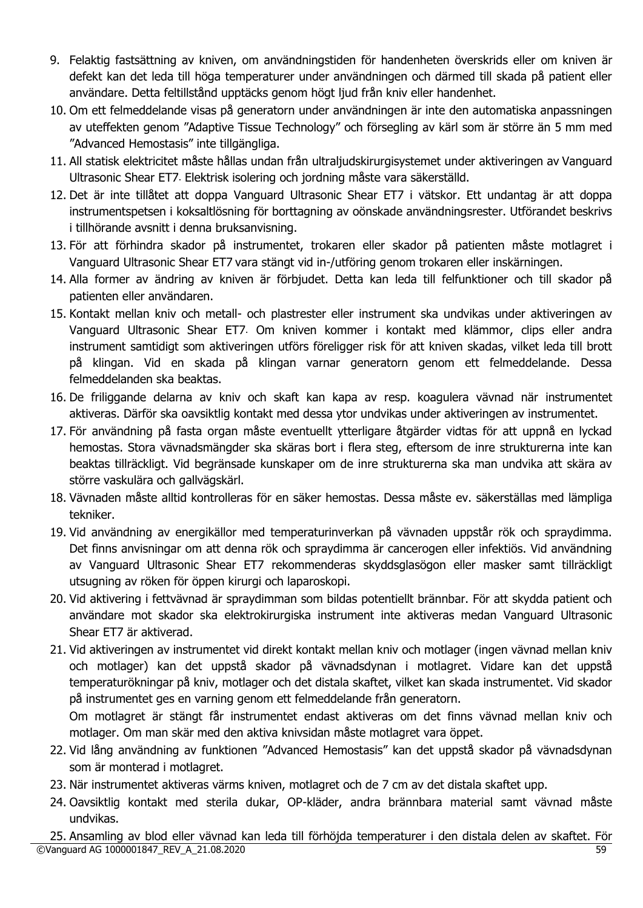- 9. Felaktig fastsättning av kniven, om användningstiden för handenheten överskrids eller om kniven är defekt kan det leda till höga temperaturer under användningen och därmed till skada på patient eller användare. Detta feltillstånd upptäcks genom högt ljud från kniv eller handenhet.
- 10. Om ett felmeddelande visas på generatorn under användningen är inte den automatiska anpassningen av uteffekten genom "Adaptive Tissue Technology" och försegling av kärl som är större än 5 mm med "Advanced Hemostasis" inte tillgängliga.
- 11. All statisk elektricitet måste hållas undan från ultraljudskirurgisystemet under aktiveringen av Vanguard Ultrasonic Shear ET7. Elektrisk isolering och jordning måste vara säkerställd.
- 12. Det är inte tillåtet att doppa Vanguard Ultrasonic Shear ET7 i vätskor. Ett undantag är att doppa instrumentspetsen i koksaltlösning för borttagning av oönskade användningsrester. Utförandet beskrivs i tillhörande avsnitt i denna bruksanvisning.
- 13. För att förhindra skador på instrumentet, trokaren eller skador på patienten måste motlagret i Vanguard Ultrasonic Shear ET7 vara stängt vid in-/utföring genom trokaren eller inskärningen.
- 14. Alla former av ändring av kniven är förbjudet. Detta kan leda till felfunktioner och till skador på patienten eller användaren.
- 15. Kontakt mellan kniv och metall- och plastrester eller instrument ska undvikas under aktiveringen av Vanguard Ultrasonic Shear ET7. Om kniven kommer i kontakt med klämmor, clips eller andra instrument samtidigt som aktiveringen utförs föreligger risk för att kniven skadas, vilket leda till brott på klingan. Vid en skada på klingan varnar generatorn genom ett felmeddelande. Dessa felmeddelanden ska beaktas.
- 16. De friliggande delarna av kniv och skaft kan kapa av resp. koagulera vävnad när instrumentet aktiveras. Därför ska oavsiktlig kontakt med dessa ytor undvikas under aktiveringen av instrumentet.
- 17. För användning på fasta organ måste eventuellt ytterligare åtgärder vidtas för att uppnå en lyckad hemostas. Stora vävnadsmängder ska skäras bort i flera steg, eftersom de inre strukturerna inte kan beaktas tillräckligt. Vid begränsade kunskaper om de inre strukturerna ska man undvika att skära av större vaskulära och gallvägskärl.
- 18. Vävnaden måste alltid kontrolleras för en säker hemostas. Dessa måste ev. säkerställas med lämpliga tekniker.
- 19. Vid användning av energikällor med temperaturinverkan på vävnaden uppstår rök och spraydimma. Det finns anvisningar om att denna rök och spraydimma är cancerogen eller infektiös. Vid användning av Vanguard Ultrasonic Shear ET7 rekommenderas skyddsglasögon eller masker samt tillräckligt utsugning av röken för öppen kirurgi och laparoskopi.
- 20. Vid aktivering i fettvävnad är spraydimman som bildas potentiellt brännbar. För att skydda patient och användare mot skador ska elektrokirurgiska instrument inte aktiveras medan Vanguard Ultrasonic Shear ET7 är aktiverad.
- 21. Vid aktiveringen av instrumentet vid direkt kontakt mellan kniv och motlager (ingen vävnad mellan kniv och motlager) kan det uppstå skador på vävnadsdynan i motlagret. Vidare kan det uppstå temperaturökningar på kniv, motlager och det distala skaftet, vilket kan skada instrumentet. Vid skador på instrumentet ges en varning genom ett felmeddelande från generatorn. Om motlagret är stängt får instrumentet endast aktiveras om det finns vävnad mellan kniv och

motlager. Om man skär med den aktiva knivsidan måste motlagret vara öppet.

- 22. Vid lång användning av funktionen "Advanced Hemostasis" kan det uppstå skador på vävnadsdynan som är monterad i motlagret.
- 23. När instrumentet aktiveras värms kniven, motlagret och de 7 cm av det distala skaftet upp.
- 24. Oavsiktlig kontakt med sterila dukar, OP-kläder, andra brännbara material samt vävnad måste undvikas.

<sup>©</sup>Vanguard AG 1000001847\_REV\_A\_21.08.2020 59 25. Ansamling av blod eller vävnad kan leda till förhöjda temperaturer i den distala delen av skaftet. För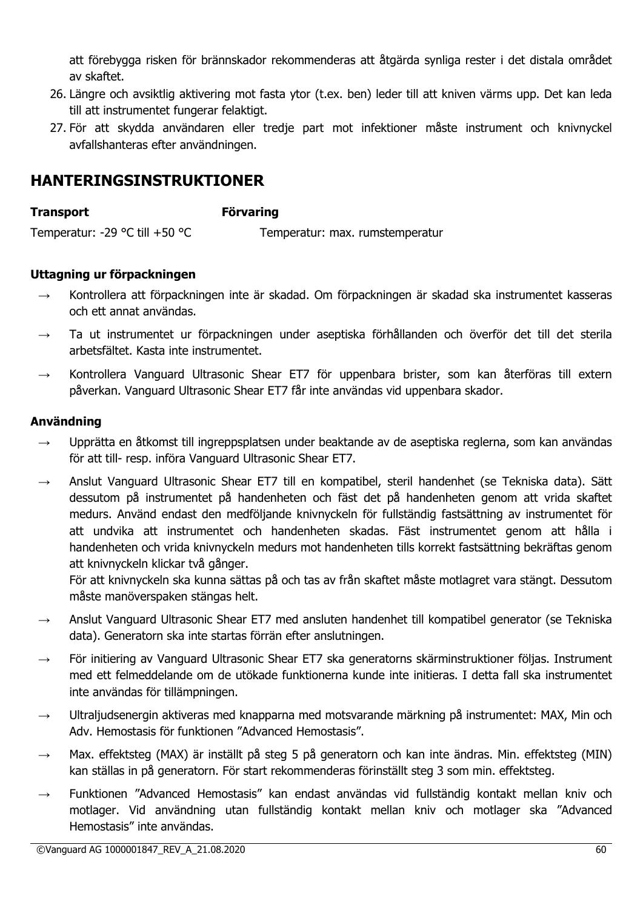att förebygga risken för brännskador rekommenderas att åtgärda synliga rester i det distala området av skaftet.

- 26. Längre och avsiktlig aktivering mot fasta ytor (t.ex. ben) leder till att kniven värms upp. Det kan leda till att instrumentet fungerar felaktigt.
- 27. För att skydda användaren eller tredje part mot infektioner måste instrument och knivnyckel avfallshanteras efter användningen.

# **HANTERINGSINSTRUKTIONER**

#### **Transport Förvaring**

Temperatur: -29 °C till +50 °C Temperatur: max. rumstemperatur

# **Uttagning ur förpackningen**

- $\rightarrow$  Kontrollera att förpackningen inte är skadad. Om förpackningen är skadad ska instrumentet kasseras och ett annat användas.
- $\rightarrow$  Ta ut instrumentet ur förpackningen under aseptiska förhållanden och överför det till det sterila arbetsfältet. Kasta inte instrumentet.
- $\rightarrow$  Kontrollera Vanguard Ultrasonic Shear ET7 för uppenbara brister, som kan återföras till extern påverkan. Vanguard Ultrasonic Shear ET7 får inte användas vid uppenbara skador.

# **Användning**

- $\rightarrow$  Upprätta en åtkomst till ingreppsplatsen under beaktande av de aseptiska reglerna, som kan användas för att till- resp. införa Vanguard Ultrasonic Shear ET7.
- $\rightarrow$  Anslut Vanguard Ultrasonic Shear ET7 till en kompatibel, steril handenhet (se Tekniska data). Sätt dessutom på instrumentet på handenheten och fäst det på handenheten genom att vrida skaftet medurs. Använd endast den medföljande knivnyckeln för fullständig fastsättning av instrumentet för att undvika att instrumentet och handenheten skadas. Fäst instrumentet genom att hålla i handenheten och vrida knivnyckeln medurs mot handenheten tills korrekt fastsättning bekräftas genom att knivnyckeln klickar två gånger.

För att knivnyckeln ska kunna sättas på och tas av från skaftet måste motlagret vara stängt. Dessutom måste manöverspaken stängas helt.

- $\rightarrow$  Anslut Vanguard Ultrasonic Shear ET7 med ansluten handenhet till kompatibel generator (se Tekniska data). Generatorn ska inte startas förrän efter anslutningen.
- För initiering av Vanguard Ultrasonic Shear ET7 ska generatorns skärminstruktioner följas. Instrument med ett felmeddelande om de utökade funktionerna kunde inte initieras. I detta fall ska instrumentet inte användas för tillämpningen.
- $\rightarrow$  Ultraljudsenergin aktiveras med knapparna med motsvarande märkning på instrumentet: MAX, Min och Adv. Hemostasis för funktionen "Advanced Hemostasis".
- $\rightarrow$  Max. effektsteg (MAX) är inställt på steg 5 på generatorn och kan inte ändras. Min. effektsteg (MIN) kan ställas in på generatorn. För start rekommenderas förinställt steg 3 som min. effektsteg.
- $\rightarrow$  Funktionen "Advanced Hemostasis" kan endast användas vid fullständig kontakt mellan kniv och motlager. Vid användning utan fullständig kontakt mellan kniv och motlager ska "Advanced Hemostasis" inte användas.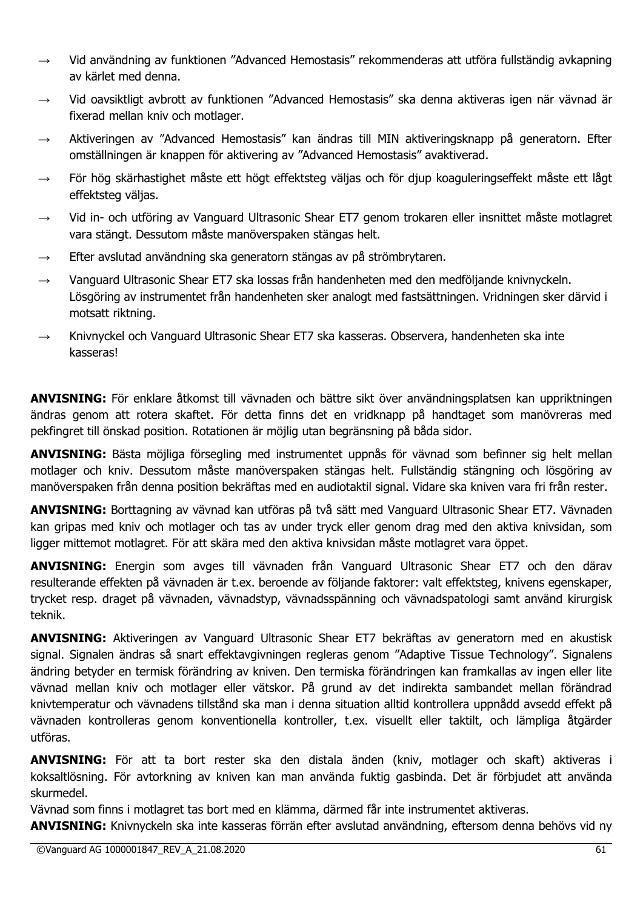- $\rightarrow$  Vid användning av funktionen "Advanced Hemostasis" rekommenderas att utföra fullständig avkapning av kärlet med denna.
- → Vid oavsiktligt avbrott av funktionen "Advanced Hemostasis" ska denna aktiveras igen när vävnad är fixerad mellan kniv och motlager.
- $\rightarrow$  Aktiveringen av "Advanced Hemostasis" kan ändras till MIN aktiveringsknapp på generatorn. Efter omställningen är knappen för aktivering av "Advanced Hemostasis" avaktiverad.
- $\rightarrow$  För hög skärhastighet måste ett högt effektsteg väljas och för djup koaguleringseffekt måste ett lågt effektsteg väljas.
- → Vid in- och utföring av Vanguard Ultrasonic Shear ET7 genom trokaren eller insnittet måste motlagret vara stängt. Dessutom måste manöverspaken stängas helt.
- $\rightarrow$  Efter avslutad användning ska generatorn stängas av på strömbrytaren.
- $\rightarrow$  Vanguard Ultrasonic Shear ET7 ska lossas från handenheten med den medföljande knivnyckeln. Lösgöring av instrumentet från handenheten sker analogt med fastsättningen. Vridningen sker därvid i motsatt riktning.
- $\rightarrow$  Knivnyckel och Vanguard Ultrasonic Shear ET7 ska kasseras. Observera, handenheten ska inte kasseras!

**ANVISNING:** För enklare åtkomst till vävnaden och bättre sikt över användningsplatsen kan uppriktningen ändras genom att rotera skaftet. För detta finns det en vridknapp på handtaget som manövreras med pekfingret till önskad position. Rotationen är möjlig utan begränsning på båda sidor.

**ANVISNING:** Bästa möjliga försegling med instrumentet uppnås för vävnad som befinner sig helt mellan motlager och kniv. Dessutom måste manöverspaken stängas helt. Fullständig stängning och lösgöring av manöverspaken från denna position bekräftas med en audiotaktil signal. Vidare ska kniven vara fri från rester.

**ANVISNING:** Borttagning av vävnad kan utföras på två sätt med Vanguard Ultrasonic Shear ET7. Vävnaden kan gripas med kniv och motlager och tas av under tryck eller genom drag med den aktiva knivsidan, som ligger mittemot motlagret. För att skära med den aktiva knivsidan måste motlagret vara öppet.

**ANVISNING:** Energin som avges till vävnaden från Vanguard Ultrasonic Shear ET7 och den därav resulterande effekten på vävnaden är t.ex. beroende av följande faktorer: valt effektsteg, knivens egenskaper, trycket resp. draget på vävnaden, vävnadstyp, vävnadsspänning och vävnadspatologi samt använd kirurgisk teknik.

**ANVISNING:** Aktiveringen av Vanguard Ultrasonic Shear ET7 bekräftas av generatorn med en akustisk signal. Signalen ändras så snart effektavgivningen regleras genom "Adaptive Tissue Technology". Signalens ändring betyder en termisk förändring av kniven. Den termiska förändringen kan framkallas av ingen eller lite vävnad mellan kniv och motlager eller vätskor. På grund av det indirekta sambandet mellan förändrad knivtemperatur och vävnadens tillstånd ska man i denna situation alltid kontrollera uppnådd avsedd effekt på vävnaden kontrolleras genom konventionella kontroller, t.ex. visuellt eller taktilt, och lämpliga åtgärder utföras.

**ANVISNING:** För att ta bort rester ska den distala änden (kniv, motlager och skaft) aktiveras i koksaltlösning. För avtorkning av kniven kan man använda fuktig gasbinda. Det är förbjudet att använda skurmedel.

Vävnad som finns i motlagret tas bort med en klämma, därmed får inte instrumentet aktiveras.

**ANVISNING:** Knivnyckeln ska inte kasseras förrän efter avslutad användning, eftersom denna behövs vid ny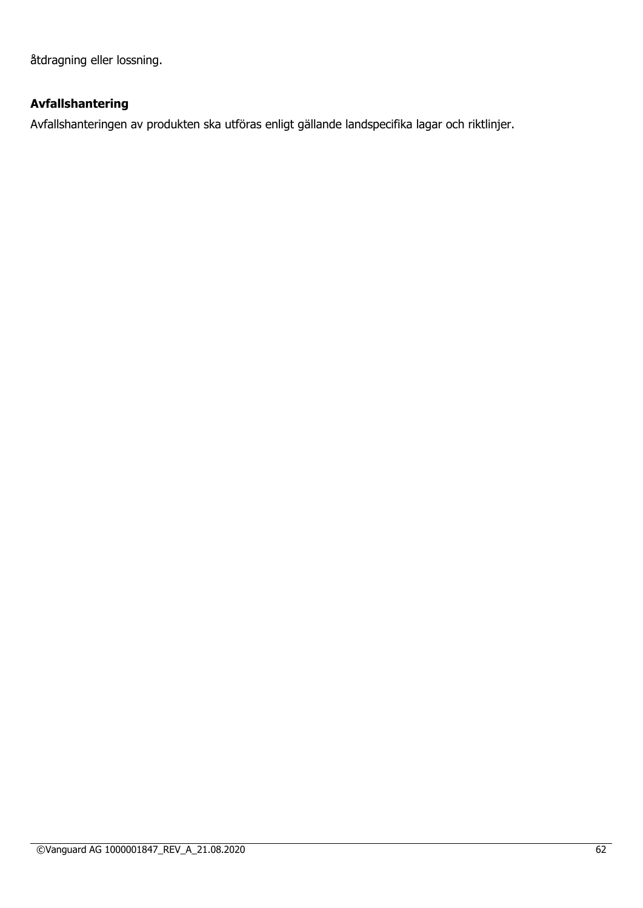åtdragning eller lossning.

# **Avfallshantering**

Avfallshanteringen av produkten ska utföras enligt gällande landspecifika lagar och riktlinjer.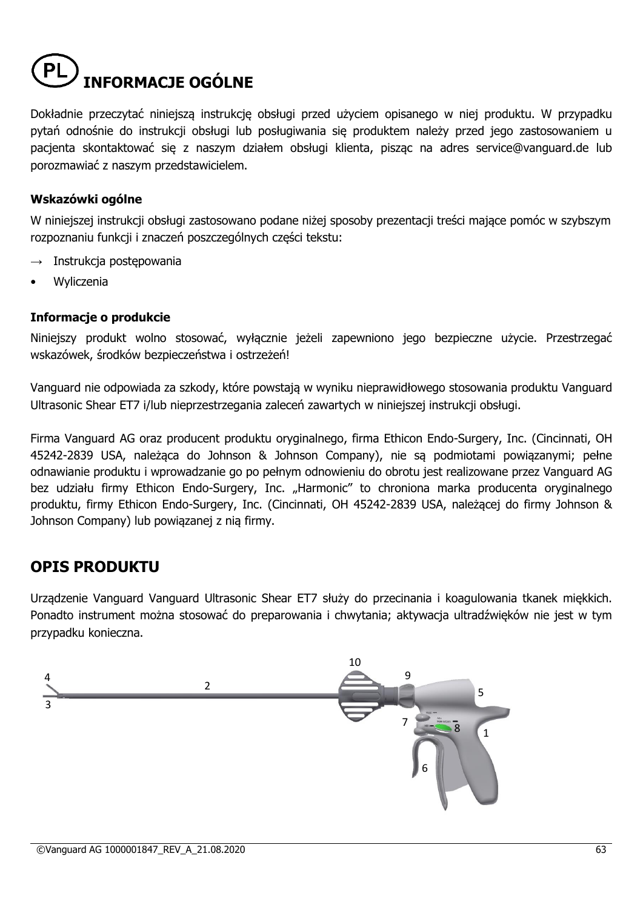# **INFORMACJE OGÓLNE**

Dokładnie przeczytać niniejszą instrukcję obsługi przed użyciem opisanego w niej produktu. W przypadku pytań odnośnie do instrukcji obsługi lub posługiwania się produktem należy przed jego zastosowaniem u pacjenta skontaktować się z naszym działem obsługi klienta, pisząc na adres service@vanguard.de lub porozmawiać z naszym przedstawicielem.

# **Wskazówki ogólne**

W niniejszej instrukcji obsługi zastosowano podane niżej sposoby prezentacji treści mające pomóc w szybszym rozpoznaniu funkcji i znaczeń poszczególnych części tekstu:

- Instrukcja postępowania
- **Wyliczenia**

#### **Informacje o produkcie**

Niniejszy produkt wolno stosować, wyłacznie jeżeli zapewniono jego bezpieczne użycie. Przestrzegać wskazówek, środków bezpieczeństwa i ostrzeżeń!

Vanguard nie odpowiada za szkody, które powstają w wyniku nieprawidłowego stosowania produktu Vanguard Ultrasonic Shear ET7 i/lub nieprzestrzegania zaleceń zawartych w niniejszej instrukcji obsługi.

Firma Vanguard AG oraz producent produktu oryginalnego, firma Ethicon Endo-Surgery, Inc. (Cincinnati, OH 45242-2839 USA, należąca do Johnson & Johnson Company), nie są podmiotami powiązanymi; pełne odnawianie produktu i wprowadzanie go po pełnym odnowieniu do obrotu jest realizowane przez Vanguard AG bez udziału firmy Ethicon Endo-Surgery, Inc. "Harmonic" to chroniona marka producenta oryginalnego produktu, firmy Ethicon Endo-Surgery, Inc. (Cincinnati, OH 45242-2839 USA, należącej do firmy Johnson & Johnson Company) lub powiązanej z nią firmy.

# **OPIS PRODUKTU**

Urządzenie Vanguard Vanguard Ultrasonic Shear ET7 służy do przecinania i koagulowania tkanek miękkich. Ponadto instrument można stosować do preparowania i chwytania; aktywacja ultradźwięków nie jest w tym przypadku konieczna.

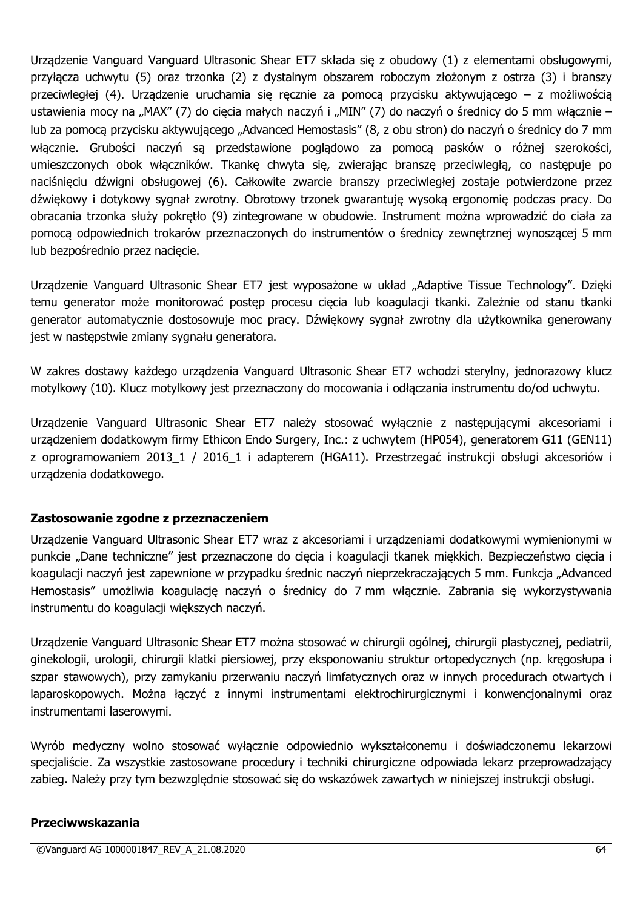Urządzenie Vanguard Vanguard Ultrasonic Shear ET7 składa się z obudowy (1) z elementami obsługowymi, przyłącza uchwytu (5) oraz trzonka (2) z dystalnym obszarem roboczym złożonym z ostrza (3) i branszy przeciwległej (4). Urządzenie uruchamia się ręcznie za pomocą przycisku aktywującego – z możliwością ustawienia mocy na "MAX" (7) do cięcia małych naczyń i "MIN" (7) do naczyń o średnicy do 5 mm włącznie – lub za pomocą przycisku aktywującego "Advanced Hemostasis" (8, z obu stron) do naczyń o średnicy do 7 mm włącznie. Grubości naczyń są przedstawione poglądowo za pomocą pasków o różnej szerokości, umieszczonych obok włączników. Tkankę chwyta się, zwierając branszę przeciwległą, co następuje po naciśnięciu dźwigni obsługowej (6). Całkowite zwarcie branszy przeciwległej zostaje potwierdzone przez dźwiękowy i dotykowy sygnał zwrotny. Obrotowy trzonek gwarantuję wysoką ergonomię podczas pracy. Do obracania trzonka służy pokrętło (9) zintegrowane w obudowie. Instrument można wprowadzić do ciała za pomocą odpowiednich trokarów przeznaczonych do instrumentów o średnicy zewnętrznej wynoszącej 5 mm lub bezpośrednio przez nacięcie.

Urządzenie Vanguard Ultrasonic Shear ET7 jest wyposażone w układ "Adaptive Tissue Technology". Dzięki temu generator może monitorować postęp procesu cięcia lub koagulacji tkanki. Zależnie od stanu tkanki generator automatycznie dostosowuje moc pracy. Dźwiękowy sygnał zwrotny dla użytkownika generowany jest w następstwie zmiany sygnału generatora.

W zakres dostawy każdego urządzenia Vanguard Ultrasonic Shear ET7 wchodzi sterylny, jednorazowy klucz motylkowy (10). Klucz motylkowy jest przeznaczony do mocowania i odłączania instrumentu do/od uchwytu.

Urządzenie Vanguard Ultrasonic Shear ET7 należy stosować wyłącznie z następującymi akcesoriami i urządzeniem dodatkowym firmy Ethicon Endo Surgery, Inc.: z uchwytem (HP054), generatorem G11 (GEN11) z oprogramowaniem 2013\_1 / 2016\_1 i adapterem (HGA11). Przestrzegać instrukcji obsługi akcesoriów i urządzenia dodatkowego.

# **Zastosowanie zgodne z przeznaczeniem**

Urządzenie Vanguard Ultrasonic Shear ET7 wraz z akcesoriami i urządzeniami dodatkowymi wymienionymi w punkcie "Dane techniczne" jest przeznaczone do cięcia i koagulacji tkanek miękkich. Bezpieczeństwo cięcia i koagulacji naczyń jest zapewnione w przypadku średnic naczyń nieprzekraczających 5 mm. Funkcja "Advanced Hemostasis" umożliwia koagulację naczyń o średnicy do 7 mm włącznie. Zabrania się wykorzystywania instrumentu do koagulacji większych naczyń.

Urządzenie Vanguard Ultrasonic Shear ET7 można stosować w chirurgii ogólnej, chirurgii plastycznej, pediatrii, ginekologii, urologii, chirurgii klatki piersiowej, przy eksponowaniu struktur ortopedycznych (np. kręgosłupa i szpar stawowych), przy zamykaniu przerwaniu naczyń limfatycznych oraz w innych procedurach otwartych i laparoskopowych. Można łączyć z innymi instrumentami elektrochirurgicznymi i konwencjonalnymi oraz instrumentami laserowymi.

Wyrób medyczny wolno stosować wyłącznie odpowiednio wykształconemu i doświadczonemu lekarzowi specjaliście. Za wszystkie zastosowane procedury i techniki chirurgiczne odpowiada lekarz przeprowadzający zabieg. Należy przy tym bezwzględnie stosować się do wskazówek zawartych w niniejszej instrukcji obsługi.

# **Przeciwwskazania**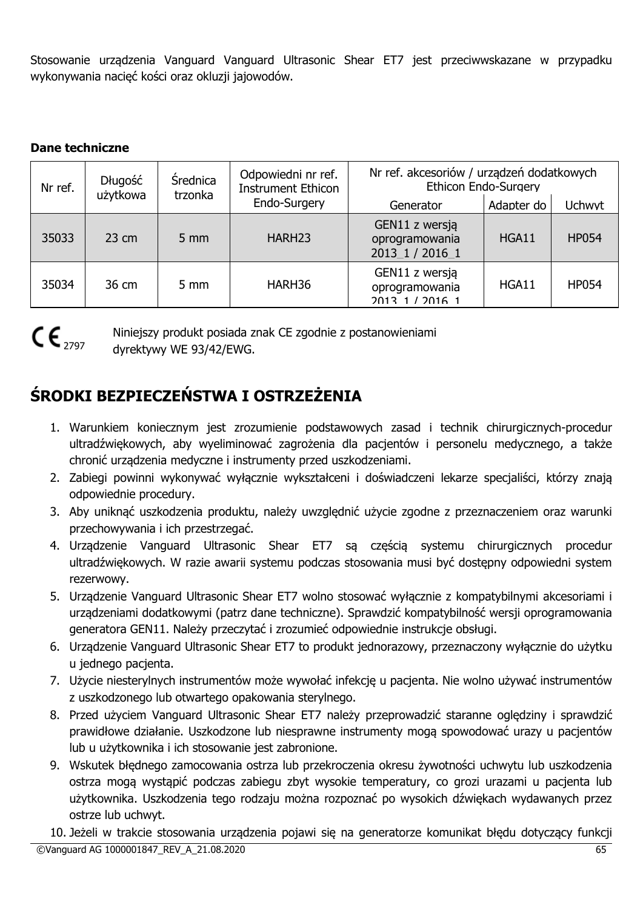Stosowanie urządzenia Vanguard Vanguard Ultrasonic Shear ET7 jest przeciwwskazane w przypadku wykonywania nacięć kości oraz okluzji jajowodów.

# **Dane techniczne**

| Nr ref. | Długość<br><b>Srednica</b><br>użytkowa<br>trzonka |                  | Odpowiedni nr ref.<br><b>Instrument Ethicon</b> | Nr ref. akcesoriów / urządzeń dodatkowych<br>Ethicon Endo-Surgery |            |               |
|---------|---------------------------------------------------|------------------|-------------------------------------------------|-------------------------------------------------------------------|------------|---------------|
|         |                                                   |                  | Endo-Surgery                                    | Generator                                                         | Adapter do | <b>Uchwyt</b> |
| 35033   | $23 \text{ cm}$                                   | $5 \, \text{mm}$ | HARH <sub>23</sub>                              | GEN11 z wersją<br>oprogramowania<br>2013 1 / 2016 1               | HGA11      | <b>HP054</b>  |
| 35034   | 36 cm                                             | $5 \, \text{mm}$ | HARH36                                          | GEN11 z wersją<br>oprogramowania<br>2013 1 / 2016 1               | HGA11      | <b>HP054</b>  |

 $C\epsilon_{\text{2797}}$ 

Niniejszy produkt posiada znak CE zgodnie z postanowieniami dyrektywy WE 93/42/EWG.

# **ŚRODKI BEZPIECZEŃSTWA I OSTRZEŻENIA**

- 1. Warunkiem koniecznym jest zrozumienie podstawowych zasad i technik chirurgicznych-procedur ultradźwiękowych, aby wyeliminować zagrożenia dla pacjentów i personelu medycznego, a także chronić urządzenia medyczne i instrumenty przed uszkodzeniami.
- 2. Zabiegi powinni wykonywać wyłącznie wykształceni i doświadczeni lekarze specjaliści, którzy znają odpowiednie procedury.
- 3. Aby uniknąć uszkodzenia produktu, należy uwzględnić użycie zgodne z przeznaczeniem oraz warunki przechowywania i ich przestrzegać.
- 4. Urządzenie Vanguard Ultrasonic Shear ET7 są częścią systemu chirurgicznych procedur ultradźwiękowych. W razie awarii systemu podczas stosowania musi być dostępny odpowiedni system rezerwowy.
- 5. Urządzenie Vanguard Ultrasonic Shear ET7 wolno stosować wyłącznie z kompatybilnymi akcesoriami i urządzeniami dodatkowymi (patrz dane techniczne). Sprawdzić kompatybilność wersji oprogramowania generatora GEN11. Należy przeczytać i zrozumieć odpowiednie instrukcje obsługi.
- 6. Urządzenie Vanguard Ultrasonic Shear ET7 to produkt jednorazowy, przeznaczony wyłącznie do użytku u jednego pacjenta.
- 7. Użycie niesterylnych instrumentów może wywołać infekcję u pacjenta. Nie wolno używać instrumentów z uszkodzonego lub otwartego opakowania sterylnego.
- 8. Przed użyciem Vanguard Ultrasonic Shear ET7 należy przeprowadzić staranne oględziny i sprawdzić prawidłowe działanie. Uszkodzone lub niesprawne instrumenty mogą spowodować urazy u pacjentów lub u użytkownika i ich stosowanie jest zabronione.
- 9. Wskutek błędnego zamocowania ostrza lub przekroczenia okresu żywotności uchwytu lub uszkodzenia ostrza mogą wystąpić podczas zabiegu zbyt wysokie temperatury, co grozi urazami u pacjenta lub użytkownika. Uszkodzenia tego rodzaju można rozpoznać po wysokich dźwiękach wydawanych przez ostrze lub uchwyt.

©Vanguard AG 1000001847\_REV\_A\_21.08.2020 65 10. Jeżeli w trakcie stosowania urządzenia pojawi się na generatorze komunikat błędu dotyczący funkcji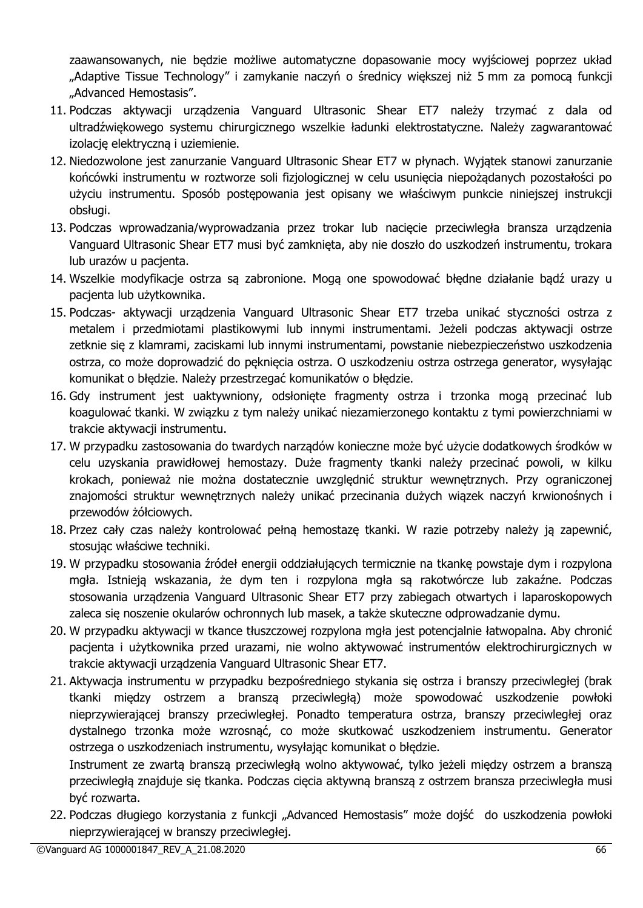zaawansowanych, nie będzie możliwe automatyczne dopasowanie mocy wyjściowej poprzez układ "Adaptive Tissue Technology" i zamykanie naczyń o średnicy większej niż 5 mm za pomocą funkcji "Advanced Hemostasis".

- 11. Podczas aktywacji urządzenia Vanguard Ultrasonic Shear ET7 należy trzymać z dala od ultradźwiękowego systemu chirurgicznego wszelkie ładunki elektrostatyczne. Należy zagwarantować izolację elektryczną i uziemienie.
- 12. Niedozwolone jest zanurzanie Vanguard Ultrasonic Shear ET7 w płynach. Wyjątek stanowi zanurzanie końcówki instrumentu w roztworze soli fizjologicznej w celu usunięcia niepożądanych pozostałości po użyciu instrumentu. Sposób postępowania jest opisany we właściwym punkcie niniejszej instrukcji obsługi.
- 13. Podczas wprowadzania/wyprowadzania przez trokar lub nacięcie przeciwległa bransza urządzenia Vanguard Ultrasonic Shear ET7 musi być zamknięta, aby nie doszło do uszkodzeń instrumentu, trokara lub urazów u pacjenta.
- 14. Wszelkie modyfikacje ostrza są zabronione. Mogą one spowodować błędne działanie bądź urazy u pacjenta lub użytkownika.
- 15. Podczas- aktywacji urządzenia Vanguard Ultrasonic Shear ET7 trzeba unikać styczności ostrza z metalem i przedmiotami plastikowymi lub innymi instrumentami. Jeżeli podczas aktywacji ostrze zetknie się z klamrami, zaciskami lub innymi instrumentami, powstanie niebezpieczeństwo uszkodzenia ostrza, co może doprowadzić do pęknięcia ostrza. O uszkodzeniu ostrza ostrzega generator, wysyłając komunikat o błędzie. Należy przestrzegać komunikatów o błędzie.
- 16. Gdy instrument jest uaktywniony, odsłonięte fragmenty ostrza i trzonka mogą przecinać lub koagulować tkanki. W związku z tym należy unikać niezamierzonego kontaktu z tymi powierzchniami w trakcie aktywacji instrumentu.
- 17. W przypadku zastosowania do twardych narządów konieczne może być użycie dodatkowych środków w celu uzyskania prawidłowej hemostazy. Duże fragmenty tkanki należy przecinać powoli, w kilku krokach, ponieważ nie można dostatecznie uwzględnić struktur wewnętrznych. Przy ograniczonej znajomości struktur wewnętrznych należy unikać przecinania dużych wiązek naczyń krwionośnych i przewodów żółciowych.
- 18. Przez cały czas należy kontrolować pełną hemostazę tkanki. W razie potrzeby należy ją zapewnić, stosując właściwe techniki.
- 19. W przypadku stosowania źródeł energii oddziałujących termicznie na tkankę powstaje dym i rozpylona mgła. Istnieją wskazania, że dym ten i rozpylona mgła są rakotwórcze lub zakaźne. Podczas stosowania urządzenia Vanguard Ultrasonic Shear ET7 przy zabiegach otwartych i laparoskopowych zaleca się noszenie okularów ochronnych lub masek, a także skuteczne odprowadzanie dymu.
- 20. W przypadku aktywacji w tkance tłuszczowej rozpylona mgła jest potencjalnie łatwopalna. Aby chronić pacjenta i użytkownika przed urazami, nie wolno aktywować instrumentów elektrochirurgicznych w trakcie aktywacji urządzenia Vanguard Ultrasonic Shear ET7.
- 21. Aktywacja instrumentu w przypadku bezpośredniego stykania się ostrza i branszy przeciwległej (brak tkanki między ostrzem a branszą przeciwległą) może spowodować uszkodzenie powłoki nieprzywierającej branszy przeciwległej. Ponadto temperatura ostrza, branszy przeciwległej oraz dystalnego trzonka może wzrosnąć, co może skutkować uszkodzeniem instrumentu. Generator ostrzega o uszkodzeniach instrumentu, wysyłając komunikat o błędzie.

Instrument ze zwartą branszą przeciwległą wolno aktywować, tylko jeżeli między ostrzem a branszą przeciwległą znajduje się tkanka. Podczas cięcia aktywną branszą z ostrzem bransza przeciwległa musi być rozwarta.

22. Podczas długiego korzystania z funkcji "Advanced Hemostasis" może dojść do uszkodzenia powłoki nieprzywierającej w branszy przeciwległej.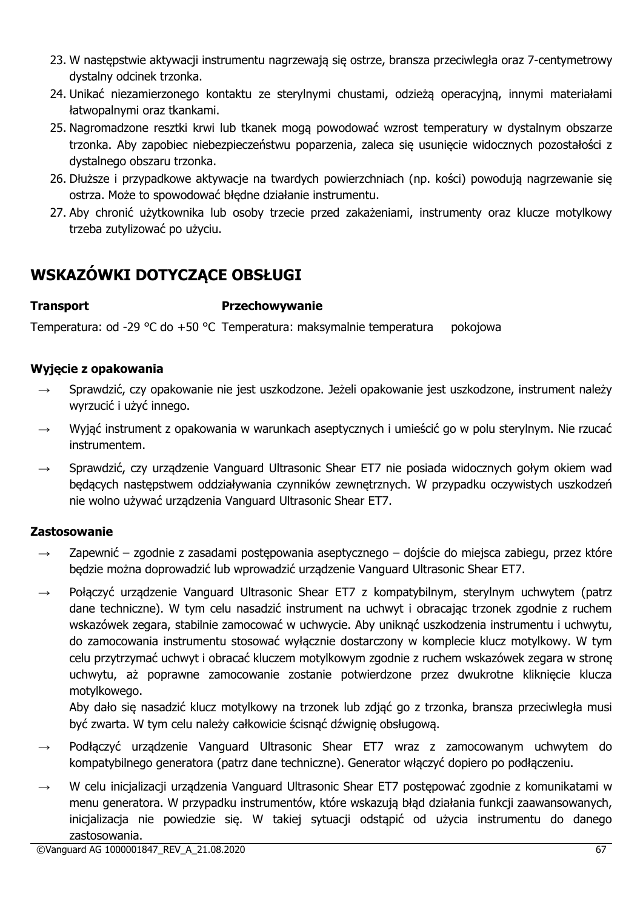- 23. W następstwie aktywacji instrumentu nagrzewają się ostrze, bransza przeciwległa oraz 7-centymetrowy dystalny odcinek trzonka.
- 24. Unikać niezamierzonego kontaktu ze sterylnymi chustami, odzieżą operacyjną, innymi materiałami łatwopalnymi oraz tkankami.
- 25. Nagromadzone resztki krwi lub tkanek mogą powodować wzrost temperatury w dystalnym obszarze trzonka. Aby zapobiec niebezpieczeństwu poparzenia, zaleca się usunięcie widocznych pozostałości z dystalnego obszaru trzonka.
- 26. Dłuższe i przypadkowe aktywacje na twardych powierzchniach (np. kości) powodują nagrzewanie się ostrza. Może to spowodować błędne działanie instrumentu.
- 27. Aby chronić użytkownika lub osoby trzecie przed zakażeniami, instrumenty oraz klucze motylkowy trzeba zutylizować po użyciu.

# **WSKAZÓWKI DOTYCZĄCE OBSŁUGI**

# **Transport Przechowywanie**

Temperatura: od -29 °C do +50 °C Temperatura: maksymalnie temperatura pokojowa

# **Wyjęcie z opakowania**

- → Sprawdzić, czy opakowanie nie jest uszkodzone. Jeżeli opakowanie jest uszkodzone, instrument należy wyrzucić i użyć innego.
- → Wyjąć instrument z opakowania w warunkach aseptycznych i umieścić go w polu sterylnym. Nie rzucać instrumentem.
- → Sprawdzić, czy urządzenie Vanguard Ultrasonic Shear ET7 nie posiada widocznych gołym okiem wad będących następstwem oddziaływania czynników zewnętrznych. W przypadku oczywistych uszkodzeń nie wolno używać urządzenia Vanguard Ultrasonic Shear ET7.

# **Zastosowanie**

- $\rightarrow$  Zapewnić zgodnie z zasadami postępowania aseptycznego dojście do miejsca zabiegu, przez które będzie można doprowadzić lub wprowadzić urządzenie Vanguard Ultrasonic Shear ET7.
- $\rightarrow$  Połączyć urządzenie Vanguard Ultrasonic Shear ET7 z kompatybilnym, sterylnym uchwytem (patrz dane techniczne). W tym celu nasadzić instrument na uchwyt i obracając trzonek zgodnie z ruchem wskazówek zegara, stabilnie zamocować w uchwycie. Aby uniknąć uszkodzenia instrumentu i uchwytu, do zamocowania instrumentu stosować wyłącznie dostarczony w komplecie klucz motylkowy. W tym celu przytrzymać uchwyt i obracać kluczem motylkowym zgodnie z ruchem wskazówek zegara w stronę uchwytu, aż poprawne zamocowanie zostanie potwierdzone przez dwukrotne kliknięcie klucza motylkowego.

Aby dało się nasadzić klucz motylkowy na trzonek lub zdjąć go z trzonka, bransza przeciwległa musi być zwarta. W tym celu należy całkowicie ścisnąć dźwignię obsługową.

- Podłączyć urządzenie Vanguard Ultrasonic Shear ET7 wraz z zamocowanym uchwytem do kompatybilnego generatora (patrz dane techniczne). Generator włączyć dopiero po podłączeniu.
- W celu inicjalizacji urządzenia Vanguard Ultrasonic Shear ET7 postępować zgodnie z komunikatami w menu generatora. W przypadku instrumentów, które wskazują błąd działania funkcji zaawansowanych, inicjalizacja nie powiedzie się. W takiej sytuacji odstąpić od użycia instrumentu do danego zastosowania.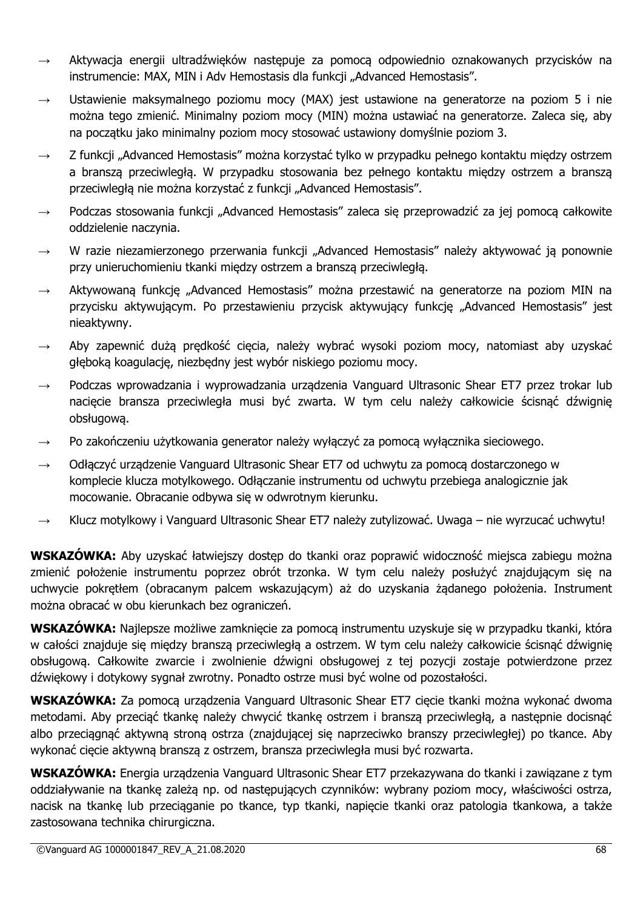- $\rightarrow$  Aktywacja energii ultradźwięków następuje za pomocą odpowiednio oznakowanych przycisków na instrumencie: MAX, MIN i Adv Hemostasis dla funkcji "Advanced Hemostasis".
- $\rightarrow$  Ustawienie maksymalnego poziomu mocy (MAX) jest ustawione na generatorze na poziom 5 i nie można tego zmienić. Minimalny poziom mocy (MIN) można ustawiać na generatorze. Zaleca się, aby na początku jako minimalny poziom mocy stosować ustawiony domyślnie poziom 3.
- Z funkcji "Advanced Hemostasis" można korzystać tylko w przypadku pełnego kontaktu między ostrzem a branszą przeciwległą. W przypadku stosowania bez pełnego kontaktu między ostrzem a branszą przeciwległą nie można korzystać z funkcji "Advanced Hemostasis".
- $\rightarrow$  Podczas stosowania funkcji "Advanced Hemostasis" zaleca się przeprowadzić za jej pomocą całkowite oddzielenie naczynia.
- $\rightarrow$  W razie niezamierzonego przerwania funkcji "Advanced Hemostasis" należy aktywować ją ponownie przy unieruchomieniu tkanki między ostrzem a branszą przeciwległą.
- $\rightarrow$  Aktywowaną funkcję "Advanced Hemostasis" można przestawić na generatorze na poziom MIN na przycisku aktywującym. Po przestawieniu przycisk aktywujący funkcję "Advanced Hemostasis" jest nieaktywny.
- $\rightarrow$  Aby zapewnić dużą prędkość cięcia, należy wybrać wysoki poziom mocy, natomiast aby uzyskać głęboką koagulację, niezbędny jest wybór niskiego poziomu mocy.
- Podczas wprowadzania i wyprowadzania urządzenia Vanguard Ultrasonic Shear ET7 przez trokar lub nacięcie bransza przeciwległa musi być zwarta. W tym celu należy całkowicie ścisnąć dźwignię obsługową.
- → Po zakończeniu użytkowania generator należy wyłączyć za pomocą wyłącznika sieciowego.
- $\rightarrow$  Odłączyć urządzenie Vanguard Ultrasonic Shear ET7 od uchwytu za pomocą dostarczonego w komplecie klucza motylkowego. Odłączanie instrumentu od uchwytu przebiega analogicznie jak mocowanie. Obracanie odbywa się w odwrotnym kierunku.
- → Klucz motylkowy i Vanguard Ultrasonic Shear ET7 należy zutylizować. Uwaga nie wyrzucać uchwytu!

**WSKAZÓWKA:** Aby uzyskać łatwiejszy dostęp do tkanki oraz poprawić widoczność miejsca zabiegu można zmienić położenie instrumentu poprzez obrót trzonka. W tym celu należy posłużyć znajdującym się na uchwycie pokrętłem (obracanym palcem wskazującym) aż do uzyskania żądanego położenia. Instrument można obracać w obu kierunkach bez ograniczeń.

**WSKAZÓWKA:** Najlepsze możliwe zamknięcie za pomocą instrumentu uzyskuje się w przypadku tkanki, która w całości znajduje się między branszą przeciwległą a ostrzem. W tym celu należy całkowicie ścisnąć dźwignię obsługową. Całkowite zwarcie i zwolnienie dźwigni obsługowej z tej pozycji zostaje potwierdzone przez dźwiękowy i dotykowy sygnał zwrotny. Ponadto ostrze musi być wolne od pozostałości.

**WSKAZÓWKA:** Za pomocą urządzenia Vanguard Ultrasonic Shear ET7 cięcie tkanki można wykonać dwoma metodami. Aby przeciąć tkankę należy chwycić tkankę ostrzem i branszą przeciwległą, a następnie docisnąć albo przeciągnąć aktywną stroną ostrza (znajdującej się naprzeciwko branszy przeciwległej) po tkance. Aby wykonać cięcie aktywną branszą z ostrzem, bransza przeciwległa musi być rozwarta.

**WSKAZÓWKA:** Energia urządzenia Vanguard Ultrasonic Shear ET7 przekazywana do tkanki i zawiązane z tym oddziaływanie na tkankę zależą np. od następujących czynników: wybrany poziom mocy, właściwości ostrza, nacisk na tkankę lub przeciąganie po tkance, typ tkanki, napięcie tkanki oraz patologia tkankowa, a także zastosowana technika chirurgiczna.